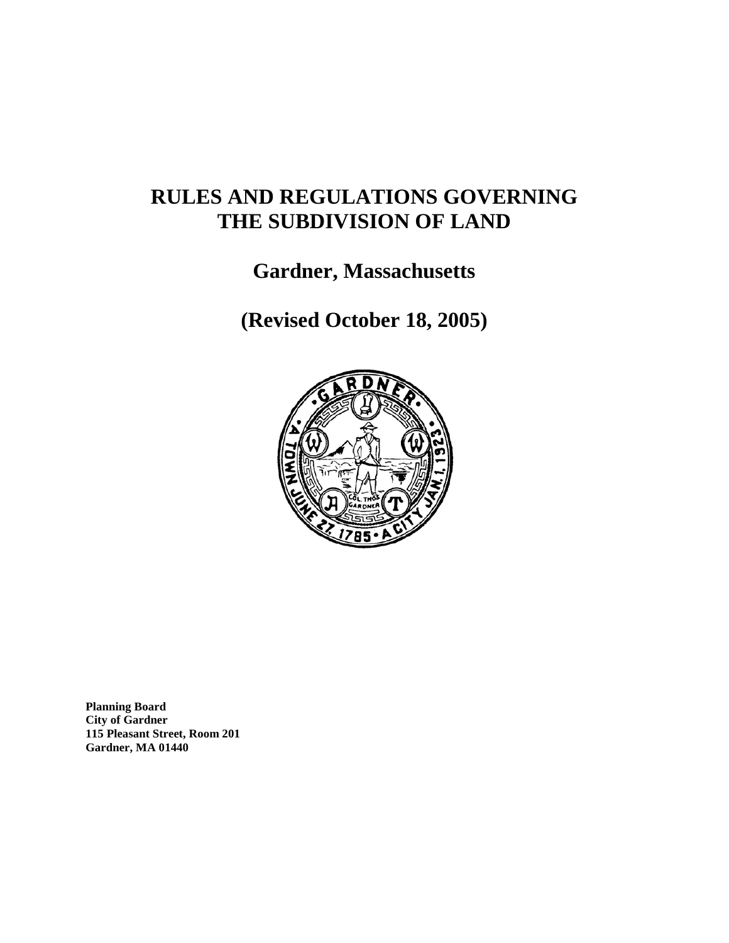# **RULES AND REGULATIONS GOVERNING THE SUBDIVISION OF LAND**

# **Gardner, Massachusetts**

**(Revised October 18, 2005)**



**Planning Board City of Gardner 115 Pleasant Street, Room 201 Gardner, MA 01440**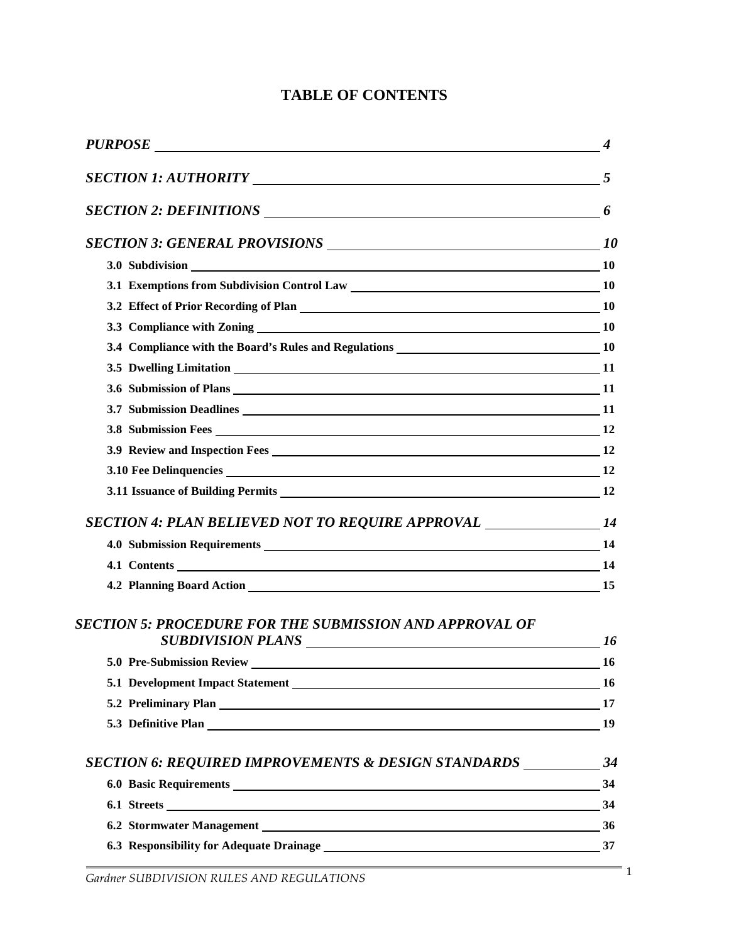# **TABLE OF CONTENTS**

| PURPOSE                                                                                                                                                                                                                        | $\boldsymbol{4}$ |
|--------------------------------------------------------------------------------------------------------------------------------------------------------------------------------------------------------------------------------|------------------|
|                                                                                                                                                                                                                                |                  |
|                                                                                                                                                                                                                                |                  |
|                                                                                                                                                                                                                                |                  |
| 3.0 Subdivision 10 10                                                                                                                                                                                                          |                  |
|                                                                                                                                                                                                                                |                  |
|                                                                                                                                                                                                                                |                  |
|                                                                                                                                                                                                                                |                  |
|                                                                                                                                                                                                                                |                  |
| 3.5 Dwelling Limitation 11                                                                                                                                                                                                     |                  |
|                                                                                                                                                                                                                                |                  |
| 3.7 Submission Deadlines 11                                                                                                                                                                                                    |                  |
| 3.8 Submission Fees 12                                                                                                                                                                                                         |                  |
|                                                                                                                                                                                                                                |                  |
|                                                                                                                                                                                                                                |                  |
|                                                                                                                                                                                                                                |                  |
| SECTION 4: PLAN BELIEVED NOT TO REQUIRE APPROVAL _______________________14                                                                                                                                                     |                  |
| 4.0 Submission Requirements 14                                                                                                                                                                                                 |                  |
| 4.1 Contents 14                                                                                                                                                                                                                |                  |
|                                                                                                                                                                                                                                |                  |
| SECTION 5: PROCEDURE FOR THE SUBMISSION AND APPROVAL OF<br>SUBDIVISION PLANS 16                                                                                                                                                |                  |
| 5.0 Pre-Submission Review 16 and 200 million and 200 million and 200 million and 200 million and 200 million and 200 million and 200 million and 200 million and 200 million and 200 million and 200 million and 200 million a |                  |
|                                                                                                                                                                                                                                |                  |
| 5.2 Preliminary Plan 17                                                                                                                                                                                                        |                  |
| 5.3 Definitive Plan 19                                                                                                                                                                                                         |                  |
|                                                                                                                                                                                                                                |                  |
| 6.0 Basic Requirements 34                                                                                                                                                                                                      |                  |
| $6.1 \text{ Streets}$ $34$                                                                                                                                                                                                     |                  |
|                                                                                                                                                                                                                                |                  |
| 6.3 Responsibility for Adequate Drainage 1737                                                                                                                                                                                  |                  |
|                                                                                                                                                                                                                                |                  |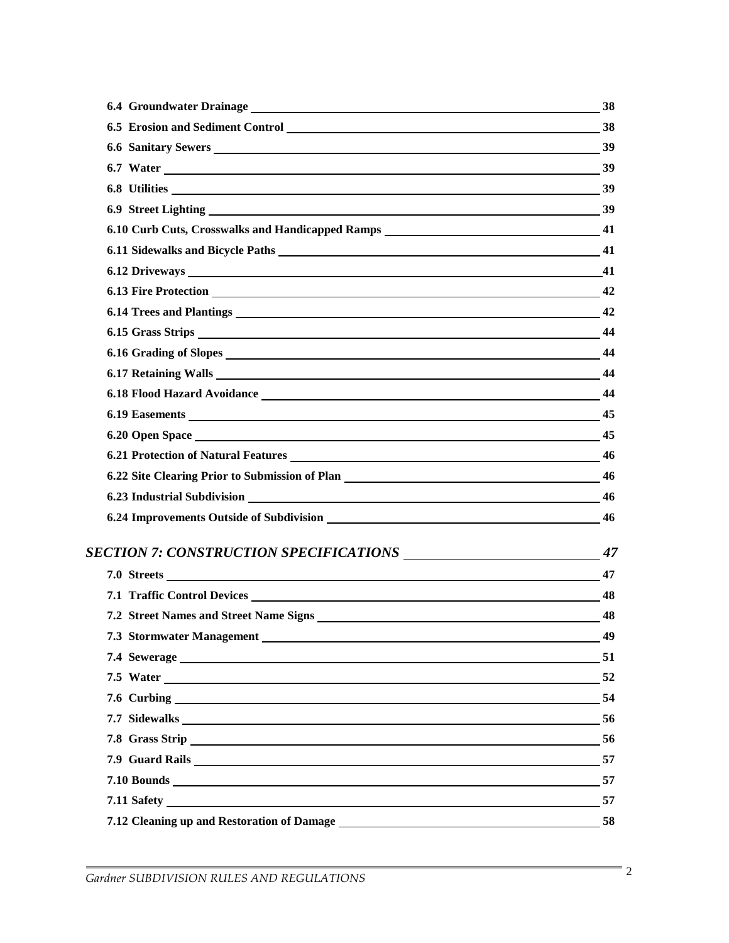| 6.6 Sanitary Sewers 39                                                                                                                                                                                                         |    |
|--------------------------------------------------------------------------------------------------------------------------------------------------------------------------------------------------------------------------------|----|
| 6.7 Water 39                                                                                                                                                                                                                   |    |
| 6.8 Utilities 39                                                                                                                                                                                                               |    |
|                                                                                                                                                                                                                                |    |
| 6.10 Curb Cuts, Crosswalks and Handicapped Ramps ________________________________ 41                                                                                                                                           |    |
|                                                                                                                                                                                                                                |    |
| 6.12 Driveways 41                                                                                                                                                                                                              |    |
| 6.13 Fire Protection 2012 12:00 12:00 12:00 12:00 12:00 12:00 12:00 12:00 12:00 12:00 12:00 12:00 12:00 12:00 1                                                                                                                |    |
|                                                                                                                                                                                                                                |    |
|                                                                                                                                                                                                                                |    |
| 6.16 Grading of Slopes 44                                                                                                                                                                                                      |    |
| 6.17 Retaining Walls 2014 2022 2023 2024 2022 2023 2024 2022 2024 2022 2024 2022 2024 2022 2024 2022 2023 2024                                                                                                                 |    |
| 6.18 Flood Hazard Avoidance 144                                                                                                                                                                                                |    |
| 6.19 Easements 45                                                                                                                                                                                                              |    |
| 6.20 Open Space 45                                                                                                                                                                                                             |    |
| 6.21 Protection of Natural Features 2008 2012 12:00 12:00 12:00 12:00 12:00 12:00 12:00 12:00 12:00 12:00 12:00 12:00 12:00 12:00 12:00 12:00 12:00 12:00 12:00 12:00 12:00 12:00 12:00 12:00 12:00 12:00 12:00 12:00 12:00 12 |    |
|                                                                                                                                                                                                                                |    |
| 6.23 Industrial Subdivision 2008 23 Industrial Subdivision 2008 23 Industrial Subdivision                                                                                                                                      |    |
|                                                                                                                                                                                                                                |    |
|                                                                                                                                                                                                                                |    |
| 7.0 Streets 47                                                                                                                                                                                                                 |    |
| 7.1 Traffic Control Devices 48                                                                                                                                                                                                 |    |
|                                                                                                                                                                                                                                |    |
|                                                                                                                                                                                                                                | 49 |
| $7.4$ Sewerage $\qquad \qquad$ 51                                                                                                                                                                                              |    |
| 7.5 Water 52                                                                                                                                                                                                                   |    |
|                                                                                                                                                                                                                                |    |
| 7.7 Sidewalks 56                                                                                                                                                                                                               |    |
| 7.8 Grass Strip 56                                                                                                                                                                                                             |    |
| 7.9 Guard Rails 57                                                                                                                                                                                                             |    |
| $7.10$ Bounds $\qquad \qquad$ 57                                                                                                                                                                                               |    |
|                                                                                                                                                                                                                                |    |
|                                                                                                                                                                                                                                | 58 |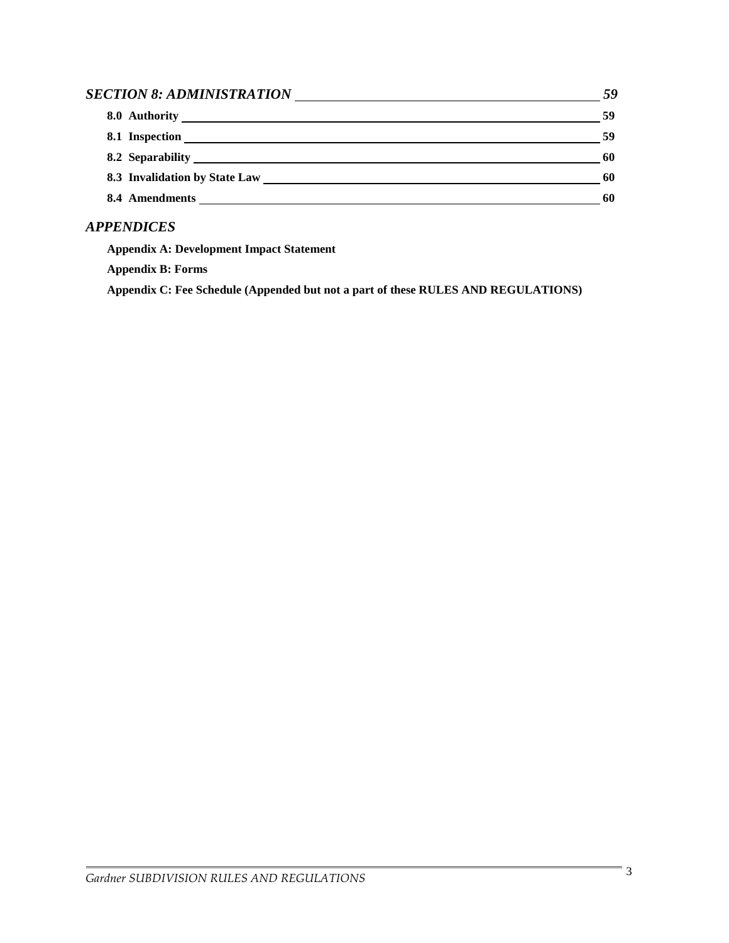| SECTION 8: ADMINISTRATION | 59 |
|---------------------------|----|
|                           | 59 |
| 8.1 Inspection            | 59 |
| 8.2 Separability          | 60 |
|                           | 60 |
| 8.4 Amendments            | 60 |

# *APPENDICES*

**Appendix A: Development Impact Statement**

**Appendix B: Forms**

**Appendix C: Fee Schedule (Appended but not a part of these RULES AND REGULATIONS)**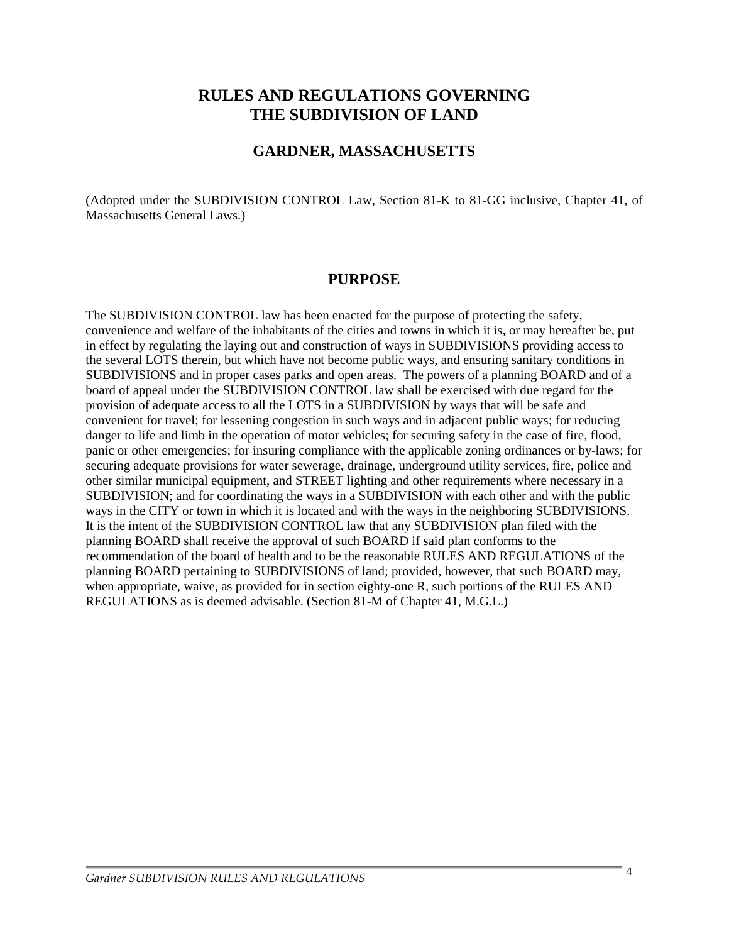# **RULES AND REGULATIONS GOVERNING THE SUBDIVISION OF LAND**

### **GARDNER, MASSACHUSETTS**

(Adopted under the SUBDIVISION CONTROL Law, Section 81-K to 81-GG inclusive, Chapter 41, of Massachusetts General Laws.)

#### **PURPOSE**

The SUBDIVISION CONTROL law has been enacted for the purpose of protecting the safety, convenience and welfare of the inhabitants of the cities and towns in which it is, or may hereafter be, put in effect by regulating the laying out and construction of ways in SUBDIVISIONS providing access to the several LOTS therein, but which have not become public ways, and ensuring sanitary conditions in SUBDIVISIONS and in proper cases parks and open areas. The powers of a planning BOARD and of a board of appeal under the SUBDIVISION CONTROL law shall be exercised with due regard for the provision of adequate access to all the LOTS in a SUBDIVISION by ways that will be safe and convenient for travel; for lessening congestion in such ways and in adjacent public ways; for reducing danger to life and limb in the operation of motor vehicles; for securing safety in the case of fire, flood, panic or other emergencies; for insuring compliance with the applicable zoning ordinances or by-laws; for securing adequate provisions for water sewerage, drainage, underground utility services, fire, police and other similar municipal equipment, and STREET lighting and other requirements where necessary in a SUBDIVISION; and for coordinating the ways in a SUBDIVISION with each other and with the public ways in the CITY or town in which it is located and with the ways in the neighboring SUBDIVISIONS. It is the intent of the SUBDIVISION CONTROL law that any SUBDIVISION plan filed with the planning BOARD shall receive the approval of such BOARD if said plan conforms to the recommendation of the board of health and to be the reasonable RULES AND REGULATIONS of the planning BOARD pertaining to SUBDIVISIONS of land; provided, however, that such BOARD may, when appropriate, waive, as provided for in section eighty-one R, such portions of the RULES AND REGULATIONS as is deemed advisable. (Section 81-M of Chapter 41, M.G.L.)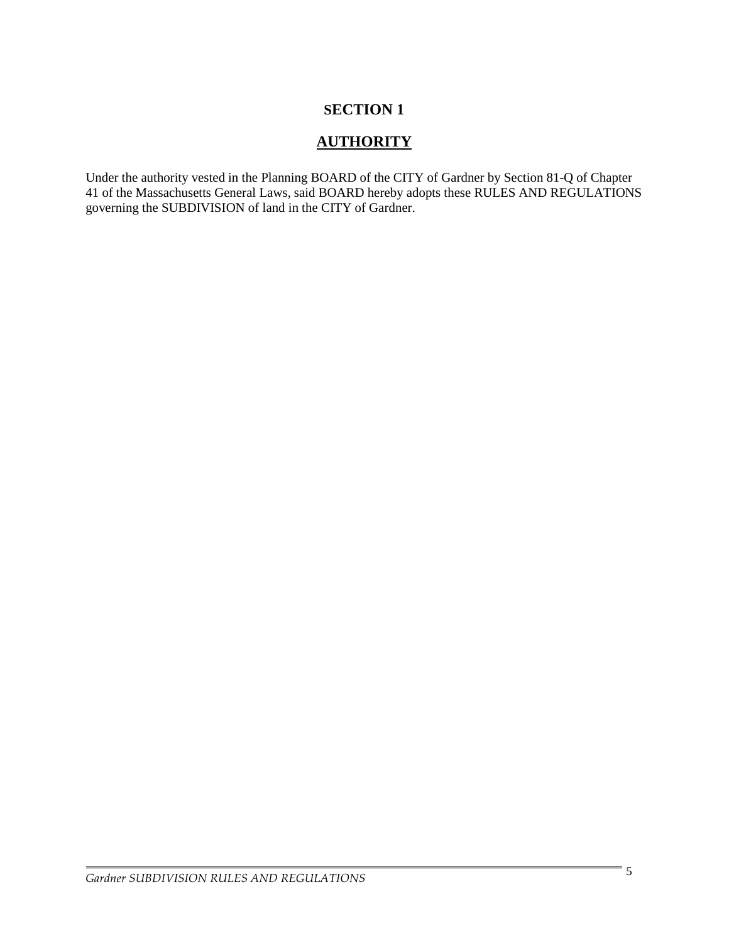# **SECTION 1**

# **AUTHORITY**

Under the authority vested in the Planning BOARD of the CITY of Gardner by Section 81-Q of Chapter 41 of the Massachusetts General Laws, said BOARD hereby adopts these RULES AND REGULATIONS governing the SUBDIVISION of land in the CITY of Gardner.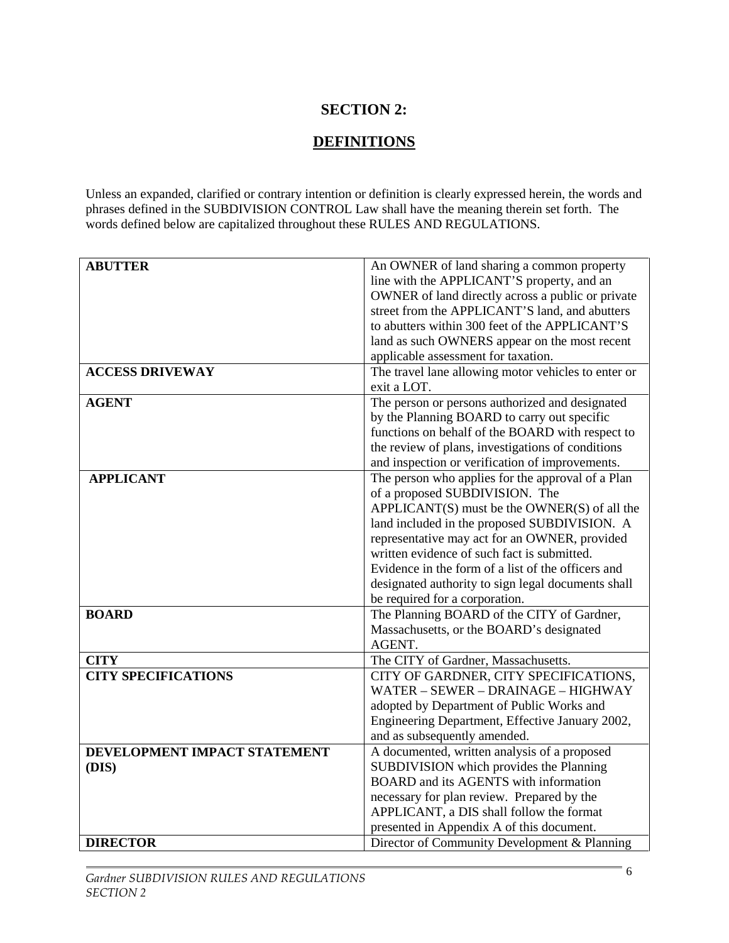# **SECTION 2:**

# **DEFINITIONS**

Unless an expanded, clarified or contrary intention or definition is clearly expressed herein, the words and phrases defined in the SUBDIVISION CONTROL Law shall have the meaning therein set forth. The words defined below are capitalized throughout these RULES AND REGULATIONS.

| <b>ABUTTER</b>               | An OWNER of land sharing a common property          |  |
|------------------------------|-----------------------------------------------------|--|
|                              |                                                     |  |
|                              | line with the APPLICANT'S property, and an          |  |
|                              | OWNER of land directly across a public or private   |  |
|                              | street from the APPLICANT'S land, and abutters      |  |
|                              | to abutters within 300 feet of the APPLICANT'S      |  |
|                              | land as such OWNERS appear on the most recent       |  |
|                              | applicable assessment for taxation.                 |  |
| <b>ACCESS DRIVEWAY</b>       | The travel lane allowing motor vehicles to enter or |  |
|                              | exit a LOT.                                         |  |
| <b>AGENT</b>                 | The person or persons authorized and designated     |  |
|                              | by the Planning BOARD to carry out specific         |  |
|                              | functions on behalf of the BOARD with respect to    |  |
|                              | the review of plans, investigations of conditions   |  |
|                              | and inspection or verification of improvements.     |  |
| <b>APPLICANT</b>             | The person who applies for the approval of a Plan   |  |
|                              | of a proposed SUBDIVISION. The                      |  |
|                              | $APPLICANT(S)$ must be the OWNER(S) of all the      |  |
|                              |                                                     |  |
|                              | land included in the proposed SUBDIVISION. A        |  |
|                              | representative may act for an OWNER, provided       |  |
|                              | written evidence of such fact is submitted.         |  |
|                              | Evidence in the form of a list of the officers and  |  |
|                              | designated authority to sign legal documents shall  |  |
|                              | be required for a corporation.                      |  |
| <b>BOARD</b>                 | The Planning BOARD of the CITY of Gardner,          |  |
|                              | Massachusetts, or the BOARD's designated            |  |
|                              | AGENT.                                              |  |
| <b>CITY</b>                  | The CITY of Gardner, Massachusetts.                 |  |
| <b>CITY SPECIFICATIONS</b>   | CITY OF GARDNER, CITY SPECIFICATIONS,               |  |
|                              | WATER - SEWER - DRAINAGE - HIGHWAY                  |  |
|                              | adopted by Department of Public Works and           |  |
|                              | Engineering Department, Effective January 2002,     |  |
|                              | and as subsequently amended.                        |  |
| DEVELOPMENT IMPACT STATEMENT | A documented, written analysis of a proposed        |  |
| (DIS)                        | SUBDIVISION which provides the Planning             |  |
|                              | BOARD and its AGENTS with information               |  |
|                              | necessary for plan review. Prepared by the          |  |
|                              | APPLICANT, a DIS shall follow the format            |  |
|                              |                                                     |  |
|                              | presented in Appendix A of this document.           |  |
| <b>DIRECTOR</b>              | Director of Community Development & Planning        |  |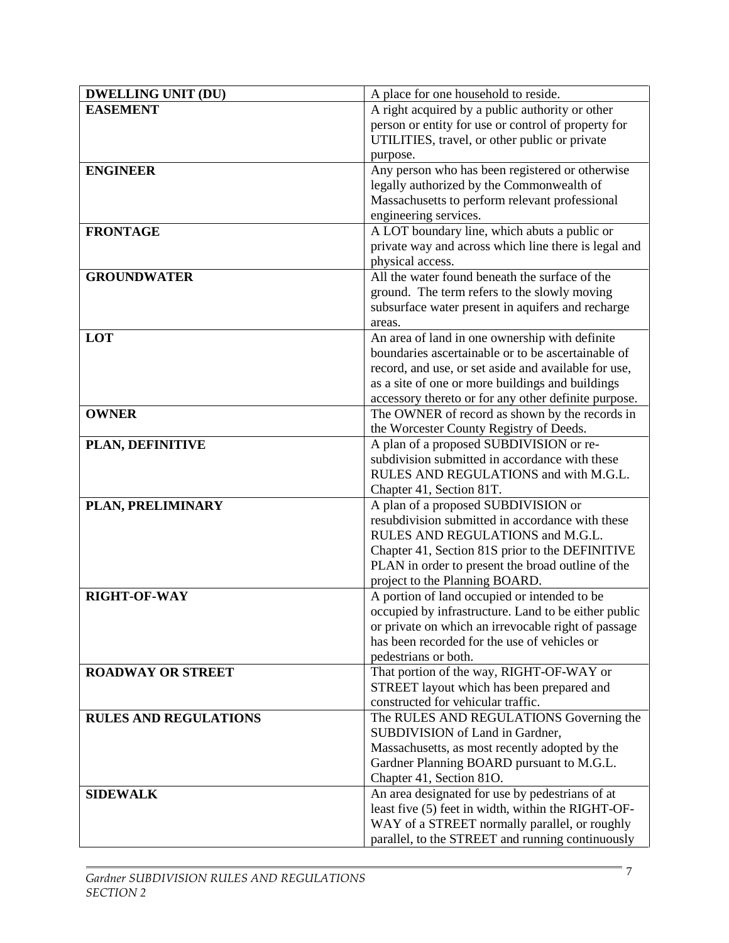| <b>DWELLING UNIT (DU)</b>    | A place for one household to reside.                                            |
|------------------------------|---------------------------------------------------------------------------------|
| <b>EASEMENT</b>              | A right acquired by a public authority or other                                 |
|                              | person or entity for use or control of property for                             |
|                              | UTILITIES, travel, or other public or private                                   |
|                              | purpose.                                                                        |
| <b>ENGINEER</b>              | Any person who has been registered or otherwise                                 |
|                              | legally authorized by the Commonwealth of                                       |
|                              | Massachusetts to perform relevant professional                                  |
|                              | engineering services.                                                           |
| <b>FRONTAGE</b>              | A LOT boundary line, which abuts a public or                                    |
|                              | private way and across which line there is legal and                            |
|                              | physical access.                                                                |
| <b>GROUNDWATER</b>           | All the water found beneath the surface of the                                  |
|                              | ground. The term refers to the slowly moving                                    |
|                              | subsurface water present in aquifers and recharge                               |
| LOT                          | areas.<br>An area of land in one ownership with definite                        |
|                              | boundaries ascertainable or to be ascertainable of                              |
|                              | record, and use, or set aside and available for use,                            |
|                              | as a site of one or more buildings and buildings                                |
|                              | accessory thereto or for any other definite purpose.                            |
| <b>OWNER</b>                 | The OWNER of record as shown by the records in                                  |
|                              | the Worcester County Registry of Deeds.                                         |
| PLAN, DEFINITIVE             | A plan of a proposed SUBDIVISION or re-                                         |
|                              | subdivision submitted in accordance with these                                  |
|                              | RULES AND REGULATIONS and with M.G.L.                                           |
|                              | Chapter 41, Section 81T.                                                        |
| PLAN, PRELIMINARY            | A plan of a proposed SUBDIVISION or                                             |
|                              | resubdivision submitted in accordance with these                                |
|                              | RULES AND REGULATIONS and M.G.L.                                                |
|                              | Chapter 41, Section 81S prior to the DEFINITIVE                                 |
|                              | PLAN in order to present the broad outline of the                               |
|                              | project to the Planning BOARD.                                                  |
| RIGHT-OF-WAY                 | A portion of land occupied or intended to be                                    |
|                              | occupied by infrastructure. Land to be either public                            |
|                              | or private on which an irrevocable right of passage                             |
|                              | has been recorded for the use of vehicles or                                    |
|                              | pedestrians or both.                                                            |
| <b>ROADWAY OR STREET</b>     | That portion of the way, RIGHT-OF-WAY or                                        |
|                              | STREET layout which has been prepared and<br>constructed for vehicular traffic. |
| <b>RULES AND REGULATIONS</b> | The RULES AND REGULATIONS Governing the                                         |
|                              | SUBDIVISION of Land in Gardner,                                                 |
|                              | Massachusetts, as most recently adopted by the                                  |
|                              | Gardner Planning BOARD pursuant to M.G.L.                                       |
|                              | Chapter 41, Section 81O.                                                        |
| <b>SIDEWALK</b>              | An area designated for use by pedestrians of at                                 |
|                              | least five (5) feet in width, within the RIGHT-OF-                              |
|                              | WAY of a STREET normally parallel, or roughly                                   |
|                              | parallel, to the STREET and running continuously                                |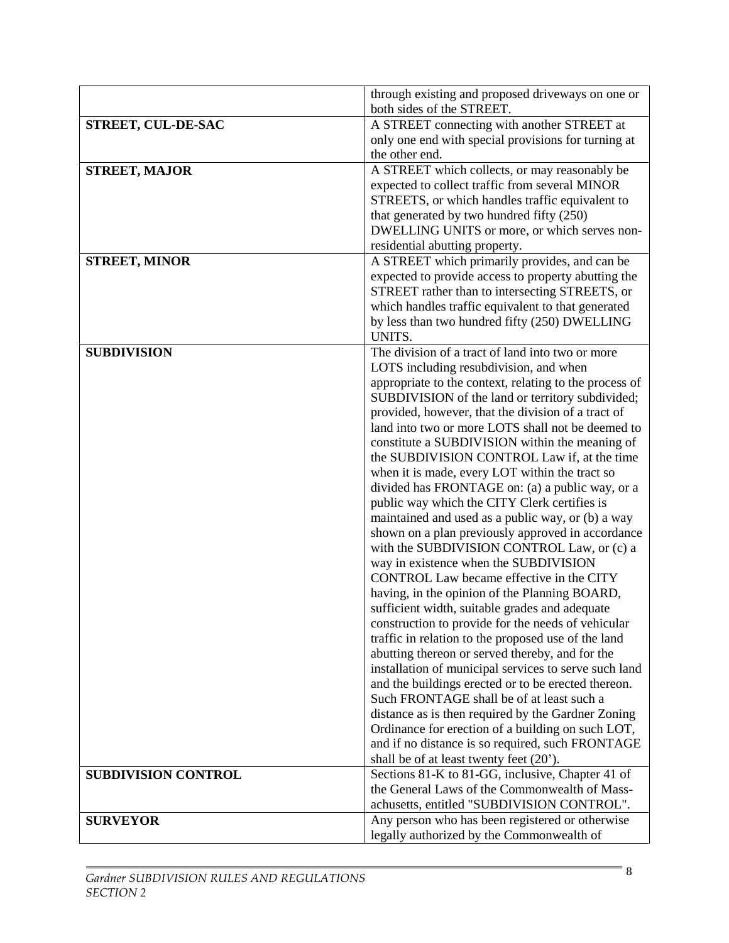|                            | through existing and proposed driveways on one or                                                     |
|----------------------------|-------------------------------------------------------------------------------------------------------|
|                            | both sides of the STREET.                                                                             |
| STREET, CUL-DE-SAC         | A STREET connecting with another STREET at                                                            |
|                            | only one end with special provisions for turning at                                                   |
|                            | the other end.                                                                                        |
| <b>STREET, MAJOR</b>       | A STREET which collects, or may reasonably be                                                         |
|                            | expected to collect traffic from several MINOR                                                        |
|                            | STREETS, or which handles traffic equivalent to                                                       |
|                            | that generated by two hundred fifty (250)                                                             |
|                            | DWELLING UNITS or more, or which serves non-                                                          |
|                            | residential abutting property.                                                                        |
| <b>STREET, MINOR</b>       | A STREET which primarily provides, and can be                                                         |
|                            | expected to provide access to property abutting the<br>STREET rather than to intersecting STREETS, or |
|                            | which handles traffic equivalent to that generated                                                    |
|                            | by less than two hundred fifty (250) DWELLING                                                         |
|                            | UNITS.                                                                                                |
| <b>SUBDIVISION</b>         | The division of a tract of land into two or more                                                      |
|                            | LOTS including resubdivision, and when                                                                |
|                            | appropriate to the context, relating to the process of                                                |
|                            | SUBDIVISION of the land or territory subdivided;                                                      |
|                            | provided, however, that the division of a tract of                                                    |
|                            | land into two or more LOTS shall not be deemed to                                                     |
|                            | constitute a SUBDIVISION within the meaning of                                                        |
|                            | the SUBDIVISION CONTROL Law if, at the time                                                           |
|                            | when it is made, every LOT within the tract so                                                        |
|                            | divided has FRONTAGE on: (a) a public way, or a                                                       |
|                            | public way which the CITY Clerk certifies is                                                          |
|                            | maintained and used as a public way, or (b) a way                                                     |
|                            | shown on a plan previously approved in accordance<br>with the SUBDIVISION CONTROL Law, or (c) a       |
|                            | way in existence when the SUBDIVISION                                                                 |
|                            | CONTROL Law became effective in the CITY                                                              |
|                            | having, in the opinion of the Planning BOARD,                                                         |
|                            | sufficient width, suitable grades and adequate                                                        |
|                            | construction to provide for the needs of vehicular                                                    |
|                            | traffic in relation to the proposed use of the land                                                   |
|                            | abutting thereon or served thereby, and for the                                                       |
|                            | installation of municipal services to serve such land                                                 |
|                            | and the buildings erected or to be erected thereon.                                                   |
|                            | Such FRONTAGE shall be of at least such a                                                             |
|                            | distance as is then required by the Gardner Zoning                                                    |
|                            | Ordinance for erection of a building on such LOT,                                                     |
|                            | and if no distance is so required, such FRONTAGE                                                      |
|                            | shall be of at least twenty feet (20').                                                               |
| <b>SUBDIVISION CONTROL</b> | Sections 81-K to 81-GG, inclusive, Chapter 41 of<br>the General Laws of the Commonwealth of Mass-     |
|                            | achusetts, entitled "SUBDIVISION CONTROL".                                                            |
| <b>SURVEYOR</b>            |                                                                                                       |
|                            | Any person who has been registered or otherwise                                                       |
|                            | legally authorized by the Commonwealth of                                                             |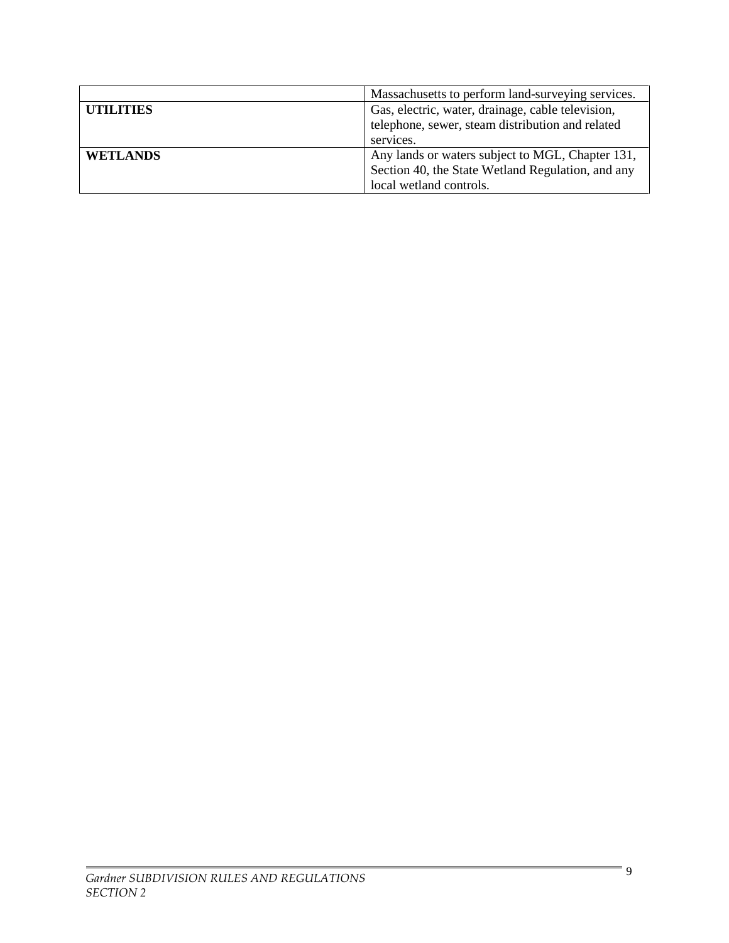|                  | Massachusetts to perform land-surveying services. |  |
|------------------|---------------------------------------------------|--|
| <b>UTILITIES</b> | Gas, electric, water, drainage, cable television, |  |
|                  | telephone, sewer, steam distribution and related  |  |
|                  | services.                                         |  |
| <b>WETLANDS</b>  | Any lands or waters subject to MGL, Chapter 131,  |  |
|                  | Section 40, the State Wetland Regulation, and any |  |
|                  | local wetland controls.                           |  |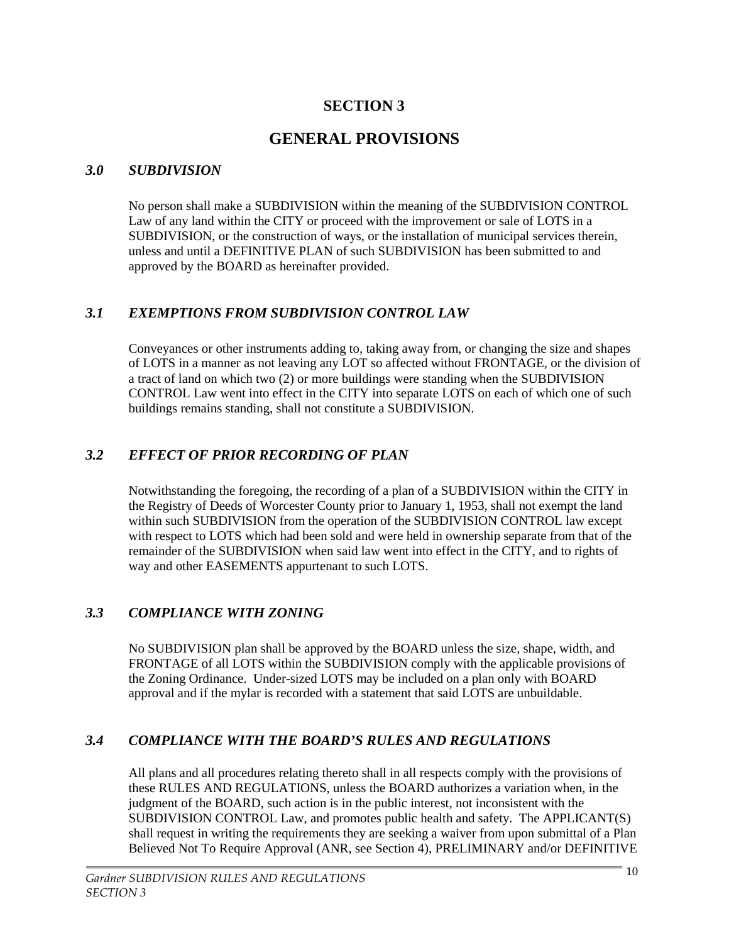# **SECTION 3**

# **GENERAL PROVISIONS**

# *3.0 SUBDIVISION*

No person shall make a SUBDIVISION within the meaning of the SUBDIVISION CONTROL Law of any land within the CITY or proceed with the improvement or sale of LOTS in a SUBDIVISION, or the construction of ways, or the installation of municipal services therein, unless and until a DEFINITIVE PLAN of such SUBDIVISION has been submitted to and approved by the BOARD as hereinafter provided.

# *3.1 EXEMPTIONS FROM SUBDIVISION CONTROL LAW*

Conveyances or other instruments adding to, taking away from, or changing the size and shapes of LOTS in a manner as not leaving any LOT so affected without FRONTAGE, or the division of a tract of land on which two (2) or more buildings were standing when the SUBDIVISION CONTROL Law went into effect in the CITY into separate LOTS on each of which one of such buildings remains standing, shall not constitute a SUBDIVISION.

# *3.2 EFFECT OF PRIOR RECORDING OF PLAN*

Notwithstanding the foregoing, the recording of a plan of a SUBDIVISION within the CITY in the Registry of Deeds of Worcester County prior to January 1, 1953, shall not exempt the land within such SUBDIVISION from the operation of the SUBDIVISION CONTROL law except with respect to LOTS which had been sold and were held in ownership separate from that of the remainder of the SUBDIVISION when said law went into effect in the CITY, and to rights of way and other EASEMENTS appurtenant to such LOTS.

# *3.3 COMPLIANCE WITH ZONING*

No SUBDIVISION plan shall be approved by the BOARD unless the size, shape, width, and FRONTAGE of all LOTS within the SUBDIVISION comply with the applicable provisions of the Zoning Ordinance. Under-sized LOTS may be included on a plan only with BOARD approval and if the mylar is recorded with a statement that said LOTS are unbuildable.

# *3.4 COMPLIANCE WITH THE BOARD'S RULES AND REGULATIONS*

All plans and all procedures relating thereto shall in all respects comply with the provisions of these RULES AND REGULATIONS, unless the BOARD authorizes a variation when, in the judgment of the BOARD, such action is in the public interest, not inconsistent with the SUBDIVISION CONTROL Law, and promotes public health and safety. The APPLICANT(S) shall request in writing the requirements they are seeking a waiver from upon submittal of a Plan Believed Not To Require Approval (ANR, see Section 4), PRELIMINARY and/or DEFINITIVE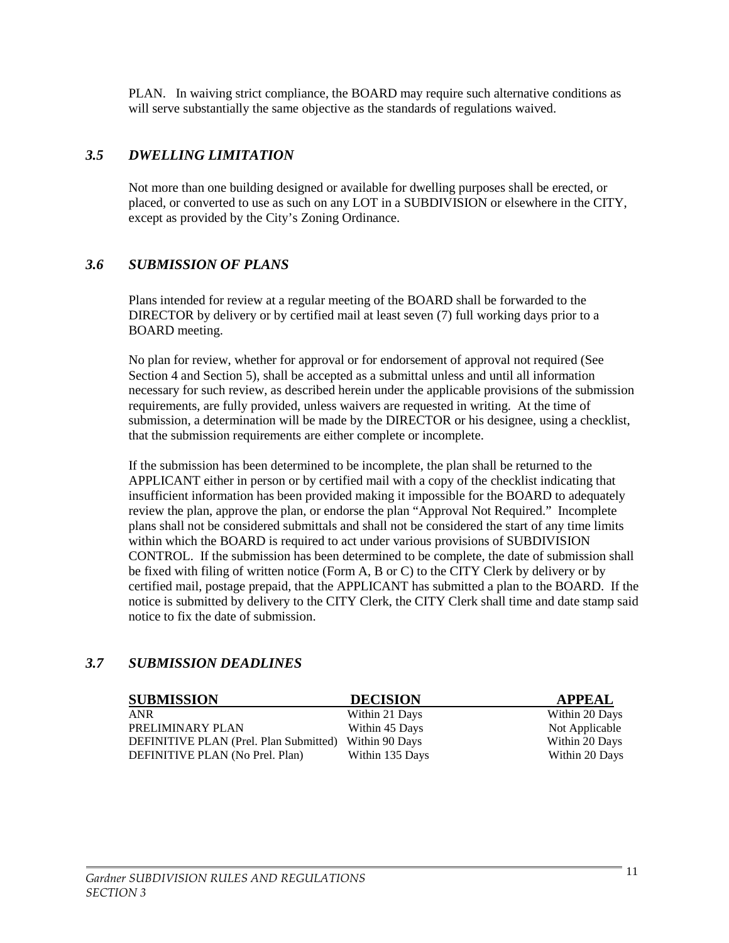PLAN. In waiving strict compliance, the BOARD may require such alternative conditions as will serve substantially the same objective as the standards of regulations waived.

### *3.5 DWELLING LIMITATION*

Not more than one building designed or available for dwelling purposes shall be erected, or placed, or converted to use as such on any LOT in a SUBDIVISION or elsewhere in the CITY, except as provided by the City's Zoning Ordinance.

### *3.6 SUBMISSION OF PLANS*

Plans intended for review at a regular meeting of the BOARD shall be forwarded to the DIRECTOR by delivery or by certified mail at least seven (7) full working days prior to a BOARD meeting.

No plan for review, whether for approval or for endorsement of approval not required (See Section 4 and Section 5), shall be accepted as a submittal unless and until all information necessary for such review, as described herein under the applicable provisions of the submission requirements, are fully provided, unless waivers are requested in writing. At the time of submission, a determination will be made by the DIRECTOR or his designee, using a checklist, that the submission requirements are either complete or incomplete.

If the submission has been determined to be incomplete, the plan shall be returned to the APPLICANT either in person or by certified mail with a copy of the checklist indicating that insufficient information has been provided making it impossible for the BOARD to adequately review the plan, approve the plan, or endorse the plan "Approval Not Required." Incomplete plans shall not be considered submittals and shall not be considered the start of any time limits within which the BOARD is required to act under various provisions of SUBDIVISION CONTROL. If the submission has been determined to be complete, the date of submission shall be fixed with filing of written notice (Form A, B or C) to the CITY Clerk by delivery or by certified mail, postage prepaid, that the APPLICANT has submitted a plan to the BOARD. If the notice is submitted by delivery to the CITY Clerk, the CITY Clerk shall time and date stamp said notice to fix the date of submission.

### *3.7 SUBMISSION DEADLINES*

| <b>SUBMISSION</b>                      | <b>DECISION</b> | <b>APPEAL</b>  |
|----------------------------------------|-----------------|----------------|
| ANR                                    | Within 21 Days  | Within 20 Days |
| PRELIMINARY PLAN                       | Within 45 Days  | Not Applicable |
| DEFINITIVE PLAN (Prel. Plan Submitted) | Within 90 Days  | Within 20 Days |
| DEFINITIVE PLAN (No Prel. Plan)        | Within 135 Days | Within 20 Days |
|                                        |                 |                |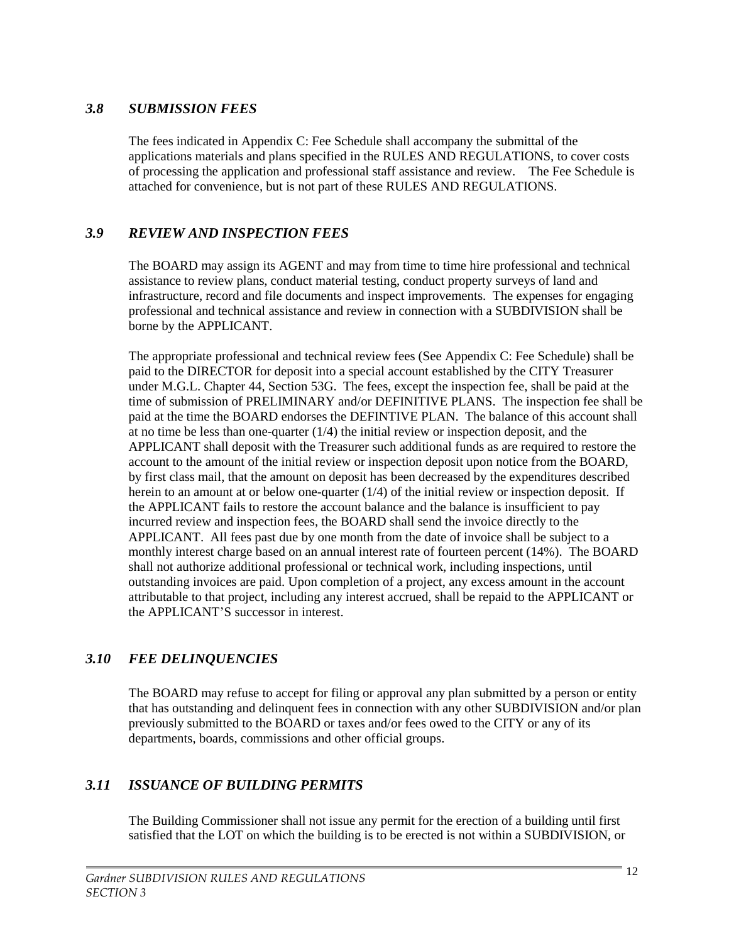#### *3.8 SUBMISSION FEES*

The fees indicated in Appendix C: Fee Schedule shall accompany the submittal of the applications materials and plans specified in the RULES AND REGULATIONS, to cover costs of processing the application and professional staff assistance and review. The Fee Schedule is attached for convenience, but is not part of these RULES AND REGULATIONS.

### *3.9 REVIEW AND INSPECTION FEES*

The BOARD may assign its AGENT and may from time to time hire professional and technical assistance to review plans, conduct material testing, conduct property surveys of land and infrastructure, record and file documents and inspect improvements. The expenses for engaging professional and technical assistance and review in connection with a SUBDIVISION shall be borne by the APPLICANT.

The appropriate professional and technical review fees (See Appendix C: Fee Schedule) shall be paid to the DIRECTOR for deposit into a special account established by the CITY Treasurer under M.G.L. Chapter 44, Section 53G. The fees, except the inspection fee, shall be paid at the time of submission of PRELIMINARY and/or DEFINITIVE PLANS. The inspection fee shall be paid at the time the BOARD endorses the DEFINTIVE PLAN. The balance of this account shall at no time be less than one-quarter  $(1/4)$  the initial review or inspection deposit, and the APPLICANT shall deposit with the Treasurer such additional funds as are required to restore the account to the amount of the initial review or inspection deposit upon notice from the BOARD, by first class mail, that the amount on deposit has been decreased by the expenditures described herein to an amount at or below one-quarter (1/4) of the initial review or inspection deposit. If the APPLICANT fails to restore the account balance and the balance is insufficient to pay incurred review and inspection fees, the BOARD shall send the invoice directly to the APPLICANT. All fees past due by one month from the date of invoice shall be subject to a monthly interest charge based on an annual interest rate of fourteen percent (14%). The BOARD shall not authorize additional professional or technical work, including inspections, until outstanding invoices are paid. Upon completion of a project, any excess amount in the account attributable to that project, including any interest accrued, shall be repaid to the APPLICANT or the APPLICANT'S successor in interest.

# *3.10 FEE DELINQUENCIES*

The BOARD may refuse to accept for filing or approval any plan submitted by a person or entity that has outstanding and delinquent fees in connection with any other SUBDIVISION and/or plan previously submitted to the BOARD or taxes and/or fees owed to the CITY or any of its departments, boards, commissions and other official groups.

### *3.11 ISSUANCE OF BUILDING PERMITS*

The Building Commissioner shall not issue any permit for the erection of a building until first satisfied that the LOT on which the building is to be erected is not within a SUBDIVISION, or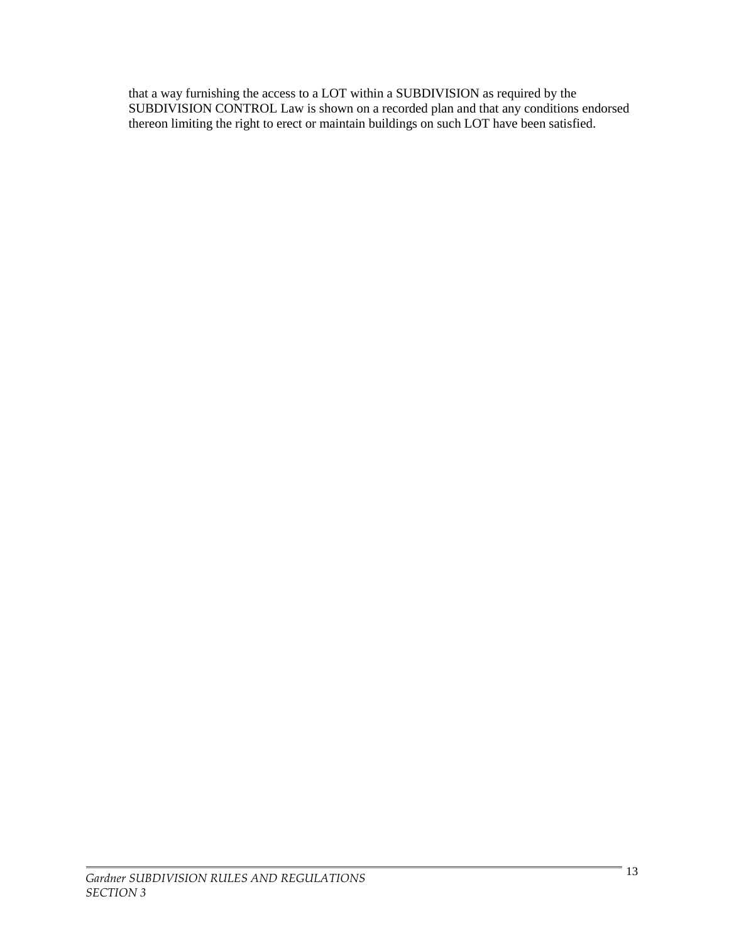that a way furnishing the access to a LOT within a SUBDIVISION as required by the SUBDIVISION CONTROL Law is shown on a recorded plan and that any conditions endorsed thereon limiting the right to erect or maintain buildings on such LOT have been satisfied.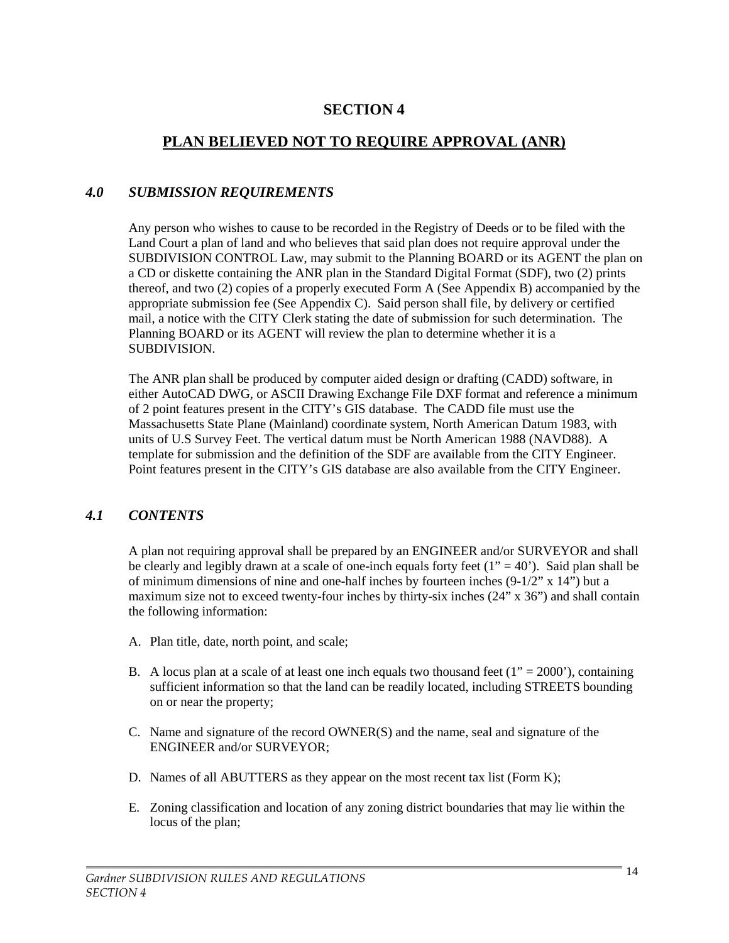# **SECTION 4**

# **PLAN BELIEVED NOT TO REQUIRE APPROVAL (ANR)**

# *4.0 SUBMISSION REQUIREMENTS*

Any person who wishes to cause to be recorded in the Registry of Deeds or to be filed with the Land Court a plan of land and who believes that said plan does not require approval under the SUBDIVISION CONTROL Law, may submit to the Planning BOARD or its AGENT the plan on a CD or diskette containing the ANR plan in the Standard Digital Format (SDF), two (2) prints thereof, and two (2) copies of a properly executed Form A (See Appendix B) accompanied by the appropriate submission fee (See Appendix C). Said person shall file, by delivery or certified mail, a notice with the CITY Clerk stating the date of submission for such determination. The Planning BOARD or its AGENT will review the plan to determine whether it is a SUBDIVISION.

The ANR plan shall be produced by computer aided design or drafting (CADD) software, in either AutoCAD DWG, or ASCII Drawing Exchange File DXF format and reference a minimum of 2 point features present in the CITY's GIS database. The CADD file must use the Massachusetts State Plane (Mainland) coordinate system, North American Datum 1983, with units of U.S Survey Feet. The vertical datum must be North American 1988 (NAVD88). A template for submission and the definition of the SDF are available from the CITY Engineer. Point features present in the CITY's GIS database are also available from the CITY Engineer.

### *4.1 CONTENTS*

A plan not requiring approval shall be prepared by an ENGINEER and/or SURVEYOR and shall be clearly and legibly drawn at a scale of one-inch equals forty feet  $(1" = 40')$ . Said plan shall be of minimum dimensions of nine and one-half inches by fourteen inches  $(9-1/2" \times 14")$  but a maximum size not to exceed twenty-four inches by thirty-six inches (24" x 36") and shall contain the following information:

- A. Plan title, date, north point, and scale;
- B. A locus plan at a scale of at least one inch equals two thousand feet  $(1" = 2000")$ , containing sufficient information so that the land can be readily located, including STREETS bounding on or near the property;
- C. Name and signature of the record OWNER(S) and the name, seal and signature of the ENGINEER and/or SURVEYOR;
- D. Names of all ABUTTERS as they appear on the most recent tax list (Form K);
- E. Zoning classification and location of any zoning district boundaries that may lie within the locus of the plan;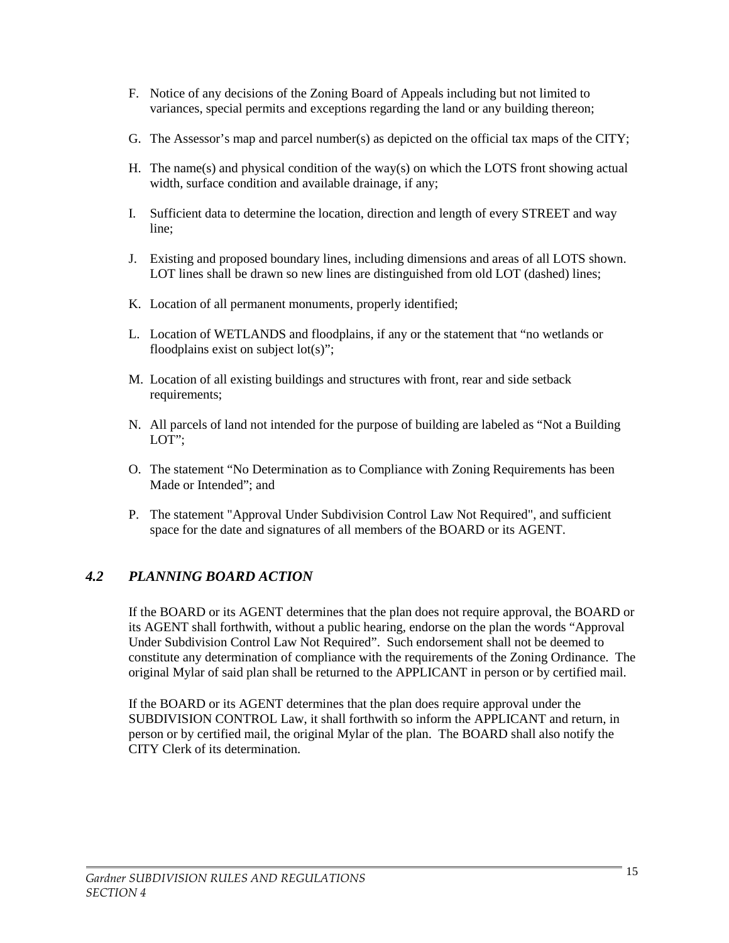- F. Notice of any decisions of the Zoning Board of Appeals including but not limited to variances, special permits and exceptions regarding the land or any building thereon;
- G. The Assessor's map and parcel number(s) as depicted on the official tax maps of the CITY;
- H. The name(s) and physical condition of the way(s) on which the LOTS front showing actual width, surface condition and available drainage, if any;
- I. Sufficient data to determine the location, direction and length of every STREET and way line;
- J. Existing and proposed boundary lines, including dimensions and areas of all LOTS shown. LOT lines shall be drawn so new lines are distinguished from old LOT (dashed) lines;
- K. Location of all permanent monuments, properly identified;
- L. Location of WETLANDS and floodplains, if any or the statement that "no wetlands or floodplains exist on subject  $lot(s)$ ";
- M. Location of all existing buildings and structures with front, rear and side setback requirements;
- N. All parcels of land not intended for the purpose of building are labeled as "Not a Building LOT";
- O. The statement "No Determination as to Compliance with Zoning Requirements has been Made or Intended"; and
- P. The statement "Approval Under Subdivision Control Law Not Required", and sufficient space for the date and signatures of all members of the BOARD or its AGENT.

# *4.2 PLANNING BOARD ACTION*

If the BOARD or its AGENT determines that the plan does not require approval, the BOARD or its AGENT shall forthwith, without a public hearing, endorse on the plan the words "Approval Under Subdivision Control Law Not Required". Such endorsement shall not be deemed to constitute any determination of compliance with the requirements of the Zoning Ordinance. The original Mylar of said plan shall be returned to the APPLICANT in person or by certified mail.

If the BOARD or its AGENT determines that the plan does require approval under the SUBDIVISION CONTROL Law, it shall forthwith so inform the APPLICANT and return, in person or by certified mail, the original Mylar of the plan. The BOARD shall also notify the CITY Clerk of its determination.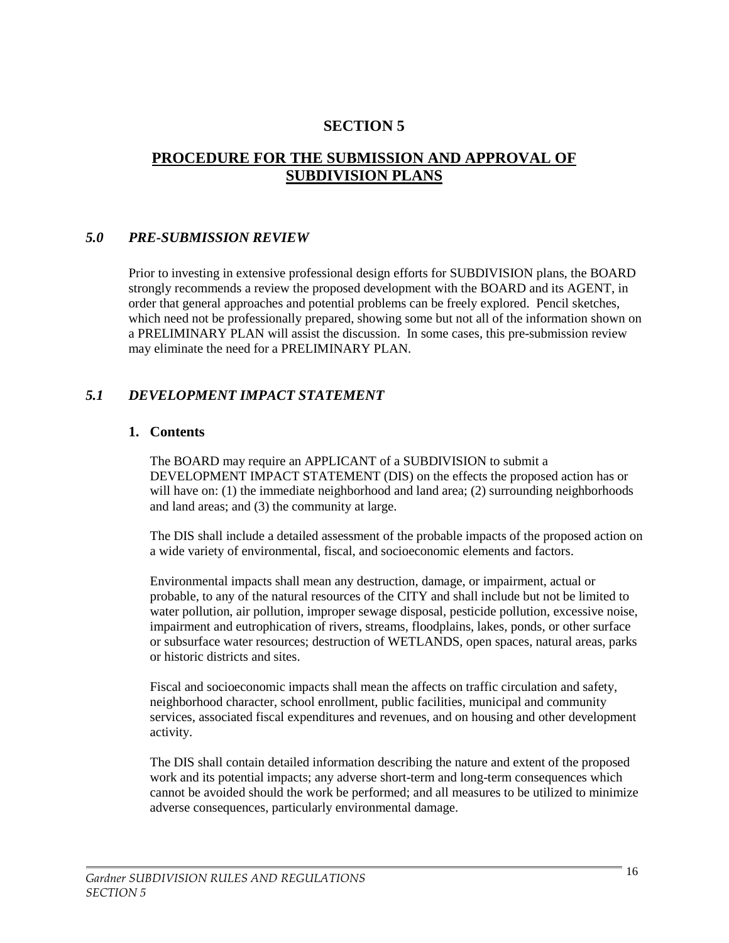# **SECTION 5**

# **PROCEDURE FOR THE SUBMISSION AND APPROVAL OF SUBDIVISION PLANS**

#### *5.0 PRE-SUBMISSION REVIEW*

Prior to investing in extensive professional design efforts for SUBDIVISION plans, the BOARD strongly recommends a review the proposed development with the BOARD and its AGENT, in order that general approaches and potential problems can be freely explored. Pencil sketches, which need not be professionally prepared, showing some but not all of the information shown on a PRELIMINARY PLAN will assist the discussion. In some cases, this pre-submission review may eliminate the need for a PRELIMINARY PLAN.

#### *5.1 DEVELOPMENT IMPACT STATEMENT*

#### **1. Contents**

The BOARD may require an APPLICANT of a SUBDIVISION to submit a DEVELOPMENT IMPACT STATEMENT (DIS) on the effects the proposed action has or will have on: (1) the immediate neighborhood and land area; (2) surrounding neighborhoods and land areas; and (3) the community at large.

The DIS shall include a detailed assessment of the probable impacts of the proposed action on a wide variety of environmental, fiscal, and socioeconomic elements and factors.

Environmental impacts shall mean any destruction, damage, or impairment, actual or probable, to any of the natural resources of the CITY and shall include but not be limited to water pollution, air pollution, improper sewage disposal, pesticide pollution, excessive noise, impairment and eutrophication of rivers, streams, floodplains, lakes, ponds, or other surface or subsurface water resources; destruction of WETLANDS, open spaces, natural areas, parks or historic districts and sites.

Fiscal and socioeconomic impacts shall mean the affects on traffic circulation and safety, neighborhood character, school enrollment, public facilities, municipal and community services, associated fiscal expenditures and revenues, and on housing and other development activity.

The DIS shall contain detailed information describing the nature and extent of the proposed work and its potential impacts; any adverse short-term and long-term consequences which cannot be avoided should the work be performed; and all measures to be utilized to minimize adverse consequences, particularly environmental damage.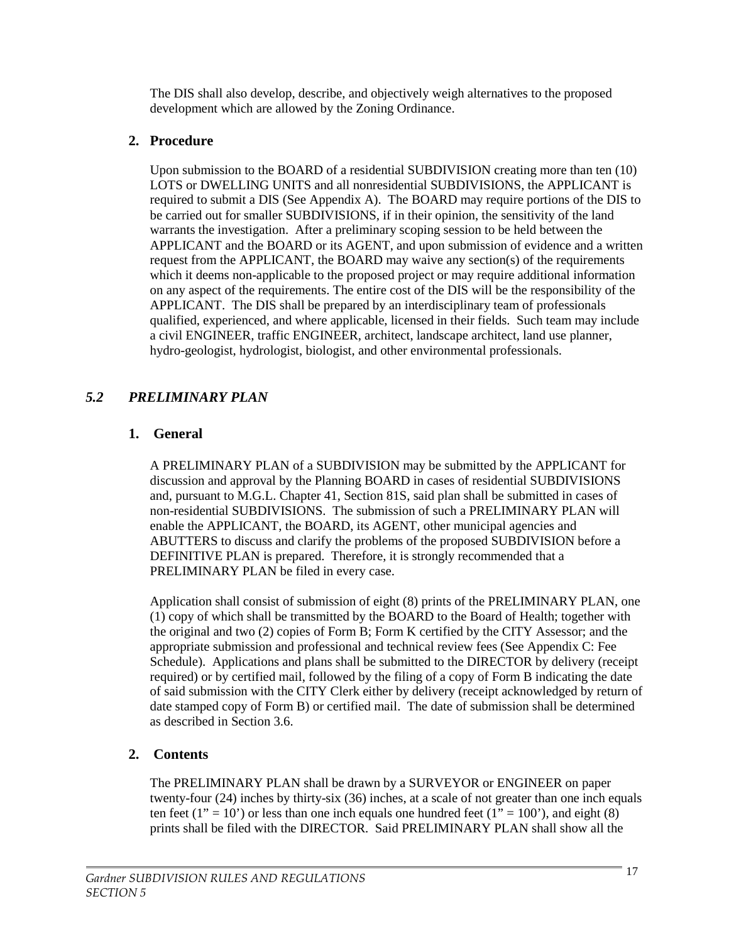The DIS shall also develop, describe, and objectively weigh alternatives to the proposed development which are allowed by the Zoning Ordinance.

# **2. Procedure**

Upon submission to the BOARD of a residential SUBDIVISION creating more than ten (10) LOTS or DWELLING UNITS and all nonresidential SUBDIVISIONS, the APPLICANT is required to submit a DIS (See Appendix A). The BOARD may require portions of the DIS to be carried out for smaller SUBDIVISIONS, if in their opinion, the sensitivity of the land warrants the investigation. After a preliminary scoping session to be held between the APPLICANT and the BOARD or its AGENT, and upon submission of evidence and a written request from the APPLICANT, the BOARD may waive any section(s) of the requirements which it deems non-applicable to the proposed project or may require additional information on any aspect of the requirements. The entire cost of the DIS will be the responsibility of the APPLICANT. The DIS shall be prepared by an interdisciplinary team of professionals qualified, experienced, and where applicable, licensed in their fields. Such team may include a civil ENGINEER, traffic ENGINEER, architect, landscape architect, land use planner, hydro-geologist, hydrologist, biologist, and other environmental professionals.

# *5.2 PRELIMINARY PLAN*

# **1. General**

A PRELIMINARY PLAN of a SUBDIVISION may be submitted by the APPLICANT for discussion and approval by the Planning BOARD in cases of residential SUBDIVISIONS and, pursuant to M.G.L. Chapter 41, Section 81S, said plan shall be submitted in cases of non-residential SUBDIVISIONS. The submission of such a PRELIMINARY PLAN will enable the APPLICANT, the BOARD, its AGENT, other municipal agencies and ABUTTERS to discuss and clarify the problems of the proposed SUBDIVISION before a DEFINITIVE PLAN is prepared. Therefore, it is strongly recommended that a PRELIMINARY PLAN be filed in every case.

Application shall consist of submission of eight (8) prints of the PRELIMINARY PLAN, one (1) copy of which shall be transmitted by the BOARD to the Board of Health; together with the original and two (2) copies of Form B; Form K certified by the CITY Assessor; and the appropriate submission and professional and technical review fees (See Appendix C: Fee Schedule). Applications and plans shall be submitted to the DIRECTOR by delivery (receipt required) or by certified mail, followed by the filing of a copy of Form B indicating the date of said submission with the CITY Clerk either by delivery (receipt acknowledged by return of date stamped copy of Form B) or certified mail. The date of submission shall be determined as described in Section 3.6.

# **2. Contents**

The PRELIMINARY PLAN shall be drawn by a SURVEYOR or ENGINEER on paper twenty-four (24) inches by thirty-six (36) inches, at a scale of not greater than one inch equals ten feet (1" = 10") or less than one inch equals one hundred feet (1" = 100"), and eight (8) prints shall be filed with the DIRECTOR. Said PRELIMINARY PLAN shall show all the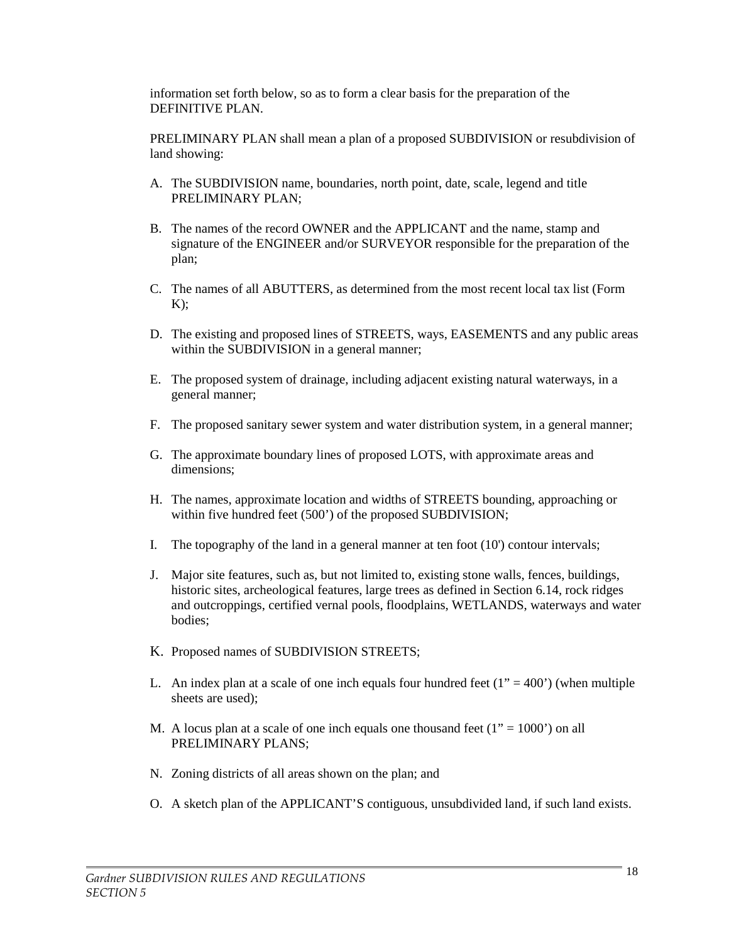information set forth below, so as to form a clear basis for the preparation of the DEFINITIVE PLAN.

PRELIMINARY PLAN shall mean a plan of a proposed SUBDIVISION or resubdivision of land showing:

- A. The SUBDIVISION name, boundaries, north point, date, scale, legend and title PRELIMINARY PLAN;
- B. The names of the record OWNER and the APPLICANT and the name, stamp and signature of the ENGINEER and/or SURVEYOR responsible for the preparation of the plan;
- C. The names of all ABUTTERS, as determined from the most recent local tax list (Form  $K$ ):
- D. The existing and proposed lines of STREETS, ways, EASEMENTS and any public areas within the SUBDIVISION in a general manner;
- E. The proposed system of drainage, including adjacent existing natural waterways, in a general manner;
- F. The proposed sanitary sewer system and water distribution system, in a general manner;
- G. The approximate boundary lines of proposed LOTS, with approximate areas and dimensions;
- H. The names, approximate location and widths of STREETS bounding, approaching or within five hundred feet (500') of the proposed SUBDIVISION;
- I. The topography of the land in a general manner at ten foot (10') contour intervals;
- J. Major site features, such as, but not limited to, existing stone walls, fences, buildings, historic sites, archeological features, large trees as defined in Section 6.14, rock ridges and outcroppings, certified vernal pools, floodplains, WETLANDS, waterways and water bodies;
- K. Proposed names of SUBDIVISION STREETS;
- L. An index plan at a scale of one inch equals four hundred feet  $(1" = 400')$  (when multiple sheets are used);
- M. A locus plan at a scale of one inch equals one thousand feet  $(1" = 1000')$  on all PRELIMINARY PLANS:
- N. Zoning districts of all areas shown on the plan; and
- O. A sketch plan of the APPLICANT'S contiguous, unsubdivided land, if such land exists.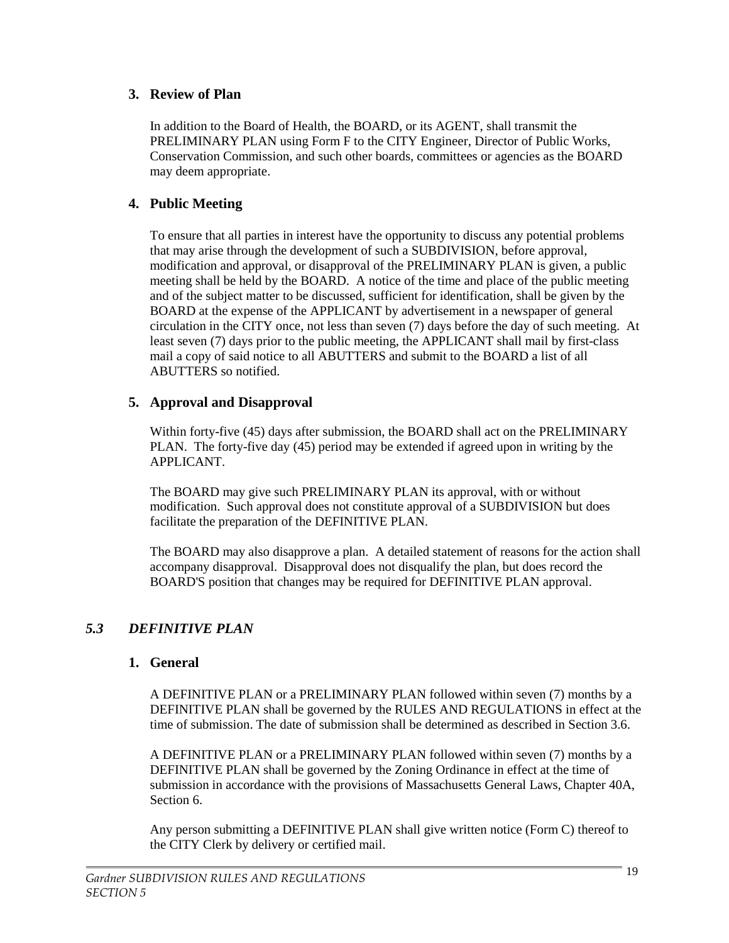### **3. Review of Plan**

In addition to the Board of Health, the BOARD, or its AGENT, shall transmit the PRELIMINARY PLAN using Form F to the CITY Engineer, Director of Public Works, Conservation Commission, and such other boards, committees or agencies as the BOARD may deem appropriate.

### **4. Public Meeting**

To ensure that all parties in interest have the opportunity to discuss any potential problems that may arise through the development of such a SUBDIVISION, before approval, modification and approval, or disapproval of the PRELIMINARY PLAN is given, a public meeting shall be held by the BOARD. A notice of the time and place of the public meeting and of the subject matter to be discussed, sufficient for identification, shall be given by the BOARD at the expense of the APPLICANT by advertisement in a newspaper of general circulation in the CITY once, not less than seven (7) days before the day of such meeting. At least seven (7) days prior to the public meeting, the APPLICANT shall mail by first-class mail a copy of said notice to all ABUTTERS and submit to the BOARD a list of all ABUTTERS so notified.

# **5. Approval and Disapproval**

Within forty-five (45) days after submission, the BOARD shall act on the PRELIMINARY PLAN. The forty-five day (45) period may be extended if agreed upon in writing by the APPLICANT.

The BOARD may give such PRELIMINARY PLAN its approval, with or without modification. Such approval does not constitute approval of a SUBDIVISION but does facilitate the preparation of the DEFINITIVE PLAN.

The BOARD may also disapprove a plan. A detailed statement of reasons for the action shall accompany disapproval. Disapproval does not disqualify the plan, but does record the BOARD'S position that changes may be required for DEFINITIVE PLAN approval.

# *5.3 DEFINITIVE PLAN*

### **1. General**

A DEFINITIVE PLAN or a PRELIMINARY PLAN followed within seven (7) months by a DEFINITIVE PLAN shall be governed by the RULES AND REGULATIONS in effect at the time of submission. The date of submission shall be determined as described in Section 3.6.

A DEFINITIVE PLAN or a PRELIMINARY PLAN followed within seven (7) months by a DEFINITIVE PLAN shall be governed by the Zoning Ordinance in effect at the time of submission in accordance with the provisions of Massachusetts General Laws, Chapter 40A, Section 6.

Any person submitting a DEFINITIVE PLAN shall give written notice (Form C) thereof to the CITY Clerk by delivery or certified mail.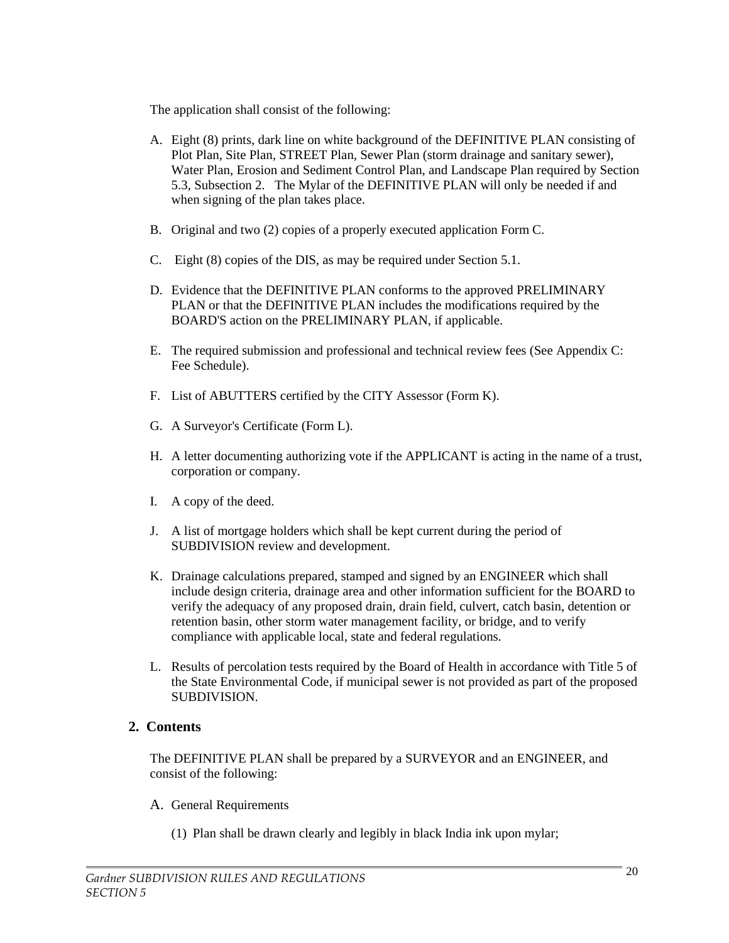The application shall consist of the following:

- A. Eight (8) prints, dark line on white background of the DEFINITIVE PLAN consisting of Plot Plan, Site Plan, STREET Plan, Sewer Plan (storm drainage and sanitary sewer), Water Plan, Erosion and Sediment Control Plan, and Landscape Plan required by Section 5.3, Subsection 2. The Mylar of the DEFINITIVE PLAN will only be needed if and when signing of the plan takes place.
- B. Original and two (2) copies of a properly executed application Form C.
- C. Eight (8) copies of the DIS, as may be required under Section 5.1.
- D. Evidence that the DEFINITIVE PLAN conforms to the approved PRELIMINARY PLAN or that the DEFINITIVE PLAN includes the modifications required by the BOARD'S action on the PRELIMINARY PLAN, if applicable.
- E. The required submission and professional and technical review fees (See Appendix C: Fee Schedule).
- F. List of ABUTTERS certified by the CITY Assessor (Form K).
- G. A Surveyor's Certificate (Form L).
- H. A letter documenting authorizing vote if the APPLICANT is acting in the name of a trust, corporation or company.
- I. A copy of the deed.
- J. A list of mortgage holders which shall be kept current during the period of SUBDIVISION review and development.
- K. Drainage calculations prepared, stamped and signed by an ENGINEER which shall include design criteria, drainage area and other information sufficient for the BOARD to verify the adequacy of any proposed drain, drain field, culvert, catch basin, detention or retention basin, other storm water management facility, or bridge, and to verify compliance with applicable local, state and federal regulations.
- L. Results of percolation tests required by the Board of Health in accordance with Title 5 of the State Environmental Code, if municipal sewer is not provided as part of the proposed SUBDIVISION.

### **2. Contents**

The DEFINITIVE PLAN shall be prepared by a SURVEYOR and an ENGINEER, and consist of the following:

- A. General Requirements
	- (1) Plan shall be drawn clearly and legibly in black India ink upon mylar;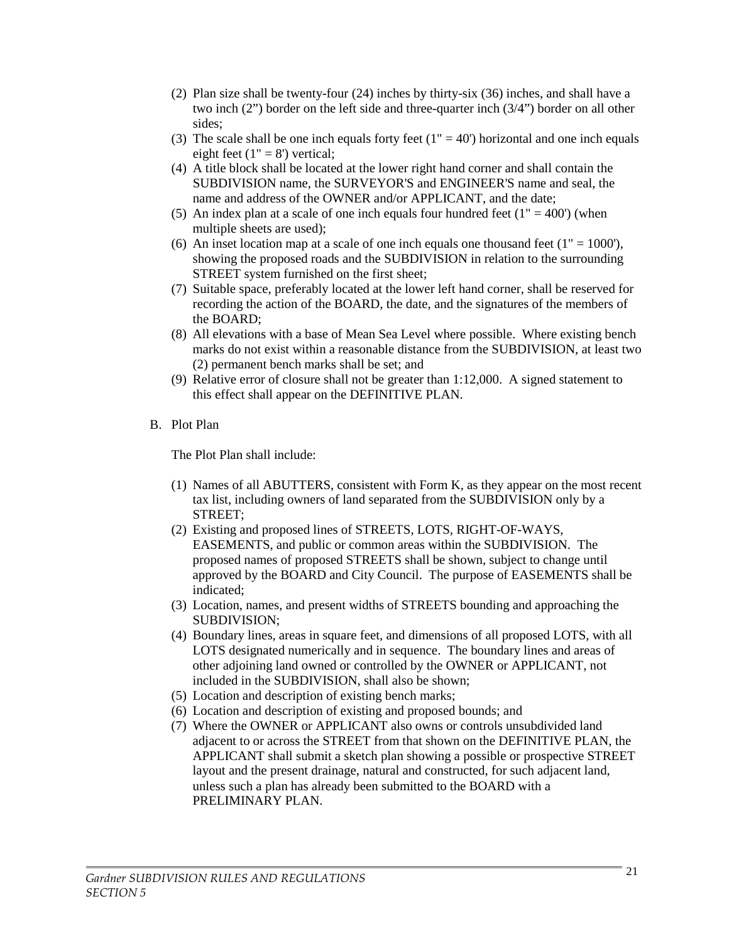- (2) Plan size shall be twenty-four (24) inches by thirty-six (36) inches, and shall have a two inch (2") border on the left side and three-quarter inch (3/4") border on all other sides;
- (3) The scale shall be one inch equals forty feet  $(1" = 40)$  horizontal and one inch equals eight feet  $(1" = 8')$  vertical;
- (4) A title block shall be located at the lower right hand corner and shall contain the SUBDIVISION name, the SURVEYOR'S and ENGINEER'S name and seal, the name and address of the OWNER and/or APPLICANT, and the date;
- (5) An index plan at a scale of one inch equals four hundred feet  $(1" = 400')$  (when multiple sheets are used);
- (6) An inset location map at a scale of one inch equals one thousand feet  $(1" = 1000')$ , showing the proposed roads and the SUBDIVISION in relation to the surrounding STREET system furnished on the first sheet;
- (7) Suitable space, preferably located at the lower left hand corner, shall be reserved for recording the action of the BOARD, the date, and the signatures of the members of the BOARD;
- (8) All elevations with a base of Mean Sea Level where possible. Where existing bench marks do not exist within a reasonable distance from the SUBDIVISION, at least two (2) permanent bench marks shall be set; and
- (9) Relative error of closure shall not be greater than 1:12,000. A signed statement to this effect shall appear on the DEFINITIVE PLAN.
- B. Plot Plan

The Plot Plan shall include:

- (1) Names of all ABUTTERS, consistent with Form K, as they appear on the most recent tax list, including owners of land separated from the SUBDIVISION only by a STREET;
- (2) Existing and proposed lines of STREETS, LOTS, RIGHT-OF-WAYS, EASEMENTS, and public or common areas within the SUBDIVISION. The proposed names of proposed STREETS shall be shown, subject to change until approved by the BOARD and City Council. The purpose of EASEMENTS shall be indicated;
- (3) Location, names, and present widths of STREETS bounding and approaching the SUBDIVISION;
- (4) Boundary lines, areas in square feet, and dimensions of all proposed LOTS, with all LOTS designated numerically and in sequence. The boundary lines and areas of other adjoining land owned or controlled by the OWNER or APPLICANT, not included in the SUBDIVISION, shall also be shown;
- (5) Location and description of existing bench marks;
- (6) Location and description of existing and proposed bounds; and
- (7) Where the OWNER or APPLICANT also owns or controls unsubdivided land adjacent to or across the STREET from that shown on the DEFINITIVE PLAN, the APPLICANT shall submit a sketch plan showing a possible or prospective STREET layout and the present drainage, natural and constructed, for such adjacent land, unless such a plan has already been submitted to the BOARD with a PRELIMINARY PLAN.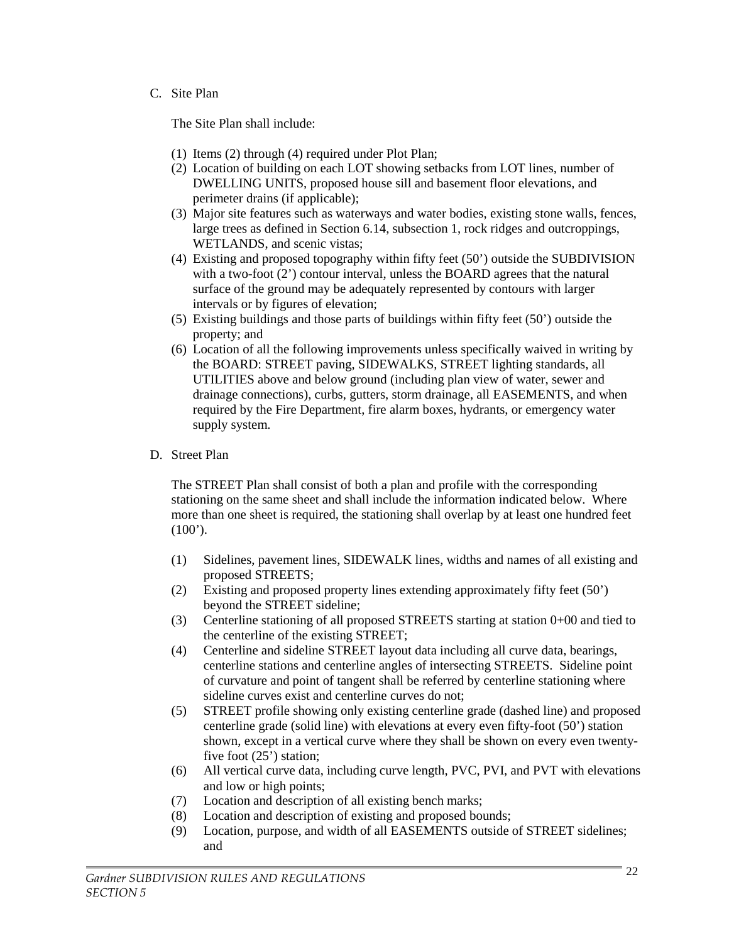#### C. Site Plan

The Site Plan shall include:

- (1) Items (2) through (4) required under Plot Plan;
- (2) Location of building on each LOT showing setbacks from LOT lines, number of DWELLING UNITS, proposed house sill and basement floor elevations, and perimeter drains (if applicable);
- (3) Major site features such as waterways and water bodies, existing stone walls, fences, large trees as defined in Section 6.14, subsection 1, rock ridges and outcroppings, WETLANDS, and scenic vistas;
- (4) Existing and proposed topography within fifty feet (50') outside the SUBDIVISION with a two-foot (2') contour interval, unless the BOARD agrees that the natural surface of the ground may be adequately represented by contours with larger intervals or by figures of elevation;
- (5) Existing buildings and those parts of buildings within fifty feet (50') outside the property; and
- (6) Location of all the following improvements unless specifically waived in writing by the BOARD: STREET paving, SIDEWALKS, STREET lighting standards, all UTILITIES above and below ground (including plan view of water, sewer and drainage connections), curbs, gutters, storm drainage, all EASEMENTS, and when required by the Fire Department, fire alarm boxes, hydrants, or emergency water supply system.
- D. Street Plan

The STREET Plan shall consist of both a plan and profile with the corresponding stationing on the same sheet and shall include the information indicated below. Where more than one sheet is required, the stationing shall overlap by at least one hundred feet  $(100^{\circ})$ .

- (1) Sidelines, pavement lines, SIDEWALK lines, widths and names of all existing and proposed STREETS;
- (2) Existing and proposed property lines extending approximately fifty feet (50') beyond the STREET sideline;
- (3) Centerline stationing of all proposed STREETS starting at station 0+00 and tied to the centerline of the existing STREET;
- (4) Centerline and sideline STREET layout data including all curve data, bearings, centerline stations and centerline angles of intersecting STREETS. Sideline point of curvature and point of tangent shall be referred by centerline stationing where sideline curves exist and centerline curves do not;
- (5) STREET profile showing only existing centerline grade (dashed line) and proposed centerline grade (solid line) with elevations at every even fifty-foot (50') station shown, except in a vertical curve where they shall be shown on every even twentyfive foot (25') station;
- (6) All vertical curve data, including curve length, PVC, PVI, and PVT with elevations and low or high points;
- (7) Location and description of all existing bench marks;
- (8) Location and description of existing and proposed bounds;
- (9) Location, purpose, and width of all EASEMENTS outside of STREET sidelines; and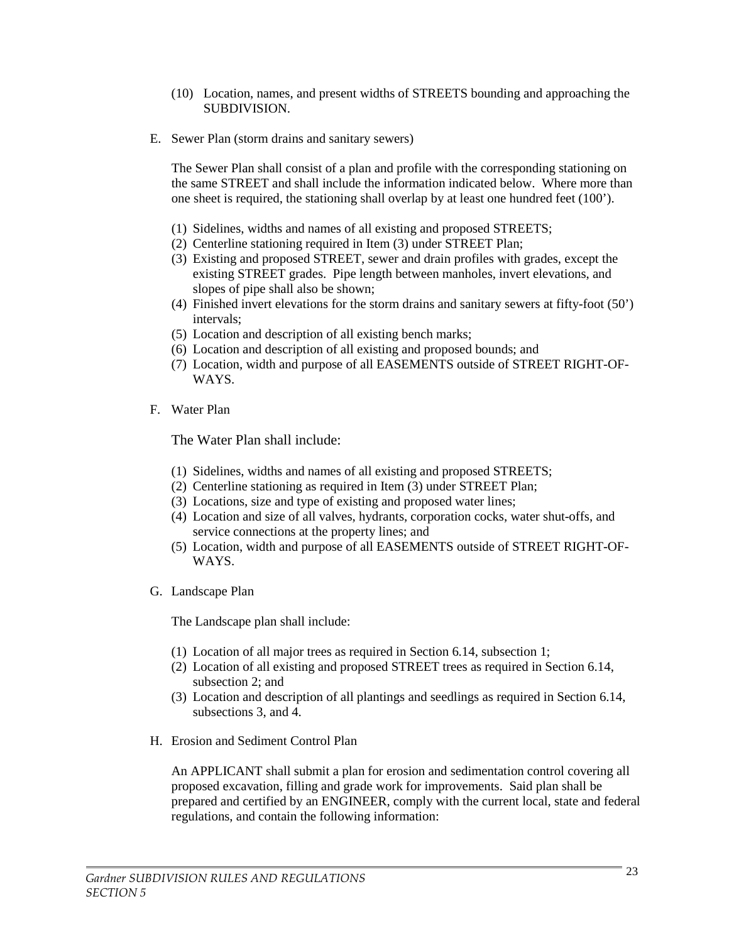- (10) Location, names, and present widths of STREETS bounding and approaching the SUBDIVISION.
- E. Sewer Plan (storm drains and sanitary sewers)

The Sewer Plan shall consist of a plan and profile with the corresponding stationing on the same STREET and shall include the information indicated below. Where more than one sheet is required, the stationing shall overlap by at least one hundred feet (100').

- (1) Sidelines, widths and names of all existing and proposed STREETS;
- (2) Centerline stationing required in Item (3) under STREET Plan;
- (3) Existing and proposed STREET, sewer and drain profiles with grades, except the existing STREET grades. Pipe length between manholes, invert elevations, and slopes of pipe shall also be shown;
- (4) Finished invert elevations for the storm drains and sanitary sewers at fifty-foot (50') intervals;
- (5) Location and description of all existing bench marks;
- (6) Location and description of all existing and proposed bounds; and
- (7) Location, width and purpose of all EASEMENTS outside of STREET RIGHT-OF-WAYS.
- F. Water Plan

The Water Plan shall include:

- (1) Sidelines, widths and names of all existing and proposed STREETS;
- (2) Centerline stationing as required in Item (3) under STREET Plan;
- (3) Locations, size and type of existing and proposed water lines;
- (4) Location and size of all valves, hydrants, corporation cocks, water shut-offs, and service connections at the property lines; and
- (5) Location, width and purpose of all EASEMENTS outside of STREET RIGHT-OF-WAYS.
- G. Landscape Plan

The Landscape plan shall include:

- (1) Location of all major trees as required in Section 6.14, subsection 1;
- (2) Location of all existing and proposed STREET trees as required in Section 6.14, subsection 2; and
- (3) Location and description of all plantings and seedlings as required in Section 6.14, subsections 3, and 4.
- H. Erosion and Sediment Control Plan

An APPLICANT shall submit a plan for erosion and sedimentation control covering all proposed excavation, filling and grade work for improvements. Said plan shall be prepared and certified by an ENGINEER, comply with the current local, state and federal regulations, and contain the following information: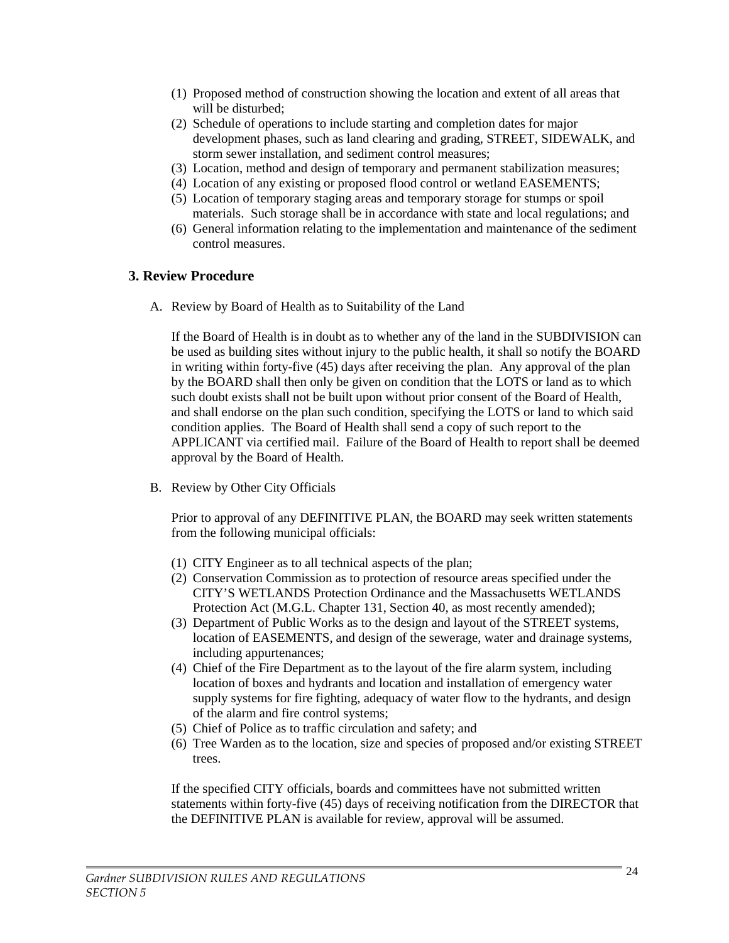- (1) Proposed method of construction showing the location and extent of all areas that will be disturbed;
- (2) Schedule of operations to include starting and completion dates for major development phases, such as land clearing and grading, STREET, SIDEWALK, and storm sewer installation, and sediment control measures;
- (3) Location, method and design of temporary and permanent stabilization measures;
- (4) Location of any existing or proposed flood control or wetland EASEMENTS;
- (5) Location of temporary staging areas and temporary storage for stumps or spoil materials. Such storage shall be in accordance with state and local regulations; and
- (6) General information relating to the implementation and maintenance of the sediment control measures.

#### **3. Review Procedure**

A. Review by Board of Health as to Suitability of the Land

If the Board of Health is in doubt as to whether any of the land in the SUBDIVISION can be used as building sites without injury to the public health, it shall so notify the BOARD in writing within forty-five (45) days after receiving the plan. Any approval of the plan by the BOARD shall then only be given on condition that the LOTS or land as to which such doubt exists shall not be built upon without prior consent of the Board of Health, and shall endorse on the plan such condition, specifying the LOTS or land to which said condition applies. The Board of Health shall send a copy of such report to the APPLICANT via certified mail. Failure of the Board of Health to report shall be deemed approval by the Board of Health.

B. Review by Other City Officials

Prior to approval of any DEFINITIVE PLAN, the BOARD may seek written statements from the following municipal officials:

- (1) CITY Engineer as to all technical aspects of the plan;
- (2) Conservation Commission as to protection of resource areas specified under the CITY'S WETLANDS Protection Ordinance and the Massachusetts WETLANDS Protection Act (M.G.L. Chapter 131, Section 40, as most recently amended);
- (3) Department of Public Works as to the design and layout of the STREET systems, location of EASEMENTS, and design of the sewerage, water and drainage systems, including appurtenances;
- (4) Chief of the Fire Department as to the layout of the fire alarm system, including location of boxes and hydrants and location and installation of emergency water supply systems for fire fighting, adequacy of water flow to the hydrants, and design of the alarm and fire control systems;
- (5) Chief of Police as to traffic circulation and safety; and
- (6) Tree Warden as to the location, size and species of proposed and/or existing STREET trees.

If the specified CITY officials, boards and committees have not submitted written statements within forty-five (45) days of receiving notification from the DIRECTOR that the DEFINITIVE PLAN is available for review, approval will be assumed.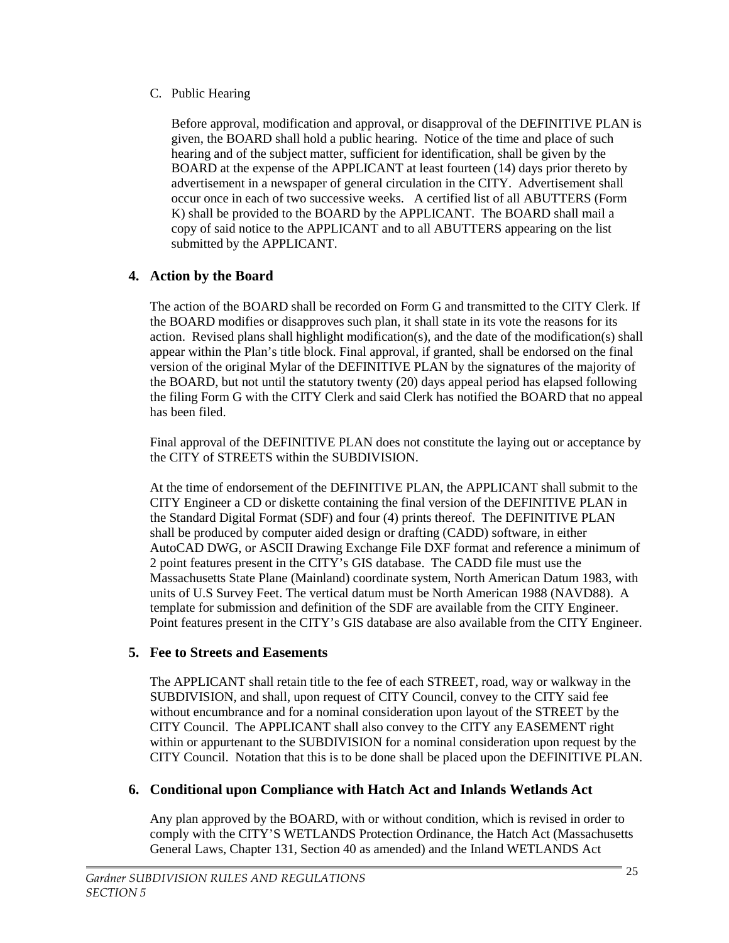#### C. Public Hearing

Before approval, modification and approval, or disapproval of the DEFINITIVE PLAN is given, the BOARD shall hold a public hearing. Notice of the time and place of such hearing and of the subject matter, sufficient for identification, shall be given by the BOARD at the expense of the APPLICANT at least fourteen (14) days prior thereto by advertisement in a newspaper of general circulation in the CITY. Advertisement shall occur once in each of two successive weeks. A certified list of all ABUTTERS (Form K) shall be provided to the BOARD by the APPLICANT. The BOARD shall mail a copy of said notice to the APPLICANT and to all ABUTTERS appearing on the list submitted by the APPLICANT.

# **4. Action by the Board**

The action of the BOARD shall be recorded on Form G and transmitted to the CITY Clerk. If the BOARD modifies or disapproves such plan, it shall state in its vote the reasons for its action. Revised plans shall highlight modification(s), and the date of the modification(s) shall appear within the Plan's title block. Final approval, if granted, shall be endorsed on the final version of the original Mylar of the DEFINITIVE PLAN by the signatures of the majority of the BOARD, but not until the statutory twenty (20) days appeal period has elapsed following the filing Form G with the CITY Clerk and said Clerk has notified the BOARD that no appeal has been filed.

Final approval of the DEFINITIVE PLAN does not constitute the laying out or acceptance by the CITY of STREETS within the SUBDIVISION.

At the time of endorsement of the DEFINITIVE PLAN, the APPLICANT shall submit to the CITY Engineer a CD or diskette containing the final version of the DEFINITIVE PLAN in the Standard Digital Format (SDF) and four (4) prints thereof. The DEFINITIVE PLAN shall be produced by computer aided design or drafting (CADD) software, in either AutoCAD DWG, or ASCII Drawing Exchange File DXF format and reference a minimum of 2 point features present in the CITY's GIS database. The CADD file must use the Massachusetts State Plane (Mainland) coordinate system, North American Datum 1983, with units of U.S Survey Feet. The vertical datum must be North American 1988 (NAVD88). A template for submission and definition of the SDF are available from the CITY Engineer. Point features present in the CITY's GIS database are also available from the CITY Engineer.

# **5. Fee to Streets and Easements**

The APPLICANT shall retain title to the fee of each STREET, road, way or walkway in the SUBDIVISION, and shall, upon request of CITY Council, convey to the CITY said fee without encumbrance and for a nominal consideration upon layout of the STREET by the CITY Council. The APPLICANT shall also convey to the CITY any EASEMENT right within or appurtenant to the SUBDIVISION for a nominal consideration upon request by the CITY Council. Notation that this is to be done shall be placed upon the DEFINITIVE PLAN.

# **6. Conditional upon Compliance with Hatch Act and Inlands Wetlands Act**

Any plan approved by the BOARD, with or without condition, which is revised in order to comply with the CITY'S WETLANDS Protection Ordinance, the Hatch Act (Massachusetts General Laws, Chapter 131, Section 40 as amended) and the Inland WETLANDS Act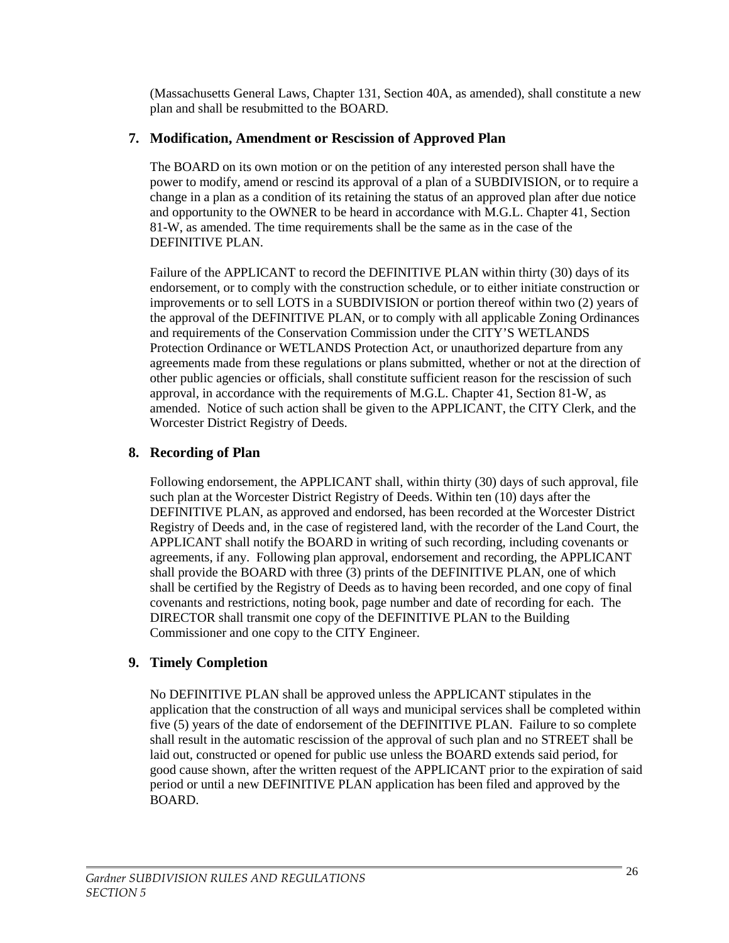(Massachusetts General Laws, Chapter 131, Section 40A, as amended), shall constitute a new plan and shall be resubmitted to the BOARD.

# **7. Modification, Amendment or Rescission of Approved Plan**

The BOARD on its own motion or on the petition of any interested person shall have the power to modify, amend or rescind its approval of a plan of a SUBDIVISION, or to require a change in a plan as a condition of its retaining the status of an approved plan after due notice and opportunity to the OWNER to be heard in accordance with M.G.L. Chapter 41, Section 81-W, as amended. The time requirements shall be the same as in the case of the DEFINITIVE PLAN.

Failure of the APPLICANT to record the DEFINITIVE PLAN within thirty (30) days of its endorsement, or to comply with the construction schedule, or to either initiate construction or improvements or to sell LOTS in a SUBDIVISION or portion thereof within two (2) years of the approval of the DEFINITIVE PLAN, or to comply with all applicable Zoning Ordinances and requirements of the Conservation Commission under the CITY'S WETLANDS Protection Ordinance or WETLANDS Protection Act, or unauthorized departure from any agreements made from these regulations or plans submitted, whether or not at the direction of other public agencies or officials, shall constitute sufficient reason for the rescission of such approval, in accordance with the requirements of M.G.L. Chapter 41, Section 81-W, as amended. Notice of such action shall be given to the APPLICANT, the CITY Clerk, and the Worcester District Registry of Deeds.

# **8. Recording of Plan**

Following endorsement, the APPLICANT shall, within thirty (30) days of such approval, file such plan at the Worcester District Registry of Deeds. Within ten (10) days after the DEFINITIVE PLAN, as approved and endorsed, has been recorded at the Worcester District Registry of Deeds and, in the case of registered land, with the recorder of the Land Court, the APPLICANT shall notify the BOARD in writing of such recording, including covenants or agreements, if any. Following plan approval, endorsement and recording, the APPLICANT shall provide the BOARD with three (3) prints of the DEFINITIVE PLAN, one of which shall be certified by the Registry of Deeds as to having been recorded, and one copy of final covenants and restrictions, noting book, page number and date of recording for each. The DIRECTOR shall transmit one copy of the DEFINITIVE PLAN to the Building Commissioner and one copy to the CITY Engineer.

# **9. Timely Completion**

No DEFINITIVE PLAN shall be approved unless the APPLICANT stipulates in the application that the construction of all ways and municipal services shall be completed within five (5) years of the date of endorsement of the DEFINITIVE PLAN. Failure to so complete shall result in the automatic rescission of the approval of such plan and no STREET shall be laid out, constructed or opened for public use unless the BOARD extends said period, for good cause shown, after the written request of the APPLICANT prior to the expiration of said period or until a new DEFINITIVE PLAN application has been filed and approved by the BOARD.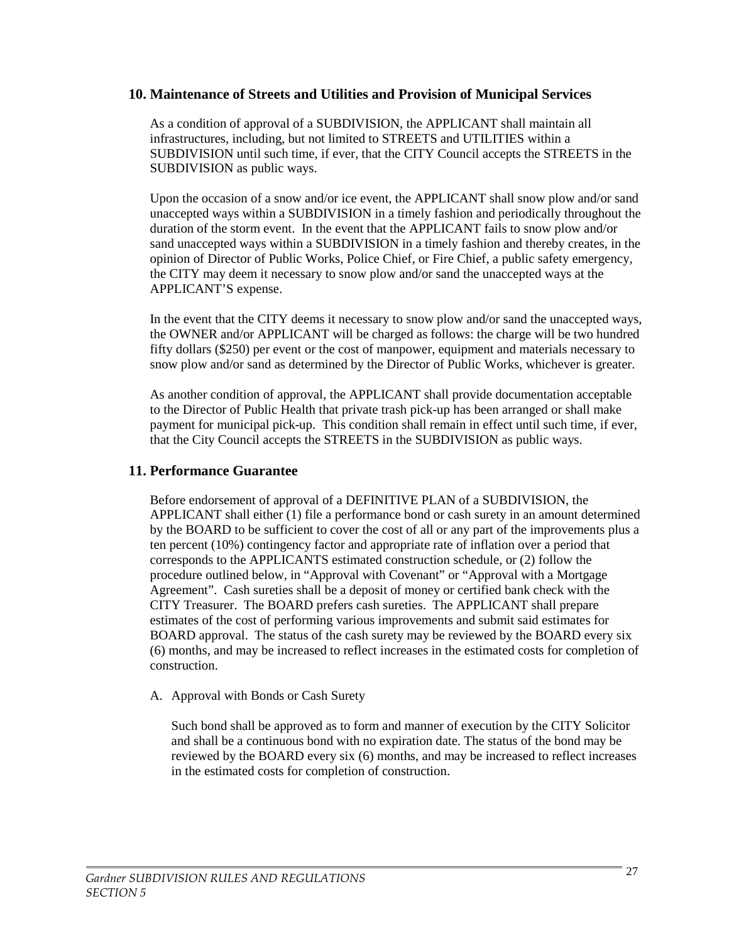#### **10. Maintenance of Streets and Utilities and Provision of Municipal Services**

As a condition of approval of a SUBDIVISION, the APPLICANT shall maintain all infrastructures, including, but not limited to STREETS and UTILITIES within a SUBDIVISION until such time, if ever, that the CITY Council accepts the STREETS in the SUBDIVISION as public ways.

Upon the occasion of a snow and/or ice event, the APPLICANT shall snow plow and/or sand unaccepted ways within a SUBDIVISION in a timely fashion and periodically throughout the duration of the storm event. In the event that the APPLICANT fails to snow plow and/or sand unaccepted ways within a SUBDIVISION in a timely fashion and thereby creates, in the opinion of Director of Public Works, Police Chief, or Fire Chief, a public safety emergency, the CITY may deem it necessary to snow plow and/or sand the unaccepted ways at the APPLICANT'S expense.

In the event that the CITY deems it necessary to snow plow and/or sand the unaccepted ways, the OWNER and/or APPLICANT will be charged as follows: the charge will be two hundred fifty dollars (\$250) per event or the cost of manpower, equipment and materials necessary to snow plow and/or sand as determined by the Director of Public Works, whichever is greater.

As another condition of approval, the APPLICANT shall provide documentation acceptable to the Director of Public Health that private trash pick-up has been arranged or shall make payment for municipal pick-up. This condition shall remain in effect until such time, if ever, that the City Council accepts the STREETS in the SUBDIVISION as public ways.

#### **11. Performance Guarantee**

Before endorsement of approval of a DEFINITIVE PLAN of a SUBDIVISION, the APPLICANT shall either (1) file a performance bond or cash surety in an amount determined by the BOARD to be sufficient to cover the cost of all or any part of the improvements plus a ten percent (10%) contingency factor and appropriate rate of inflation over a period that corresponds to the APPLICANTS estimated construction schedule, or (2) follow the procedure outlined below, in "Approval with Covenant" or "Approval with a Mortgage Agreement". Cash sureties shall be a deposit of money or certified bank check with the CITY Treasurer. The BOARD prefers cash sureties. The APPLICANT shall prepare estimates of the cost of performing various improvements and submit said estimates for BOARD approval. The status of the cash surety may be reviewed by the BOARD every six (6) months, and may be increased to reflect increases in the estimated costs for completion of construction.

#### A. Approval with Bonds or Cash Surety

Such bond shall be approved as to form and manner of execution by the CITY Solicitor and shall be a continuous bond with no expiration date. The status of the bond may be reviewed by the BOARD every six (6) months, and may be increased to reflect increases in the estimated costs for completion of construction.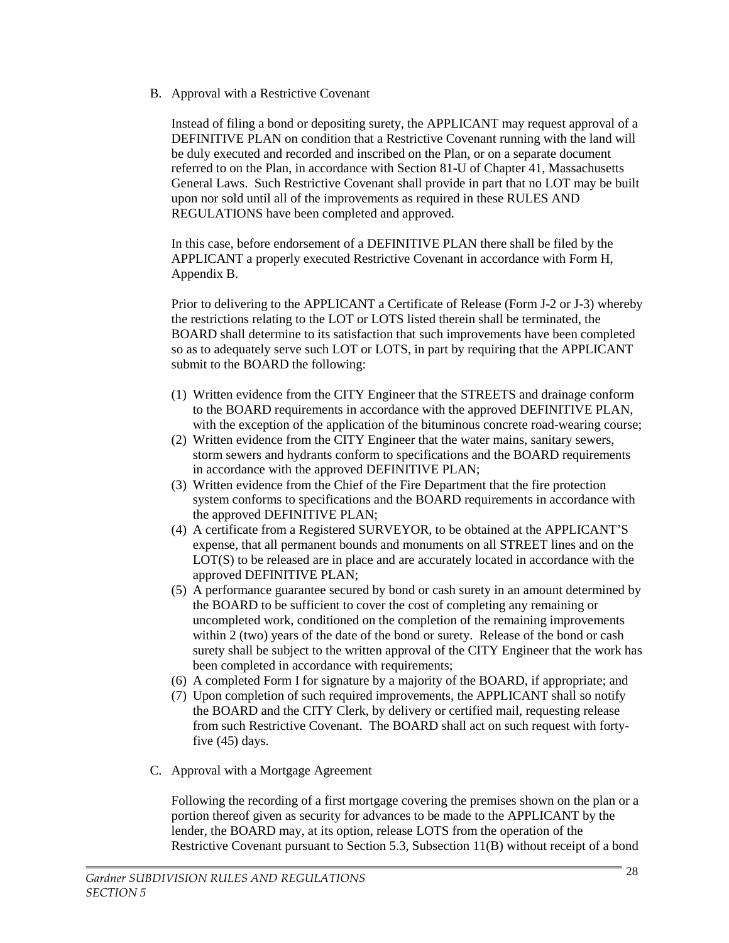B. Approval with a Restrictive Covenant

Instead of filing a bond or depositing surety, the APPLICANT may request approval of a DEFINITIVE PLAN on condition that a Restrictive Covenant running with the land will be duly executed and recorded and inscribed on the Plan, or on a separate document referred to on the Plan, in accordance with Section 81-U of Chapter 41, Massachusetts General Laws. Such Restrictive Covenant shall provide in part that no LOT may be built upon nor sold until all of the improvements as required in these RULES AND REGULATIONS have been completed and approved.

In this case, before endorsement of a DEFINITIVE PLAN there shall be filed by the APPLICANT a properly executed Restrictive Covenant in accordance with Form H, Appendix B.

Prior to delivering to the APPLICANT a Certificate of Release (Form J-2 or J-3) whereby the restrictions relating to the LOT or LOTS listed therein shall be terminated, the BOARD shall determine to its satisfaction that such improvements have been completed so as to adequately serve such LOT or LOTS, in part by requiring that the APPLICANT submit to the BOARD the following:

- (1) Written evidence from the CITY Engineer that the STREETS and drainage conform to the BOARD requirements in accordance with the approved DEFINITIVE PLAN, with the exception of the application of the bituminous concrete road-wearing course;
- (2) Written evidence from the CITY Engineer that the water mains, sanitary sewers, storm sewers and hydrants conform to specifications and the BOARD requirements in accordance with the approved DEFINITIVE PLAN;
- (3) Written evidence from the Chief of the Fire Department that the fire protection system conforms to specifications and the BOARD requirements in accordance with the approved DEFINITIVE PLAN;
- (4) A certificate from a Registered SURVEYOR, to be obtained at the APPLICANT'S expense, that all permanent bounds and monuments on all STREET lines and on the LOT(S) to be released are in place and are accurately located in accordance with the approved DEFINITIVE PLAN;
- (5) A performance guarantee secured by bond or cash surety in an amount determined by the BOARD to be sufficient to cover the cost of completing any remaining or uncompleted work, conditioned on the completion of the remaining improvements within 2 (two) years of the date of the bond or surety. Release of the bond or cash surety shall be subject to the written approval of the CITY Engineer that the work has been completed in accordance with requirements;
- (6) A completed Form I for signature by a majority of the BOARD, if appropriate; and
- (7) Upon completion of such required improvements, the APPLICANT shall so notify the BOARD and the CITY Clerk, by delivery or certified mail, requesting release from such Restrictive Covenant. The BOARD shall act on such request with fortyfive (45) days.
- C. Approval with a Mortgage Agreement

Following the recording of a first mortgage covering the premises shown on the plan or a portion thereof given as security for advances to be made to the APPLICANT by the lender, the BOARD may, at its option, release LOTS from the operation of the Restrictive Covenant pursuant to Section 5.3, Subsection 11(B) without receipt of a bond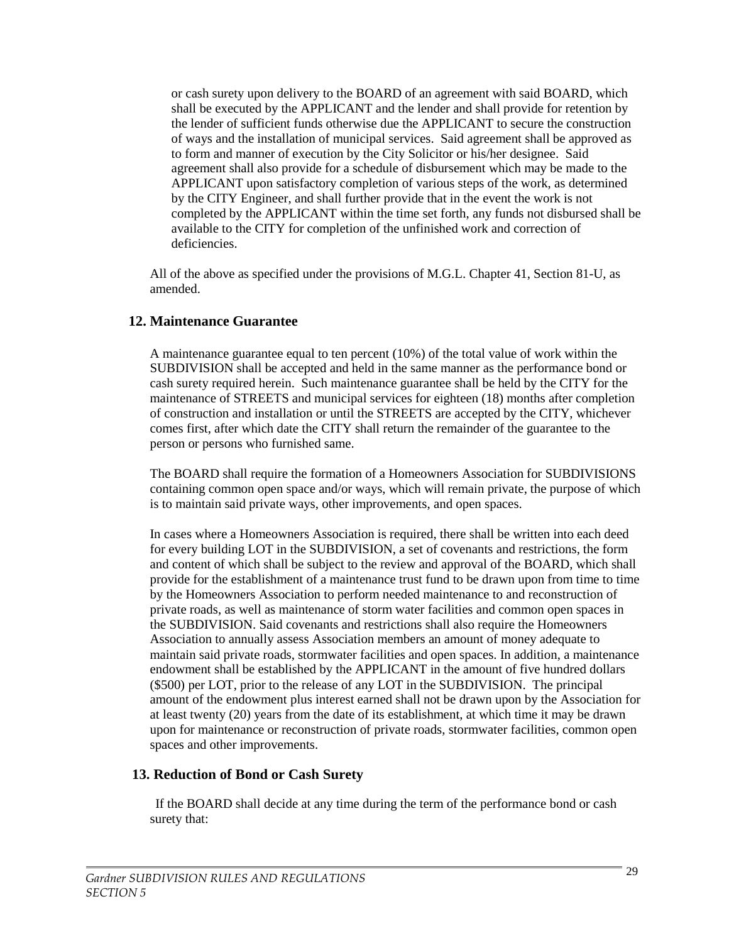or cash surety upon delivery to the BOARD of an agreement with said BOARD, which shall be executed by the APPLICANT and the lender and shall provide for retention by the lender of sufficient funds otherwise due the APPLICANT to secure the construction of ways and the installation of municipal services. Said agreement shall be approved as to form and manner of execution by the City Solicitor or his/her designee. Said agreement shall also provide for a schedule of disbursement which may be made to the APPLICANT upon satisfactory completion of various steps of the work, as determined by the CITY Engineer, and shall further provide that in the event the work is not completed by the APPLICANT within the time set forth, any funds not disbursed shall be available to the CITY for completion of the unfinished work and correction of deficiencies.

All of the above as specified under the provisions of M.G.L. Chapter 41, Section 81-U, as amended.

#### **12. Maintenance Guarantee**

A maintenance guarantee equal to ten percent (10%) of the total value of work within the SUBDIVISION shall be accepted and held in the same manner as the performance bond or cash surety required herein. Such maintenance guarantee shall be held by the CITY for the maintenance of STREETS and municipal services for eighteen (18) months after completion of construction and installation or until the STREETS are accepted by the CITY, whichever comes first, after which date the CITY shall return the remainder of the guarantee to the person or persons who furnished same.

The BOARD shall require the formation of a Homeowners Association for SUBDIVISIONS containing common open space and/or ways, which will remain private, the purpose of which is to maintain said private ways, other improvements, and open spaces.

In cases where a Homeowners Association is required, there shall be written into each deed for every building LOT in the SUBDIVISION, a set of covenants and restrictions, the form and content of which shall be subject to the review and approval of the BOARD, which shall provide for the establishment of a maintenance trust fund to be drawn upon from time to time by the Homeowners Association to perform needed maintenance to and reconstruction of private roads, as well as maintenance of storm water facilities and common open spaces in the SUBDIVISION. Said covenants and restrictions shall also require the Homeowners Association to annually assess Association members an amount of money adequate to maintain said private roads, stormwater facilities and open spaces. In addition, a maintenance endowment shall be established by the APPLICANT in the amount of five hundred dollars (\$500) per LOT, prior to the release of any LOT in the SUBDIVISION. The principal amount of the endowment plus interest earned shall not be drawn upon by the Association for at least twenty (20) years from the date of its establishment, at which time it may be drawn upon for maintenance or reconstruction of private roads, stormwater facilities, common open spaces and other improvements.

#### **13. Reduction of Bond or Cash Surety**

If the BOARD shall decide at any time during the term of the performance bond or cash surety that: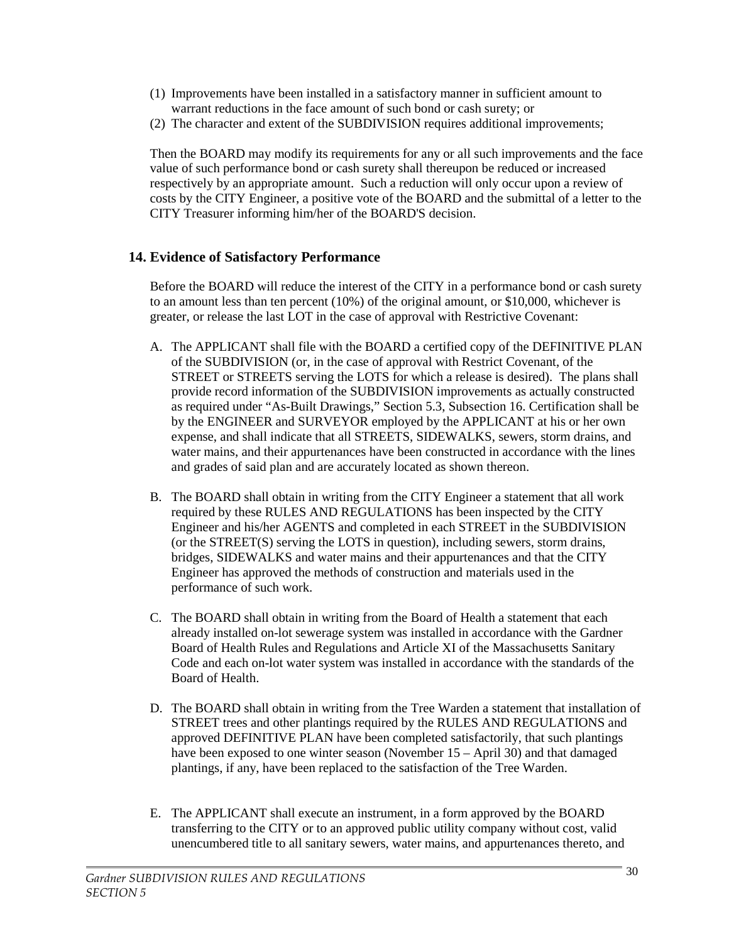- (1) Improvements have been installed in a satisfactory manner in sufficient amount to warrant reductions in the face amount of such bond or cash surety; or
- (2) The character and extent of the SUBDIVISION requires additional improvements;

Then the BOARD may modify its requirements for any or all such improvements and the face value of such performance bond or cash surety shall thereupon be reduced or increased respectively by an appropriate amount. Such a reduction will only occur upon a review of costs by the CITY Engineer, a positive vote of the BOARD and the submittal of a letter to the CITY Treasurer informing him/her of the BOARD'S decision.

# **14. Evidence of Satisfactory Performance**

Before the BOARD will reduce the interest of the CITY in a performance bond or cash surety to an amount less than ten percent (10%) of the original amount, or \$10,000, whichever is greater, or release the last LOT in the case of approval with Restrictive Covenant:

- A. The APPLICANT shall file with the BOARD a certified copy of the DEFINITIVE PLAN of the SUBDIVISION (or, in the case of approval with Restrict Covenant, of the STREET or STREETS serving the LOTS for which a release is desired). The plans shall provide record information of the SUBDIVISION improvements as actually constructed as required under "As-Built Drawings," Section 5.3, Subsection 16. Certification shall be by the ENGINEER and SURVEYOR employed by the APPLICANT at his or her own expense, and shall indicate that all STREETS, SIDEWALKS, sewers, storm drains, and water mains, and their appurtenances have been constructed in accordance with the lines and grades of said plan and are accurately located as shown thereon.
- B. The BOARD shall obtain in writing from the CITY Engineer a statement that all work required by these RULES AND REGULATIONS has been inspected by the CITY Engineer and his/her AGENTS and completed in each STREET in the SUBDIVISION (or the STREET(S) serving the LOTS in question), including sewers, storm drains, bridges, SIDEWALKS and water mains and their appurtenances and that the CITY Engineer has approved the methods of construction and materials used in the performance of such work.
- C. The BOARD shall obtain in writing from the Board of Health a statement that each already installed on-lot sewerage system was installed in accordance with the Gardner Board of Health Rules and Regulations and Article XI of the Massachusetts Sanitary Code and each on-lot water system was installed in accordance with the standards of the Board of Health.
- D. The BOARD shall obtain in writing from the Tree Warden a statement that installation of STREET trees and other plantings required by the RULES AND REGULATIONS and approved DEFINITIVE PLAN have been completed satisfactorily, that such plantings have been exposed to one winter season (November 15 – April 30) and that damaged plantings, if any, have been replaced to the satisfaction of the Tree Warden.
- E. The APPLICANT shall execute an instrument, in a form approved by the BOARD transferring to the CITY or to an approved public utility company without cost, valid unencumbered title to all sanitary sewers, water mains, and appurtenances thereto, and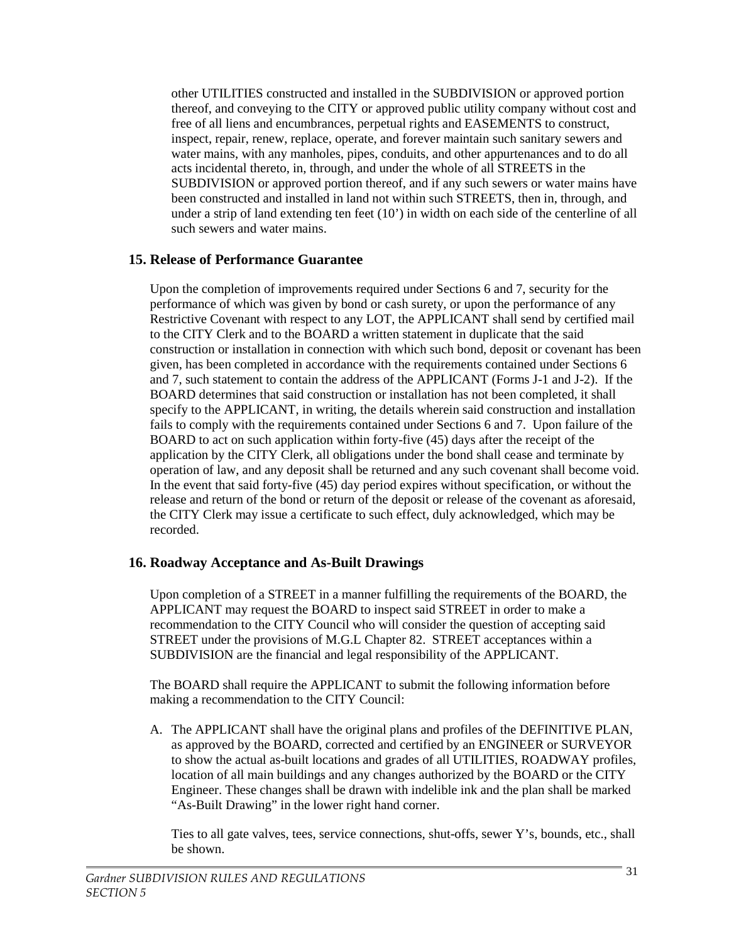other UTILITIES constructed and installed in the SUBDIVISION or approved portion thereof, and conveying to the CITY or approved public utility company without cost and free of all liens and encumbrances, perpetual rights and EASEMENTS to construct, inspect, repair, renew, replace, operate, and forever maintain such sanitary sewers and water mains, with any manholes, pipes, conduits, and other appurtenances and to do all acts incidental thereto, in, through, and under the whole of all STREETS in the SUBDIVISION or approved portion thereof, and if any such sewers or water mains have been constructed and installed in land not within such STREETS, then in, through, and under a strip of land extending ten feet (10') in width on each side of the centerline of all such sewers and water mains.

#### **15. Release of Performance Guarantee**

Upon the completion of improvements required under Sections 6 and 7, security for the performance of which was given by bond or cash surety, or upon the performance of any Restrictive Covenant with respect to any LOT, the APPLICANT shall send by certified mail to the CITY Clerk and to the BOARD a written statement in duplicate that the said construction or installation in connection with which such bond, deposit or covenant has been given, has been completed in accordance with the requirements contained under Sections 6 and 7, such statement to contain the address of the APPLICANT (Forms J-1 and J-2). If the BOARD determines that said construction or installation has not been completed, it shall specify to the APPLICANT, in writing, the details wherein said construction and installation fails to comply with the requirements contained under Sections 6 and 7. Upon failure of the BOARD to act on such application within forty-five (45) days after the receipt of the application by the CITY Clerk, all obligations under the bond shall cease and terminate by operation of law, and any deposit shall be returned and any such covenant shall become void. In the event that said forty-five (45) day period expires without specification, or without the release and return of the bond or return of the deposit or release of the covenant as aforesaid, the CITY Clerk may issue a certificate to such effect, duly acknowledged, which may be recorded.

### **16. Roadway Acceptance and As-Built Drawings**

Upon completion of a STREET in a manner fulfilling the requirements of the BOARD, the APPLICANT may request the BOARD to inspect said STREET in order to make a recommendation to the CITY Council who will consider the question of accepting said STREET under the provisions of M.G.L Chapter 82. STREET acceptances within a SUBDIVISION are the financial and legal responsibility of the APPLICANT.

The BOARD shall require the APPLICANT to submit the following information before making a recommendation to the CITY Council:

A. The APPLICANT shall have the original plans and profiles of the DEFINITIVE PLAN, as approved by the BOARD, corrected and certified by an ENGINEER or SURVEYOR to show the actual as-built locations and grades of all UTILITIES, ROADWAY profiles, location of all main buildings and any changes authorized by the BOARD or the CITY Engineer. These changes shall be drawn with indelible ink and the plan shall be marked "As-Built Drawing" in the lower right hand corner.

Ties to all gate valves, tees, service connections, shut-offs, sewer Y's, bounds, etc., shall be shown.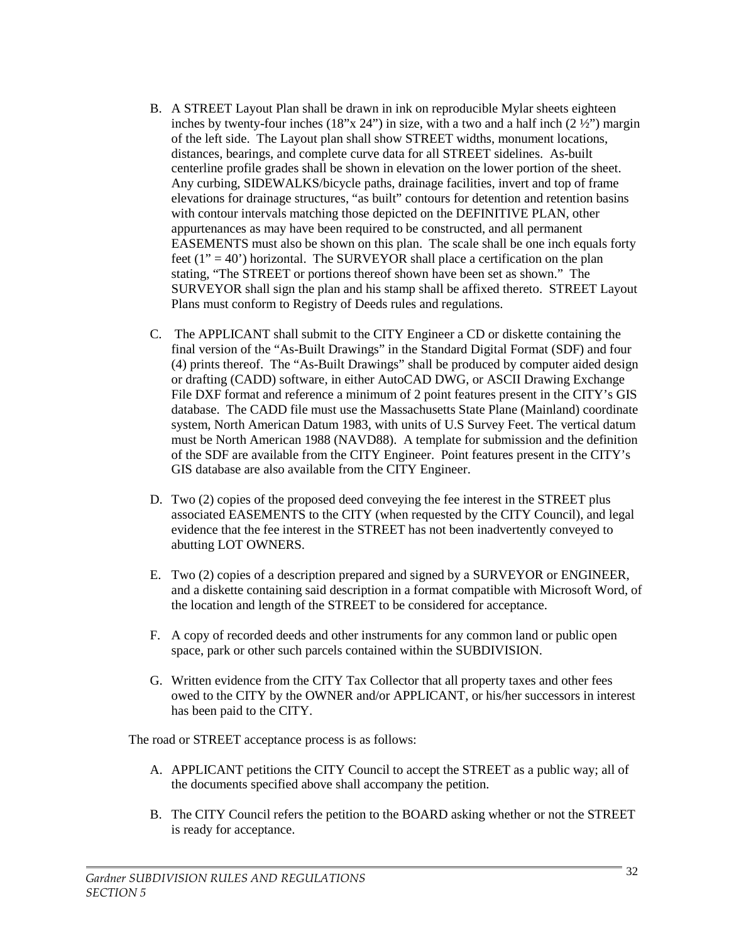- B. A STREET Layout Plan shall be drawn in ink on reproducible Mylar sheets eighteen inches by twenty-four inches  $(18"x 24"')$  in size, with a two and a half inch  $(2 \frac{1}{2}$ ") margin of the left side. The Layout plan shall show STREET widths, monument locations, distances, bearings, and complete curve data for all STREET sidelines. As-built centerline profile grades shall be shown in elevation on the lower portion of the sheet. Any curbing, SIDEWALKS/bicycle paths, drainage facilities, invert and top of frame elevations for drainage structures, "as built" contours for detention and retention basins with contour intervals matching those depicted on the DEFINITIVE PLAN, other appurtenances as may have been required to be constructed, and all permanent EASEMENTS must also be shown on this plan. The scale shall be one inch equals forty feet  $(1" = 40")$  horizontal. The SURVEYOR shall place a certification on the plan stating, "The STREET or portions thereof shown have been set as shown." The SURVEYOR shall sign the plan and his stamp shall be affixed thereto. STREET Layout Plans must conform to Registry of Deeds rules and regulations.
- C. The APPLICANT shall submit to the CITY Engineer a CD or diskette containing the final version of the "As-Built Drawings" in the Standard Digital Format (SDF) and four (4) prints thereof. The "As-Built Drawings" shall be produced by computer aided design or drafting (CADD) software, in either AutoCAD DWG, or ASCII Drawing Exchange File DXF format and reference a minimum of 2 point features present in the CITY's GIS database. The CADD file must use the Massachusetts State Plane (Mainland) coordinate system, North American Datum 1983, with units of U.S Survey Feet. The vertical datum must be North American 1988 (NAVD88). A template for submission and the definition of the SDF are available from the CITY Engineer. Point features present in the CITY's GIS database are also available from the CITY Engineer.
- D. Two (2) copies of the proposed deed conveying the fee interest in the STREET plus associated EASEMENTS to the CITY (when requested by the CITY Council), and legal evidence that the fee interest in the STREET has not been inadvertently conveyed to abutting LOT OWNERS.
- E. Two (2) copies of a description prepared and signed by a SURVEYOR or ENGINEER, and a diskette containing said description in a format compatible with Microsoft Word, of the location and length of the STREET to be considered for acceptance.
- F. A copy of recorded deeds and other instruments for any common land or public open space, park or other such parcels contained within the SUBDIVISION.
- G. Written evidence from the CITY Tax Collector that all property taxes and other fees owed to the CITY by the OWNER and/or APPLICANT, or his/her successors in interest has been paid to the CITY.

The road or STREET acceptance process is as follows:

- A. APPLICANT petitions the CITY Council to accept the STREET as a public way; all of the documents specified above shall accompany the petition.
- B. The CITY Council refers the petition to the BOARD asking whether or not the STREET is ready for acceptance.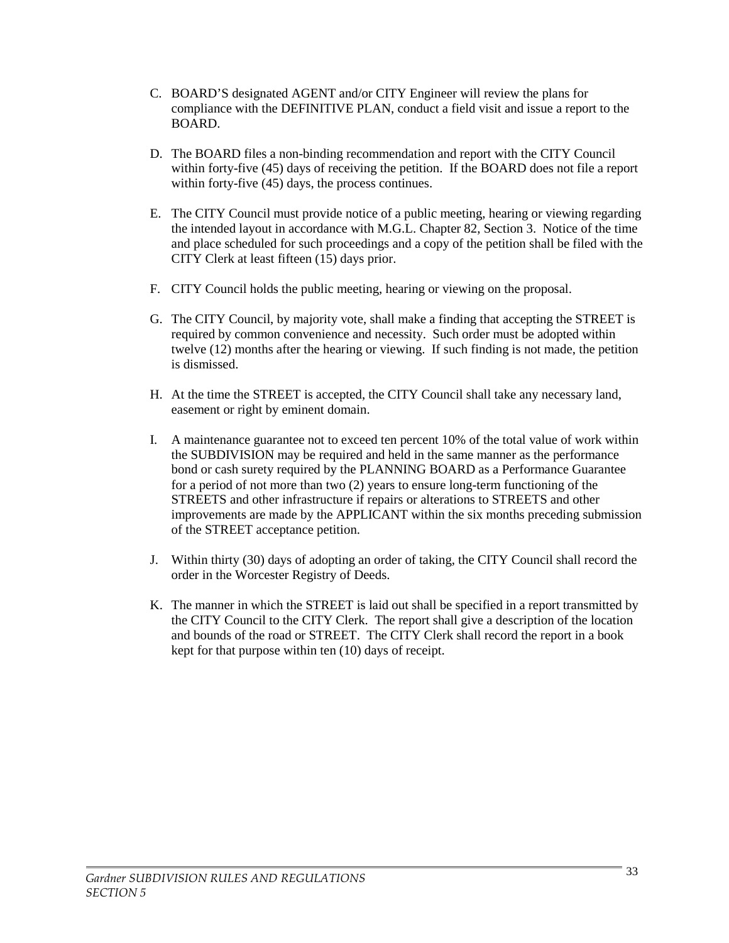- C. BOARD'S designated AGENT and/or CITY Engineer will review the plans for compliance with the DEFINITIVE PLAN, conduct a field visit and issue a report to the BOARD.
- D. The BOARD files a non-binding recommendation and report with the CITY Council within forty-five (45) days of receiving the petition. If the BOARD does not file a report within forty-five (45) days, the process continues.
- E. The CITY Council must provide notice of a public meeting, hearing or viewing regarding the intended layout in accordance with M.G.L. Chapter 82, Section 3. Notice of the time and place scheduled for such proceedings and a copy of the petition shall be filed with the CITY Clerk at least fifteen (15) days prior.
- F. CITY Council holds the public meeting, hearing or viewing on the proposal.
- G. The CITY Council, by majority vote, shall make a finding that accepting the STREET is required by common convenience and necessity. Such order must be adopted within twelve (12) months after the hearing or viewing. If such finding is not made, the petition is dismissed.
- H. At the time the STREET is accepted, the CITY Council shall take any necessary land, easement or right by eminent domain.
- I. A maintenance guarantee not to exceed ten percent 10% of the total value of work within the SUBDIVISION may be required and held in the same manner as the performance bond or cash surety required by the PLANNING BOARD as a Performance Guarantee for a period of not more than two (2) years to ensure long-term functioning of the STREETS and other infrastructure if repairs or alterations to STREETS and other improvements are made by the APPLICANT within the six months preceding submission of the STREET acceptance petition.
- J. Within thirty (30) days of adopting an order of taking, the CITY Council shall record the order in the Worcester Registry of Deeds.
- K. The manner in which the STREET is laid out shall be specified in a report transmitted by the CITY Council to the CITY Clerk. The report shall give a description of the location and bounds of the road or STREET. The CITY Clerk shall record the report in a book kept for that purpose within ten (10) days of receipt.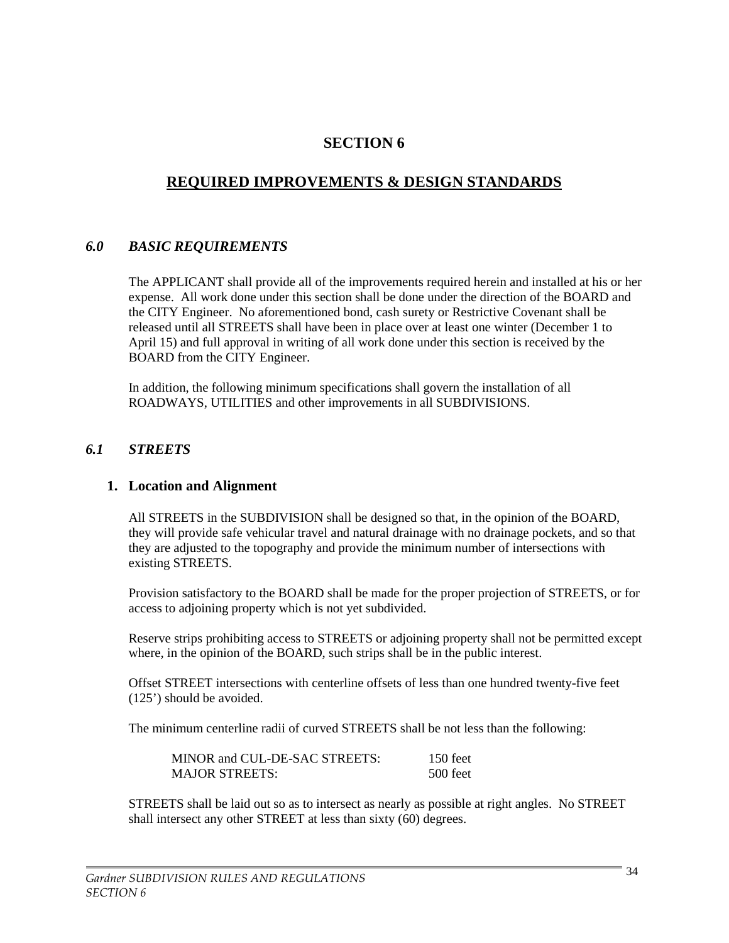# **SECTION 6**

# **REQUIRED IMPROVEMENTS & DESIGN STANDARDS**

# *6.0 BASIC REQUIREMENTS*

The APPLICANT shall provide all of the improvements required herein and installed at his or her expense. All work done under this section shall be done under the direction of the BOARD and the CITY Engineer. No aforementioned bond, cash surety or Restrictive Covenant shall be released until all STREETS shall have been in place over at least one winter (December 1 to April 15) and full approval in writing of all work done under this section is received by the BOARD from the CITY Engineer.

In addition, the following minimum specifications shall govern the installation of all ROADWAYS, UTILITIES and other improvements in all SUBDIVISIONS.

### *6.1 STREETS*

#### **1. Location and Alignment**

All STREETS in the SUBDIVISION shall be designed so that, in the opinion of the BOARD, they will provide safe vehicular travel and natural drainage with no drainage pockets, and so that they are adjusted to the topography and provide the minimum number of intersections with existing STREETS.

Provision satisfactory to the BOARD shall be made for the proper projection of STREETS, or for access to adjoining property which is not yet subdivided.

Reserve strips prohibiting access to STREETS or adjoining property shall not be permitted except where, in the opinion of the BOARD, such strips shall be in the public interest.

Offset STREET intersections with centerline offsets of less than one hundred twenty-five feet (125') should be avoided.

The minimum centerline radii of curved STREETS shall be not less than the following:

| MINOR and CUL-DE-SAC STREETS: | 150 feet   |
|-------------------------------|------------|
| <b>MAJOR STREETS:</b>         | $500$ feet |

STREETS shall be laid out so as to intersect as nearly as possible at right angles. No STREET shall intersect any other STREET at less than sixty (60) degrees.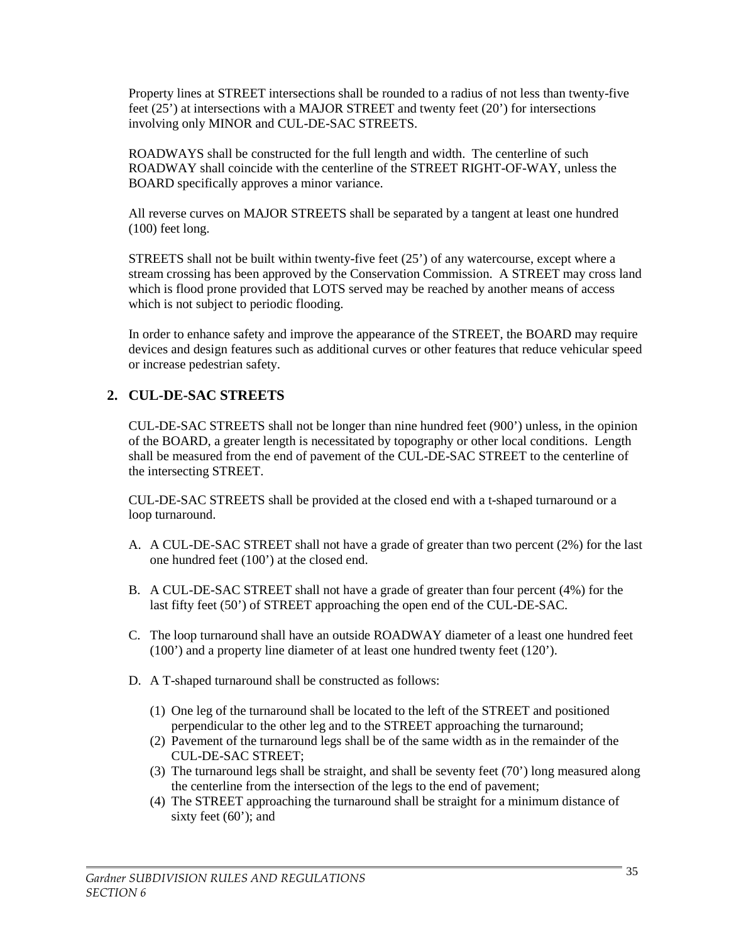Property lines at STREET intersections shall be rounded to a radius of not less than twenty-five feet (25') at intersections with a MAJOR STREET and twenty feet (20') for intersections involving only MINOR and CUL-DE-SAC STREETS.

ROADWAYS shall be constructed for the full length and width. The centerline of such ROADWAY shall coincide with the centerline of the STREET RIGHT-OF-WAY, unless the BOARD specifically approves a minor variance.

All reverse curves on MAJOR STREETS shall be separated by a tangent at least one hundred (100) feet long.

STREETS shall not be built within twenty-five feet (25') of any watercourse, except where a stream crossing has been approved by the Conservation Commission. A STREET may cross land which is flood prone provided that LOTS served may be reached by another means of access which is not subject to periodic flooding.

In order to enhance safety and improve the appearance of the STREET, the BOARD may require devices and design features such as additional curves or other features that reduce vehicular speed or increase pedestrian safety.

# **2. CUL-DE-SAC STREETS**

CUL-DE-SAC STREETS shall not be longer than nine hundred feet (900') unless, in the opinion of the BOARD, a greater length is necessitated by topography or other local conditions. Length shall be measured from the end of pavement of the CUL-DE-SAC STREET to the centerline of the intersecting STREET.

CUL-DE-SAC STREETS shall be provided at the closed end with a t-shaped turnaround or a loop turnaround.

- A. A CUL-DE-SAC STREET shall not have a grade of greater than two percent (2%) for the last one hundred feet (100') at the closed end.
- B. A CUL-DE-SAC STREET shall not have a grade of greater than four percent (4%) for the last fifty feet (50') of STREET approaching the open end of the CUL-DE-SAC.
- C. The loop turnaround shall have an outside ROADWAY diameter of a least one hundred feet (100') and a property line diameter of at least one hundred twenty feet (120').
- D. A T-shaped turnaround shall be constructed as follows:
	- (1) One leg of the turnaround shall be located to the left of the STREET and positioned perpendicular to the other leg and to the STREET approaching the turnaround;
	- (2) Pavement of the turnaround legs shall be of the same width as in the remainder of the CUL-DE-SAC STREET;
	- (3) The turnaround legs shall be straight, and shall be seventy feet (70') long measured along the centerline from the intersection of the legs to the end of pavement;
	- (4) The STREET approaching the turnaround shall be straight for a minimum distance of sixty feet (60'); and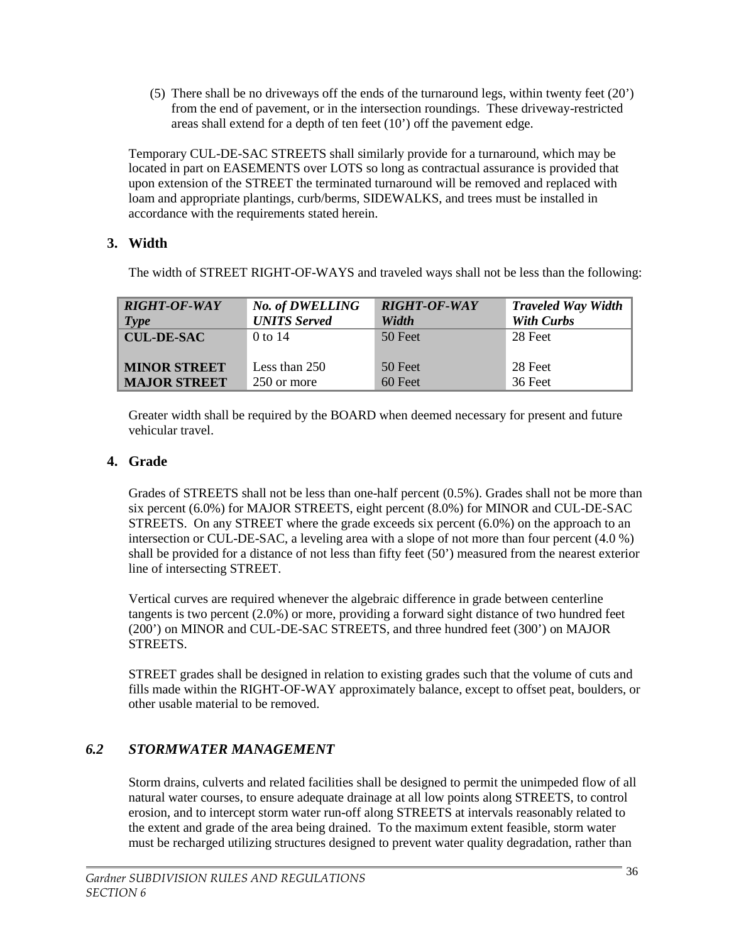(5) There shall be no driveways off the ends of the turnaround legs, within twenty feet (20') from the end of pavement, or in the intersection roundings. These driveway-restricted areas shall extend for a depth of ten feet (10') off the pavement edge.

Temporary CUL-DE-SAC STREETS shall similarly provide for a turnaround, which may be located in part on EASEMENTS over LOTS so long as contractual assurance is provided that upon extension of the STREET the terminated turnaround will be removed and replaced with loam and appropriate plantings, curb/berms, SIDEWALKS, and trees must be installed in accordance with the requirements stated herein.

# **3. Width**

The width of STREET RIGHT-OF-WAYS and traveled ways shall not be less than the following:

| <b>RIGHT-OF-WAY</b> | <b>No. of DWELLING</b> | <b>RIGHT-OF-WAY</b> | <b>Traveled Way Width</b> |
|---------------------|------------------------|---------------------|---------------------------|
| Type                | <b>UNITS Served</b>    | <b>Width</b>        | <b>With Curbs</b>         |
| <b>CUL-DE-SAC</b>   | $0$ to 14              | 50 Feet             | 28 Feet                   |
| <b>MINOR STREET</b> | Less than $250$        | 50 Feet             | 28 Feet                   |
| <b>MAJOR STREET</b> | 250 or more            | $60$ Feet           | 36 Feet                   |

Greater width shall be required by the BOARD when deemed necessary for present and future vehicular travel.

# **4. Grade**

Grades of STREETS shall not be less than one-half percent (0.5%). Grades shall not be more than six percent (6.0%) for MAJOR STREETS, eight percent (8.0%) for MINOR and CUL-DE-SAC STREETS. On any STREET where the grade exceeds six percent (6.0%) on the approach to an intersection or CUL-DE-SAC, a leveling area with a slope of not more than four percent (4.0 %) shall be provided for a distance of not less than fifty feet (50') measured from the nearest exterior line of intersecting STREET.

Vertical curves are required whenever the algebraic difference in grade between centerline tangents is two percent (2.0%) or more, providing a forward sight distance of two hundred feet (200') on MINOR and CUL-DE-SAC STREETS, and three hundred feet (300') on MAJOR STREETS.

STREET grades shall be designed in relation to existing grades such that the volume of cuts and fills made within the RIGHT-OF-WAY approximately balance, except to offset peat, boulders, or other usable material to be removed.

# *6.2 STORMWATER MANAGEMENT*

Storm drains, culverts and related facilities shall be designed to permit the unimpeded flow of all natural water courses, to ensure adequate drainage at all low points along STREETS, to control erosion, and to intercept storm water run-off along STREETS at intervals reasonably related to the extent and grade of the area being drained. To the maximum extent feasible, storm water must be recharged utilizing structures designed to prevent water quality degradation, rather than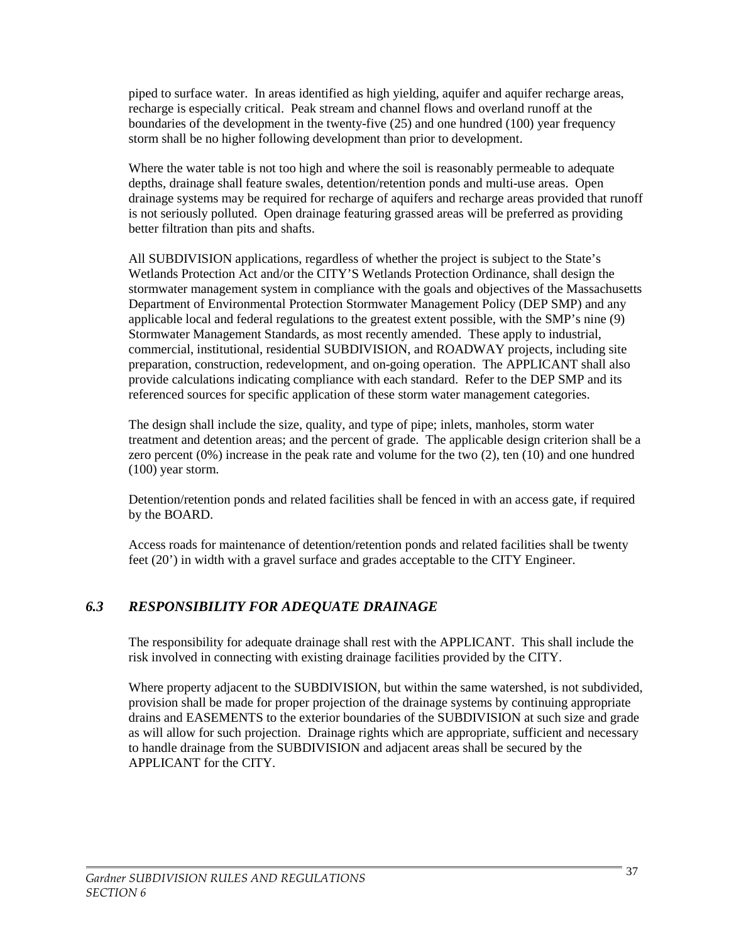piped to surface water. In areas identified as high yielding, aquifer and aquifer recharge areas, recharge is especially critical. Peak stream and channel flows and overland runoff at the boundaries of the development in the twenty-five (25) and one hundred (100) year frequency storm shall be no higher following development than prior to development.

Where the water table is not too high and where the soil is reasonably permeable to adequate depths, drainage shall feature swales, detention/retention ponds and multi-use areas. Open drainage systems may be required for recharge of aquifers and recharge areas provided that runoff is not seriously polluted. Open drainage featuring grassed areas will be preferred as providing better filtration than pits and shafts.

All SUBDIVISION applications, regardless of whether the project is subject to the State's Wetlands Protection Act and/or the CITY'S Wetlands Protection Ordinance, shall design the stormwater management system in compliance with the goals and objectives of the Massachusetts Department of Environmental Protection Stormwater Management Policy (DEP SMP) and any applicable local and federal regulations to the greatest extent possible, with the SMP's nine (9) Stormwater Management Standards, as most recently amended. These apply to industrial, commercial, institutional, residential SUBDIVISION, and ROADWAY projects, including site preparation, construction, redevelopment, and on-going operation. The APPLICANT shall also provide calculations indicating compliance with each standard. Refer to the DEP SMP and its referenced sources for specific application of these storm water management categories.

The design shall include the size, quality, and type of pipe; inlets, manholes, storm water treatment and detention areas; and the percent of grade. The applicable design criterion shall be a zero percent (0%) increase in the peak rate and volume for the two (2), ten (10) and one hundred (100) year storm.

Detention/retention ponds and related facilities shall be fenced in with an access gate, if required by the BOARD.

Access roads for maintenance of detention/retention ponds and related facilities shall be twenty feet (20') in width with a gravel surface and grades acceptable to the CITY Engineer.

# *6.3 RESPONSIBILITY FOR ADEQUATE DRAINAGE*

The responsibility for adequate drainage shall rest with the APPLICANT. This shall include the risk involved in connecting with existing drainage facilities provided by the CITY.

Where property adjacent to the SUBDIVISION, but within the same watershed, is not subdivided, provision shall be made for proper projection of the drainage systems by continuing appropriate drains and EASEMENTS to the exterior boundaries of the SUBDIVISION at such size and grade as will allow for such projection. Drainage rights which are appropriate, sufficient and necessary to handle drainage from the SUBDIVISION and adjacent areas shall be secured by the APPLICANT for the CITY.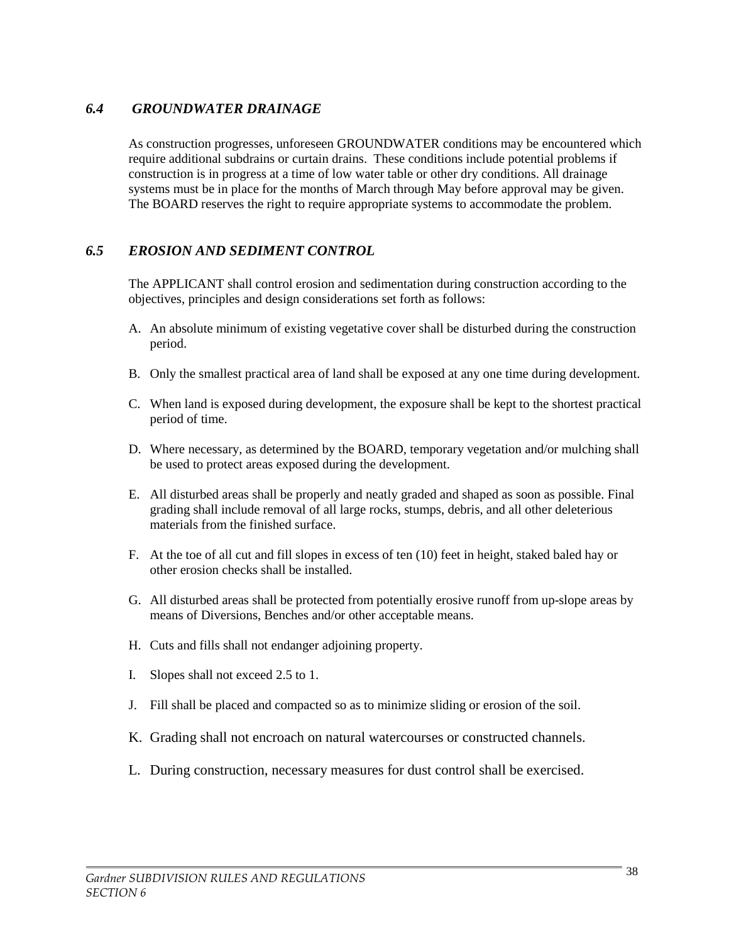# *6.4 GROUNDWATER DRAINAGE*

As construction progresses, unforeseen GROUNDWATER conditions may be encountered which require additional subdrains or curtain drains. These conditions include potential problems if construction is in progress at a time of low water table or other dry conditions. All drainage systems must be in place for the months of March through May before approval may be given. The BOARD reserves the right to require appropriate systems to accommodate the problem.

### *6.5 EROSION AND SEDIMENT CONTROL*

The APPLICANT shall control erosion and sedimentation during construction according to the objectives, principles and design considerations set forth as follows:

- A. An absolute minimum of existing vegetative cover shall be disturbed during the construction period.
- B. Only the smallest practical area of land shall be exposed at any one time during development.
- C. When land is exposed during development, the exposure shall be kept to the shortest practical period of time.
- D. Where necessary, as determined by the BOARD, temporary vegetation and/or mulching shall be used to protect areas exposed during the development.
- E. All disturbed areas shall be properly and neatly graded and shaped as soon as possible. Final grading shall include removal of all large rocks, stumps, debris, and all other deleterious materials from the finished surface.
- F. At the toe of all cut and fill slopes in excess of ten (10) feet in height, staked baled hay or other erosion checks shall be installed.
- G. All disturbed areas shall be protected from potentially erosive runoff from up-slope areas by means of Diversions, Benches and/or other acceptable means.
- H. Cuts and fills shall not endanger adjoining property.
- I. Slopes shall not exceed 2.5 to 1.
- J. Fill shall be placed and compacted so as to minimize sliding or erosion of the soil.
- K. Grading shall not encroach on natural watercourses or constructed channels.
- L. During construction, necessary measures for dust control shall be exercised.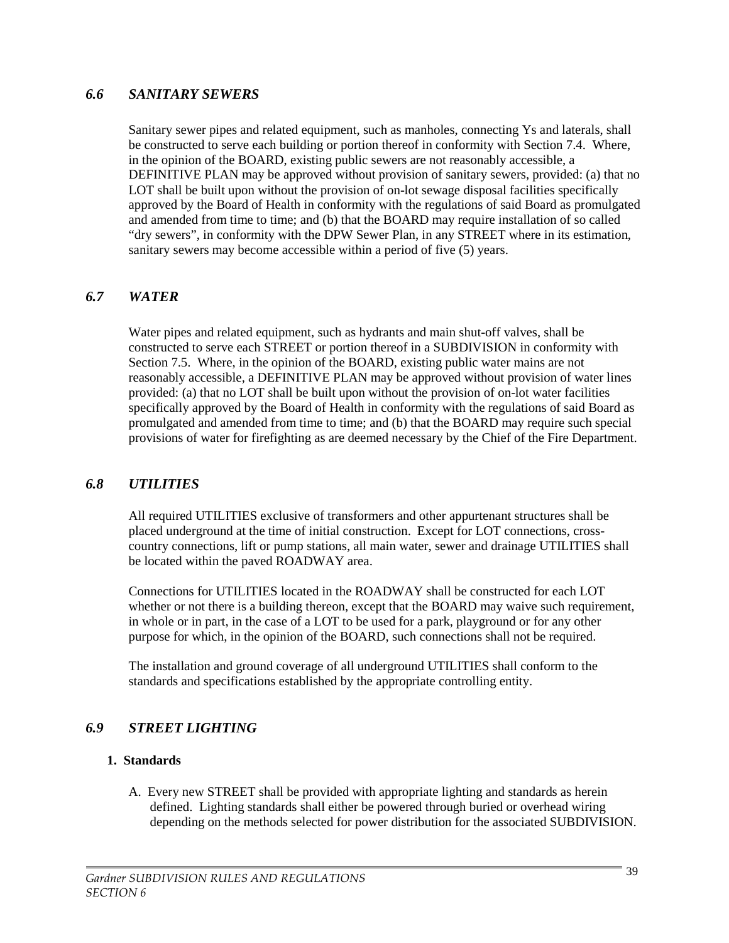#### *6.6 SANITARY SEWERS*

Sanitary sewer pipes and related equipment, such as manholes, connecting Ys and laterals, shall be constructed to serve each building or portion thereof in conformity with Section 7.4. Where, in the opinion of the BOARD, existing public sewers are not reasonably accessible, a DEFINITIVE PLAN may be approved without provision of sanitary sewers, provided: (a) that no LOT shall be built upon without the provision of on-lot sewage disposal facilities specifically approved by the Board of Health in conformity with the regulations of said Board as promulgated and amended from time to time; and (b) that the BOARD may require installation of so called "dry sewers", in conformity with the DPW Sewer Plan, in any STREET where in its estimation, sanitary sewers may become accessible within a period of five (5) years.

### *6.7 WATER*

Water pipes and related equipment, such as hydrants and main shut-off valves, shall be constructed to serve each STREET or portion thereof in a SUBDIVISION in conformity with Section 7.5. Where, in the opinion of the BOARD, existing public water mains are not reasonably accessible, a DEFINITIVE PLAN may be approved without provision of water lines provided: (a) that no LOT shall be built upon without the provision of on-lot water facilities specifically approved by the Board of Health in conformity with the regulations of said Board as promulgated and amended from time to time; and (b) that the BOARD may require such special provisions of water for firefighting as are deemed necessary by the Chief of the Fire Department.

### *6.8 UTILITIES*

All required UTILITIES exclusive of transformers and other appurtenant structures shall be placed underground at the time of initial construction. Except for LOT connections, crosscountry connections, lift or pump stations, all main water, sewer and drainage UTILITIES shall be located within the paved ROADWAY area.

Connections for UTILITIES located in the ROADWAY shall be constructed for each LOT whether or not there is a building thereon, except that the BOARD may waive such requirement, in whole or in part, in the case of a LOT to be used for a park, playground or for any other purpose for which, in the opinion of the BOARD, such connections shall not be required.

The installation and ground coverage of all underground UTILITIES shall conform to the standards and specifications established by the appropriate controlling entity.

### *6.9 STREET LIGHTING*

#### **1. Standards**

A. Every new STREET shall be provided with appropriate lighting and standards as herein defined. Lighting standards shall either be powered through buried or overhead wiring depending on the methods selected for power distribution for the associated SUBDIVISION.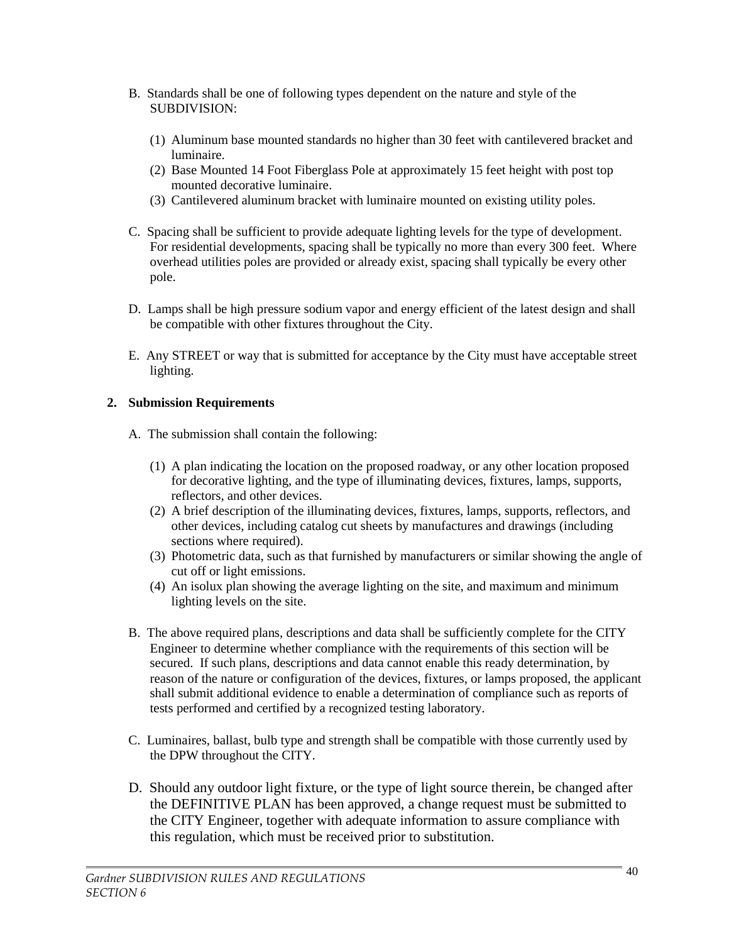- B. Standards shall be one of following types dependent on the nature and style of the SUBDIVISION:
	- (1) Aluminum base mounted standards no higher than 30 feet with cantilevered bracket and luminaire.
	- (2) Base Mounted 14 Foot Fiberglass Pole at approximately 15 feet height with post top mounted decorative luminaire.
	- (3) Cantilevered aluminum bracket with luminaire mounted on existing utility poles.
- C. Spacing shall be sufficient to provide adequate lighting levels for the type of development. For residential developments, spacing shall be typically no more than every 300 feet. Where overhead utilities poles are provided or already exist, spacing shall typically be every other pole.
- D. Lamps shall be high pressure sodium vapor and energy efficient of the latest design and shall be compatible with other fixtures throughout the City.
- E. Any STREET or way that is submitted for acceptance by the City must have acceptable street lighting.

### **2. Submission Requirements**

- A. The submission shall contain the following:
	- (1) A plan indicating the location on the proposed roadway, or any other location proposed for decorative lighting, and the type of illuminating devices, fixtures, lamps, supports, reflectors, and other devices.
	- (2) A brief description of the illuminating devices, fixtures, lamps, supports, reflectors, and other devices, including catalog cut sheets by manufactures and drawings (including sections where required).
	- (3) Photometric data, such as that furnished by manufacturers or similar showing the angle of cut off or light emissions.
	- (4) An isolux plan showing the average lighting on the site, and maximum and minimum lighting levels on the site.
- B. The above required plans, descriptions and data shall be sufficiently complete for the CITY Engineer to determine whether compliance with the requirements of this section will be secured. If such plans, descriptions and data cannot enable this ready determination, by reason of the nature or configuration of the devices, fixtures, or lamps proposed, the applicant shall submit additional evidence to enable a determination of compliance such as reports of tests performed and certified by a recognized testing laboratory.
- C. Luminaires, ballast, bulb type and strength shall be compatible with those currently used by the DPW throughout the CITY.
- D. Should any outdoor light fixture, or the type of light source therein, be changed after the DEFINITIVE PLAN has been approved, a change request must be submitted to the CITY Engineer, together with adequate information to assure compliance with this regulation, which must be received prior to substitution.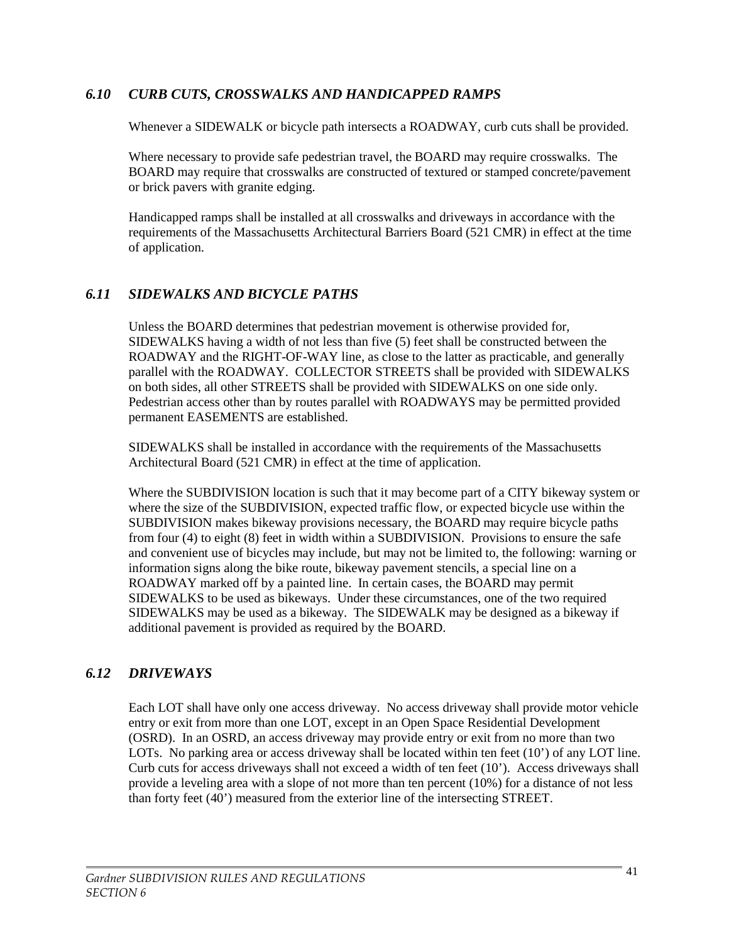### *6.10 CURB CUTS, CROSSWALKS AND HANDICAPPED RAMPS*

Whenever a SIDEWALK or bicycle path intersects a ROADWAY, curb cuts shall be provided.

Where necessary to provide safe pedestrian travel, the BOARD may require crosswalks. The BOARD may require that crosswalks are constructed of textured or stamped concrete/pavement or brick pavers with granite edging.

Handicapped ramps shall be installed at all crosswalks and driveways in accordance with the requirements of the Massachusetts Architectural Barriers Board (521 CMR) in effect at the time of application.

## *6.11 SIDEWALKS AND BICYCLE PATHS*

Unless the BOARD determines that pedestrian movement is otherwise provided for, SIDEWALKS having a width of not less than five (5) feet shall be constructed between the ROADWAY and the RIGHT-OF-WAY line, as close to the latter as practicable, and generally parallel with the ROADWAY. COLLECTOR STREETS shall be provided with SIDEWALKS on both sides, all other STREETS shall be provided with SIDEWALKS on one side only. Pedestrian access other than by routes parallel with ROADWAYS may be permitted provided permanent EASEMENTS are established.

SIDEWALKS shall be installed in accordance with the requirements of the Massachusetts Architectural Board (521 CMR) in effect at the time of application.

Where the SUBDIVISION location is such that it may become part of a CITY bikeway system or where the size of the SUBDIVISION, expected traffic flow, or expected bicycle use within the SUBDIVISION makes bikeway provisions necessary, the BOARD may require bicycle paths from four (4) to eight (8) feet in width within a SUBDIVISION. Provisions to ensure the safe and convenient use of bicycles may include, but may not be limited to, the following: warning or information signs along the bike route, bikeway pavement stencils, a special line on a ROADWAY marked off by a painted line. In certain cases, the BOARD may permit SIDEWALKS to be used as bikeways. Under these circumstances, one of the two required SIDEWALKS may be used as a bikeway. The SIDEWALK may be designed as a bikeway if additional pavement is provided as required by the BOARD.

### *6.12 DRIVEWAYS*

Each LOT shall have only one access driveway. No access driveway shall provide motor vehicle entry or exit from more than one LOT, except in an Open Space Residential Development (OSRD). In an OSRD, an access driveway may provide entry or exit from no more than two LOTs. No parking area or access driveway shall be located within ten feet (10') of any LOT line. Curb cuts for access driveways shall not exceed a width of ten feet (10'). Access driveways shall provide a leveling area with a slope of not more than ten percent (10%) for a distance of not less than forty feet (40') measured from the exterior line of the intersecting STREET.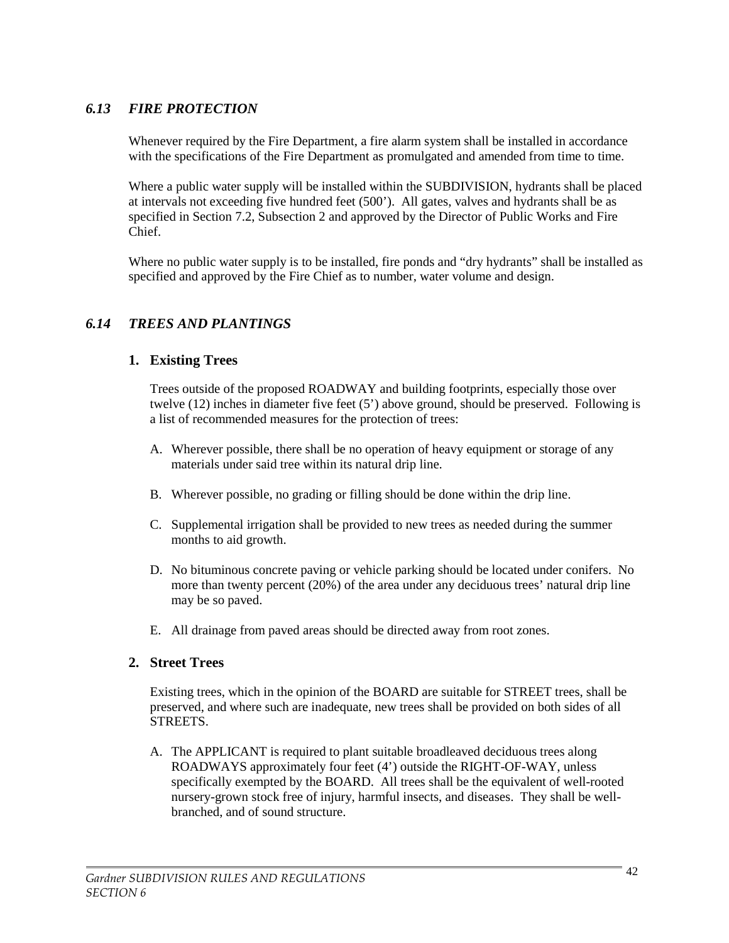# *6.13 FIRE PROTECTION*

Whenever required by the Fire Department, a fire alarm system shall be installed in accordance with the specifications of the Fire Department as promulgated and amended from time to time.

Where a public water supply will be installed within the SUBDIVISION, hydrants shall be placed at intervals not exceeding five hundred feet (500'). All gates, valves and hydrants shall be as specified in Section 7.2, Subsection 2 and approved by the Director of Public Works and Fire Chief.

Where no public water supply is to be installed, fire ponds and "dry hydrants" shall be installed as specified and approved by the Fire Chief as to number, water volume and design.

### *6.14 TREES AND PLANTINGS*

#### **1. Existing Trees**

Trees outside of the proposed ROADWAY and building footprints, especially those over twelve (12) inches in diameter five feet (5') above ground, should be preserved. Following is a list of recommended measures for the protection of trees:

- A. Wherever possible, there shall be no operation of heavy equipment or storage of any materials under said tree within its natural drip line.
- B. Wherever possible, no grading or filling should be done within the drip line.
- C. Supplemental irrigation shall be provided to new trees as needed during the summer months to aid growth.
- D. No bituminous concrete paving or vehicle parking should be located under conifers. No more than twenty percent (20%) of the area under any deciduous trees' natural drip line may be so paved.
- E. All drainage from paved areas should be directed away from root zones.

#### **2. Street Trees**

Existing trees, which in the opinion of the BOARD are suitable for STREET trees, shall be preserved, and where such are inadequate, new trees shall be provided on both sides of all STREETS.

A. The APPLICANT is required to plant suitable broadleaved deciduous trees along ROADWAYS approximately four feet (4') outside the RIGHT-OF-WAY, unless specifically exempted by the BOARD. All trees shall be the equivalent of well-rooted nursery-grown stock free of injury, harmful insects, and diseases. They shall be wellbranched, and of sound structure.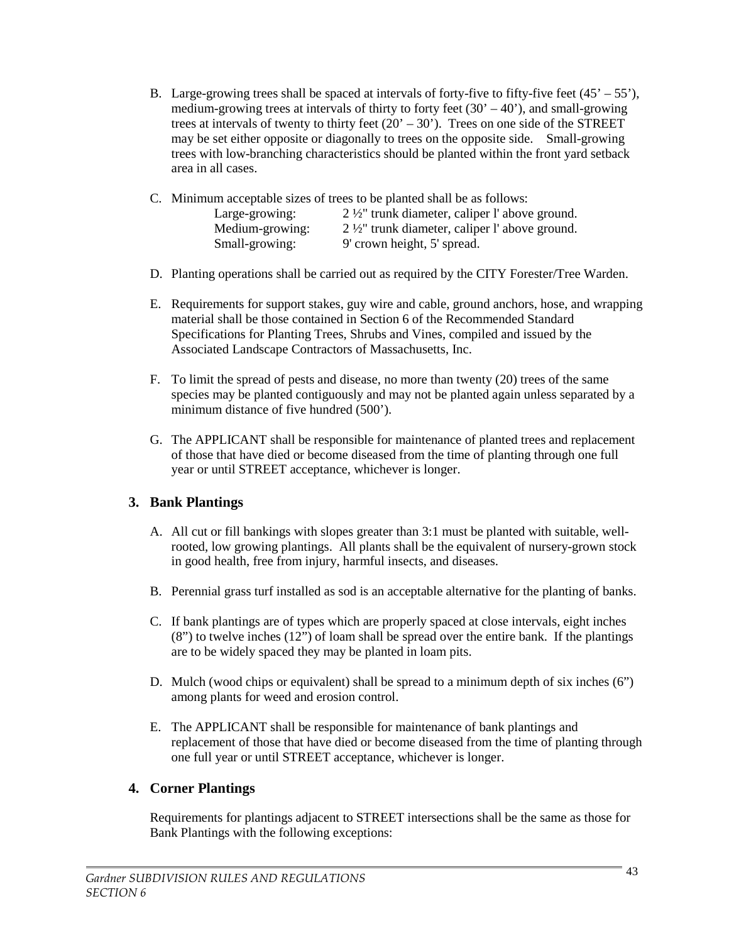B. Large-growing trees shall be spaced at intervals of forty-five to fifty-five feet  $(45' - 55')$ , medium-growing trees at intervals of thirty to forty feet  $(30' - 40')$ , and small-growing trees at intervals of twenty to thirty feet  $(20' - 30')$ . Trees on one side of the STREET may be set either opposite or diagonally to trees on the opposite side. Small-growing trees with low-branching characteristics should be planted within the front yard setback area in all cases.

| C. Minimum acceptable sizes of trees to be planted shall be as follows: |                                                        |  |
|-------------------------------------------------------------------------|--------------------------------------------------------|--|
| Large-growing:                                                          | $2\frac{1}{2}$ trunk diameter, caliper l'above ground. |  |
| Medium-growing:                                                         | $2\frac{1}{2}$ trunk diameter, caliper l'above ground. |  |
| Small-growing:                                                          | 9' crown height, 5' spread.                            |  |

- D. Planting operations shall be carried out as required by the CITY Forester/Tree Warden.
- E. Requirements for support stakes, guy wire and cable, ground anchors, hose, and wrapping material shall be those contained in Section 6 of the Recommended Standard Specifications for Planting Trees, Shrubs and Vines, compiled and issued by the Associated Landscape Contractors of Massachusetts, Inc.
- F. To limit the spread of pests and disease, no more than twenty (20) trees of the same species may be planted contiguously and may not be planted again unless separated by a minimum distance of five hundred (500').
- G. The APPLICANT shall be responsible for maintenance of planted trees and replacement of those that have died or become diseased from the time of planting through one full year or until STREET acceptance, whichever is longer.

### **3. Bank Plantings**

- A. All cut or fill bankings with slopes greater than 3:1 must be planted with suitable, wellrooted, low growing plantings. All plants shall be the equivalent of nursery-grown stock in good health, free from injury, harmful insects, and diseases.
- B. Perennial grass turf installed as sod is an acceptable alternative for the planting of banks.
- C. If bank plantings are of types which are properly spaced at close intervals, eight inches (8") to twelve inches (12") of loam shall be spread over the entire bank. If the plantings are to be widely spaced they may be planted in loam pits.
- D. Mulch (wood chips or equivalent) shall be spread to a minimum depth of six inches (6") among plants for weed and erosion control.
- E. The APPLICANT shall be responsible for maintenance of bank plantings and replacement of those that have died or become diseased from the time of planting through one full year or until STREET acceptance, whichever is longer.

### **4. Corner Plantings**

Requirements for plantings adjacent to STREET intersections shall be the same as those for Bank Plantings with the following exceptions: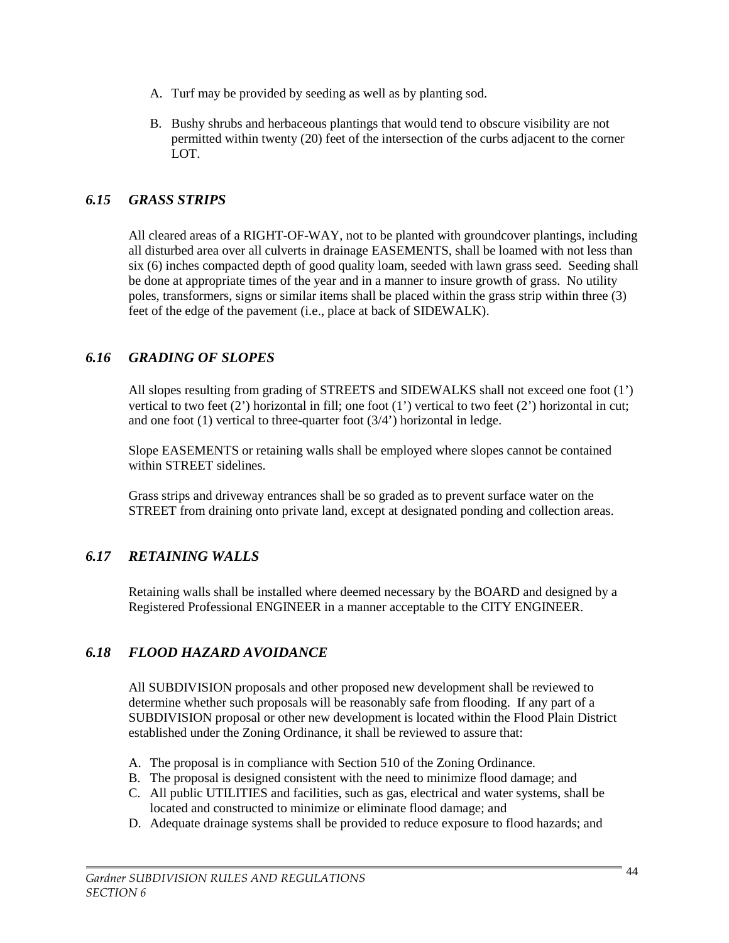- A. Turf may be provided by seeding as well as by planting sod.
- B. Bushy shrubs and herbaceous plantings that would tend to obscure visibility are not permitted within twenty (20) feet of the intersection of the curbs adjacent to the corner LOT.

### *6.15 GRASS STRIPS*

All cleared areas of a RIGHT-OF-WAY, not to be planted with groundcover plantings, including all disturbed area over all culverts in drainage EASEMENTS, shall be loamed with not less than six (6) inches compacted depth of good quality loam, seeded with lawn grass seed. Seeding shall be done at appropriate times of the year and in a manner to insure growth of grass. No utility poles, transformers, signs or similar items shall be placed within the grass strip within three (3) feet of the edge of the pavement (i.e., place at back of SIDEWALK).

## *6.16 GRADING OF SLOPES*

All slopes resulting from grading of STREETS and SIDEWALKS shall not exceed one foot (1') vertical to two feet (2') horizontal in fill; one foot (1') vertical to two feet (2') horizontal in cut; and one foot (1) vertical to three-quarter foot (3/4') horizontal in ledge.

Slope EASEMENTS or retaining walls shall be employed where slopes cannot be contained within STREET sidelines.

Grass strips and driveway entrances shall be so graded as to prevent surface water on the STREET from draining onto private land, except at designated ponding and collection areas.

# *6.17 RETAINING WALLS*

Retaining walls shall be installed where deemed necessary by the BOARD and designed by a Registered Professional ENGINEER in a manner acceptable to the CITY ENGINEER.

### *6.18 FLOOD HAZARD AVOIDANCE*

All SUBDIVISION proposals and other proposed new development shall be reviewed to determine whether such proposals will be reasonably safe from flooding. If any part of a SUBDIVISION proposal or other new development is located within the Flood Plain District established under the Zoning Ordinance, it shall be reviewed to assure that:

- A. The proposal is in compliance with Section 510 of the Zoning Ordinance.
- B. The proposal is designed consistent with the need to minimize flood damage; and
- C. All public UTILITIES and facilities, such as gas, electrical and water systems, shall be located and constructed to minimize or eliminate flood damage; and
- D. Adequate drainage systems shall be provided to reduce exposure to flood hazards; and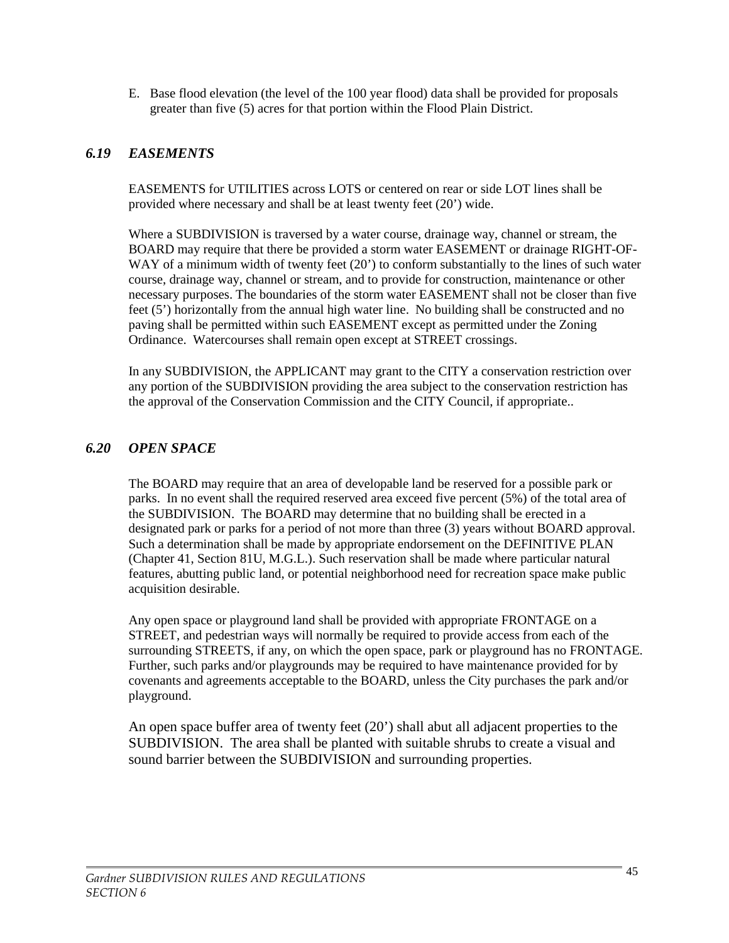E. Base flood elevation (the level of the 100 year flood) data shall be provided for proposals greater than five (5) acres for that portion within the Flood Plain District.

## *6.19 EASEMENTS*

EASEMENTS for UTILITIES across LOTS or centered on rear or side LOT lines shall be provided where necessary and shall be at least twenty feet (20') wide.

Where a SUBDIVISION is traversed by a water course, drainage way, channel or stream, the BOARD may require that there be provided a storm water EASEMENT or drainage RIGHT-OF-WAY of a minimum width of twenty feet (20') to conform substantially to the lines of such water course, drainage way, channel or stream, and to provide for construction, maintenance or other necessary purposes. The boundaries of the storm water EASEMENT shall not be closer than five feet (5') horizontally from the annual high water line. No building shall be constructed and no paving shall be permitted within such EASEMENT except as permitted under the Zoning Ordinance. Watercourses shall remain open except at STREET crossings.

In any SUBDIVISION, the APPLICANT may grant to the CITY a conservation restriction over any portion of the SUBDIVISION providing the area subject to the conservation restriction has the approval of the Conservation Commission and the CITY Council, if appropriate..

## *6.20 OPEN SPACE*

The BOARD may require that an area of developable land be reserved for a possible park or parks. In no event shall the required reserved area exceed five percent (5%) of the total area of the SUBDIVISION. The BOARD may determine that no building shall be erected in a designated park or parks for a period of not more than three (3) years without BOARD approval. Such a determination shall be made by appropriate endorsement on the DEFINITIVE PLAN (Chapter 41, Section 81U, M.G.L.). Such reservation shall be made where particular natural features, abutting public land, or potential neighborhood need for recreation space make public acquisition desirable.

Any open space or playground land shall be provided with appropriate FRONTAGE on a STREET, and pedestrian ways will normally be required to provide access from each of the surrounding STREETS, if any, on which the open space, park or playground has no FRONTAGE. Further, such parks and/or playgrounds may be required to have maintenance provided for by covenants and agreements acceptable to the BOARD, unless the City purchases the park and/or playground.

An open space buffer area of twenty feet (20') shall abut all adjacent properties to the SUBDIVISION. The area shall be planted with suitable shrubs to create a visual and sound barrier between the SUBDIVISION and surrounding properties.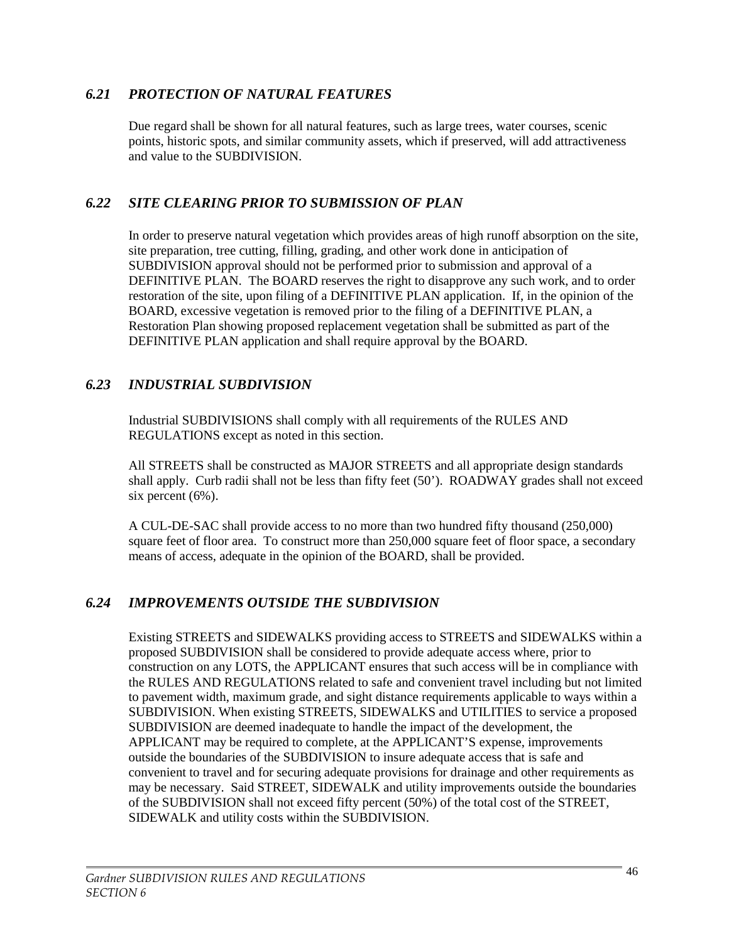## *6.21 PROTECTION OF NATURAL FEATURES*

Due regard shall be shown for all natural features, such as large trees, water courses, scenic points, historic spots, and similar community assets, which if preserved, will add attractiveness and value to the SUBDIVISION.

## *6.22 SITE CLEARING PRIOR TO SUBMISSION OF PLAN*

In order to preserve natural vegetation which provides areas of high runoff absorption on the site, site preparation, tree cutting, filling, grading, and other work done in anticipation of SUBDIVISION approval should not be performed prior to submission and approval of a DEFINITIVE PLAN. The BOARD reserves the right to disapprove any such work, and to order restoration of the site, upon filing of a DEFINITIVE PLAN application. If, in the opinion of the BOARD, excessive vegetation is removed prior to the filing of a DEFINITIVE PLAN, a Restoration Plan showing proposed replacement vegetation shall be submitted as part of the DEFINITIVE PLAN application and shall require approval by the BOARD.

## *6.23 INDUSTRIAL SUBDIVISION*

Industrial SUBDIVISIONS shall comply with all requirements of the RULES AND REGULATIONS except as noted in this section.

All STREETS shall be constructed as MAJOR STREETS and all appropriate design standards shall apply. Curb radii shall not be less than fifty feet (50'). ROADWAY grades shall not exceed six percent  $(6\%)$ .

A CUL-DE-SAC shall provide access to no more than two hundred fifty thousand (250,000) square feet of floor area. To construct more than 250,000 square feet of floor space, a secondary means of access, adequate in the opinion of the BOARD, shall be provided.

# *6.24 IMPROVEMENTS OUTSIDE THE SUBDIVISION*

Existing STREETS and SIDEWALKS providing access to STREETS and SIDEWALKS within a proposed SUBDIVISION shall be considered to provide adequate access where, prior to construction on any LOTS, the APPLICANT ensures that such access will be in compliance with the RULES AND REGULATIONS related to safe and convenient travel including but not limited to pavement width, maximum grade, and sight distance requirements applicable to ways within a SUBDIVISION. When existing STREETS, SIDEWALKS and UTILITIES to service a proposed SUBDIVISION are deemed inadequate to handle the impact of the development, the APPLICANT may be required to complete, at the APPLICANT'S expense, improvements outside the boundaries of the SUBDIVISION to insure adequate access that is safe and convenient to travel and for securing adequate provisions for drainage and other requirements as may be necessary. Said STREET, SIDEWALK and utility improvements outside the boundaries of the SUBDIVISION shall not exceed fifty percent (50%) of the total cost of the STREET, SIDEWALK and utility costs within the SUBDIVISION.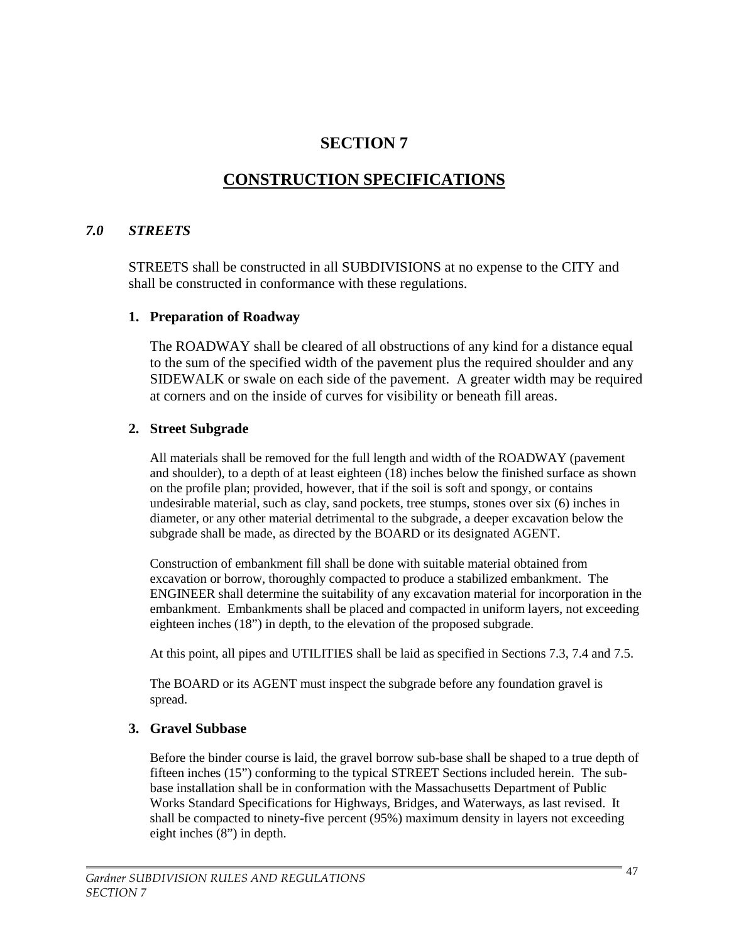# **SECTION 7**

# **CONSTRUCTION SPECIFICATIONS**

#### *7.0 STREETS*

STREETS shall be constructed in all SUBDIVISIONS at no expense to the CITY and shall be constructed in conformance with these regulations.

#### **1. Preparation of Roadway**

The ROADWAY shall be cleared of all obstructions of any kind for a distance equal to the sum of the specified width of the pavement plus the required shoulder and any SIDEWALK or swale on each side of the pavement. A greater width may be required at corners and on the inside of curves for visibility or beneath fill areas.

#### **2. Street Subgrade**

All materials shall be removed for the full length and width of the ROADWAY (pavement and shoulder), to a depth of at least eighteen (18) inches below the finished surface as shown on the profile plan; provided, however, that if the soil is soft and spongy, or contains undesirable material, such as clay, sand pockets, tree stumps, stones over six (6) inches in diameter, or any other material detrimental to the subgrade, a deeper excavation below the subgrade shall be made, as directed by the BOARD or its designated AGENT.

Construction of embankment fill shall be done with suitable material obtained from excavation or borrow, thoroughly compacted to produce a stabilized embankment. The ENGINEER shall determine the suitability of any excavation material for incorporation in the embankment. Embankments shall be placed and compacted in uniform layers, not exceeding eighteen inches (18") in depth, to the elevation of the proposed subgrade.

At this point, all pipes and UTILITIES shall be laid as specified in Sections 7.3, 7.4 and 7.5.

The BOARD or its AGENT must inspect the subgrade before any foundation gravel is spread.

#### **3. Gravel Subbase**

Before the binder course is laid, the gravel borrow sub-base shall be shaped to a true depth of fifteen inches (15") conforming to the typical STREET Sections included herein. The subbase installation shall be in conformation with the Massachusetts Department of Public Works Standard Specifications for Highways, Bridges, and Waterways, as last revised. It shall be compacted to ninety-five percent (95%) maximum density in layers not exceeding eight inches (8") in depth.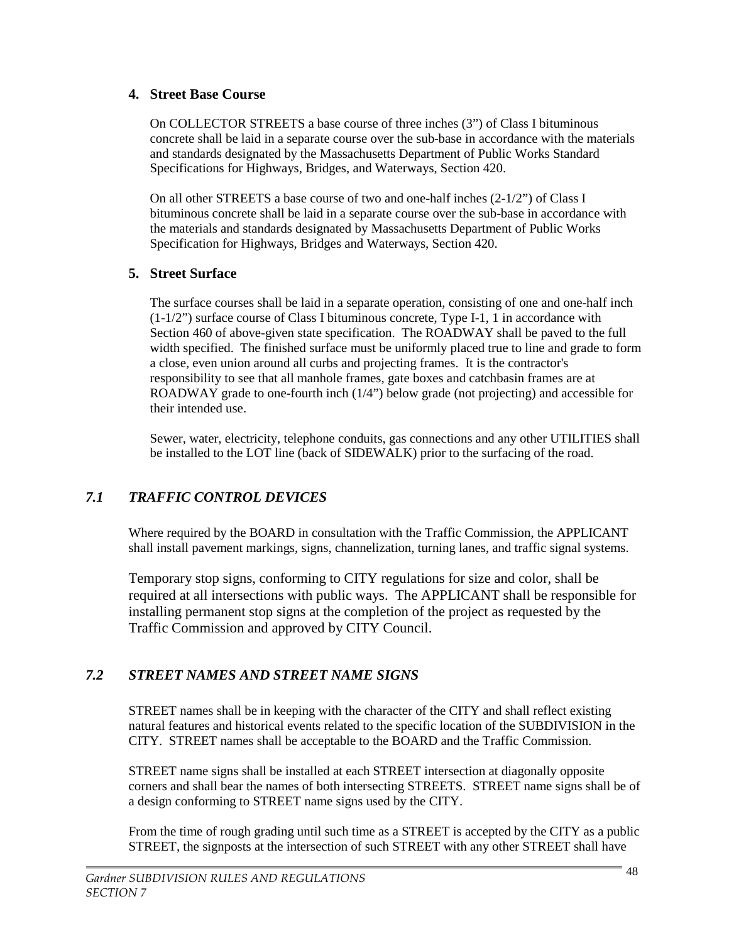### **4. Street Base Course**

On COLLECTOR STREETS a base course of three inches (3") of Class I bituminous concrete shall be laid in a separate course over the sub-base in accordance with the materials and standards designated by the Massachusetts Department of Public Works Standard Specifications for Highways, Bridges, and Waterways, Section 420.

On all other STREETS a base course of two and one-half inches (2-1/2") of Class I bituminous concrete shall be laid in a separate course over the sub-base in accordance with the materials and standards designated by Massachusetts Department of Public Works Specification for Highways, Bridges and Waterways, Section 420.

## **5. Street Surface**

The surface courses shall be laid in a separate operation, consisting of one and one-half inch  $(1-1/2)$ " surface course of Class I bituminous concrete, Type I-1, 1 in accordance with Section 460 of above-given state specification. The ROADWAY shall be paved to the full width specified. The finished surface must be uniformly placed true to line and grade to form a close, even union around all curbs and projecting frames. It is the contractor's responsibility to see that all manhole frames, gate boxes and catchbasin frames are at ROADWAY grade to one-fourth inch (1/4") below grade (not projecting) and accessible for their intended use.

Sewer, water, electricity, telephone conduits, gas connections and any other UTILITIES shall be installed to the LOT line (back of SIDEWALK) prior to the surfacing of the road.

# *7.1 TRAFFIC CONTROL DEVICES*

Where required by the BOARD in consultation with the Traffic Commission, the APPLICANT shall install pavement markings, signs, channelization, turning lanes, and traffic signal systems.

Temporary stop signs, conforming to CITY regulations for size and color, shall be required at all intersections with public ways. The APPLICANT shall be responsible for installing permanent stop signs at the completion of the project as requested by the Traffic Commission and approved by CITY Council.

# *7.2 STREET NAMES AND STREET NAME SIGNS*

STREET names shall be in keeping with the character of the CITY and shall reflect existing natural features and historical events related to the specific location of the SUBDIVISION in the CITY. STREET names shall be acceptable to the BOARD and the Traffic Commission.

STREET name signs shall be installed at each STREET intersection at diagonally opposite corners and shall bear the names of both intersecting STREETS. STREET name signs shall be of a design conforming to STREET name signs used by the CITY.

From the time of rough grading until such time as a STREET is accepted by the CITY as a public STREET, the signposts at the intersection of such STREET with any other STREET shall have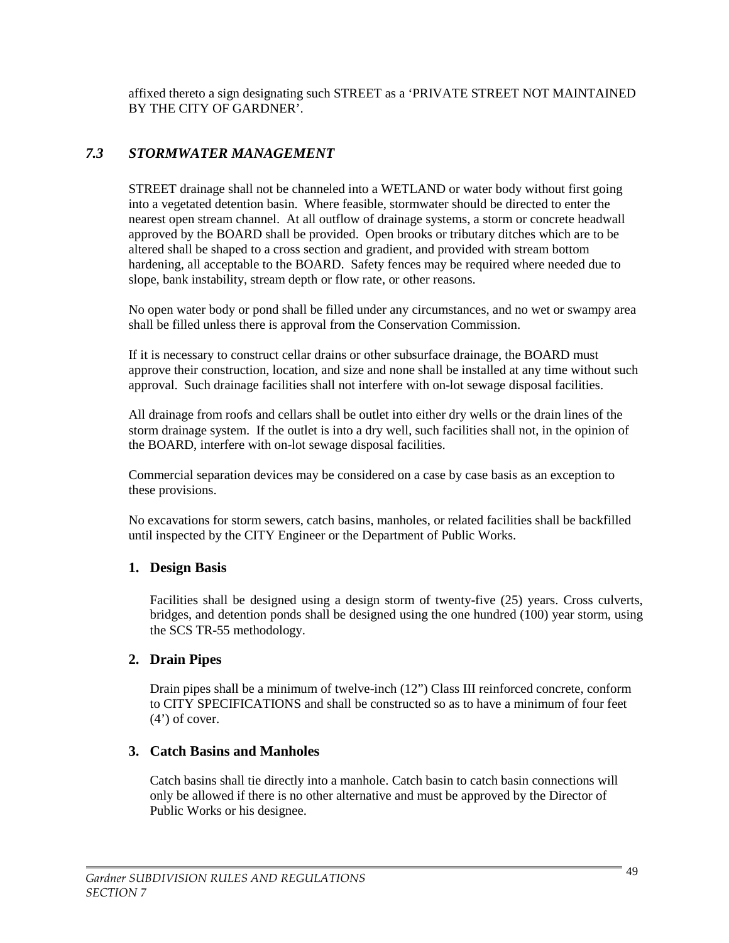affixed thereto a sign designating such STREET as a 'PRIVATE STREET NOT MAINTAINED BY THE CITY OF GARDNER'.

# *7.3 STORMWATER MANAGEMENT*

STREET drainage shall not be channeled into a WETLAND or water body without first going into a vegetated detention basin. Where feasible, stormwater should be directed to enter the nearest open stream channel. At all outflow of drainage systems, a storm or concrete headwall approved by the BOARD shall be provided. Open brooks or tributary ditches which are to be altered shall be shaped to a cross section and gradient, and provided with stream bottom hardening, all acceptable to the BOARD. Safety fences may be required where needed due to slope, bank instability, stream depth or flow rate, or other reasons.

No open water body or pond shall be filled under any circumstances, and no wet or swampy area shall be filled unless there is approval from the Conservation Commission.

If it is necessary to construct cellar drains or other subsurface drainage, the BOARD must approve their construction, location, and size and none shall be installed at any time without such approval. Such drainage facilities shall not interfere with on-lot sewage disposal facilities.

All drainage from roofs and cellars shall be outlet into either dry wells or the drain lines of the storm drainage system. If the outlet is into a dry well, such facilities shall not, in the opinion of the BOARD, interfere with on-lot sewage disposal facilities.

Commercial separation devices may be considered on a case by case basis as an exception to these provisions.

No excavations for storm sewers, catch basins, manholes, or related facilities shall be backfilled until inspected by the CITY Engineer or the Department of Public Works.

### **1. Design Basis**

Facilities shall be designed using a design storm of twenty-five (25) years. Cross culverts, bridges, and detention ponds shall be designed using the one hundred (100) year storm, using the SCS TR-55 methodology.

### **2. Drain Pipes**

Drain pipes shall be a minimum of twelve-inch (12") Class III reinforced concrete, conform to CITY SPECIFICATIONS and shall be constructed so as to have a minimum of four feet  $(4')$  of cover.

### **3. Catch Basins and Manholes**

Catch basins shall tie directly into a manhole. Catch basin to catch basin connections will only be allowed if there is no other alternative and must be approved by the Director of Public Works or his designee.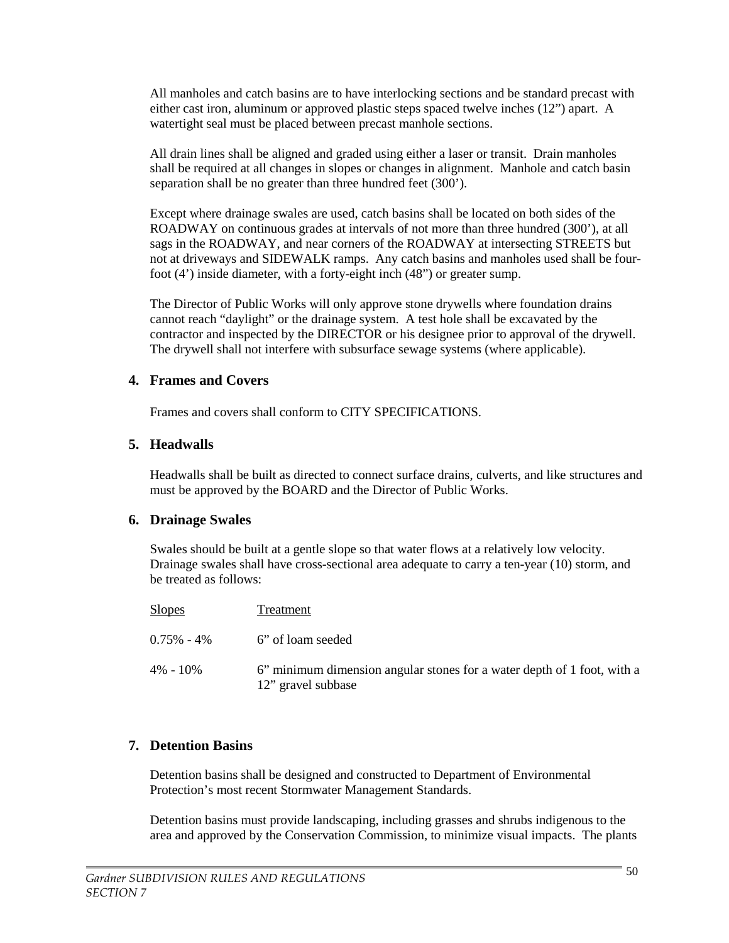All manholes and catch basins are to have interlocking sections and be standard precast with either cast iron, aluminum or approved plastic steps spaced twelve inches (12") apart. A watertight seal must be placed between precast manhole sections.

All drain lines shall be aligned and graded using either a laser or transit. Drain manholes shall be required at all changes in slopes or changes in alignment. Manhole and catch basin separation shall be no greater than three hundred feet (300').

Except where drainage swales are used, catch basins shall be located on both sides of the ROADWAY on continuous grades at intervals of not more than three hundred (300'), at all sags in the ROADWAY, and near corners of the ROADWAY at intersecting STREETS but not at driveways and SIDEWALK ramps. Any catch basins and manholes used shall be fourfoot (4') inside diameter, with a forty-eight inch (48") or greater sump.

The Director of Public Works will only approve stone drywells where foundation drains cannot reach "daylight" or the drainage system. A test hole shall be excavated by the contractor and inspected by the DIRECTOR or his designee prior to approval of the drywell. The drywell shall not interfere with subsurface sewage systems (where applicable).

#### **4. Frames and Covers**

Frames and covers shall conform to CITY SPECIFICATIONS.

#### **5. Headwalls**

Headwalls shall be built as directed to connect surface drains, culverts, and like structures and must be approved by the BOARD and the Director of Public Works.

#### **6. Drainage Swales**

Swales should be built at a gentle slope so that water flows at a relatively low velocity. Drainage swales shall have cross-sectional area adequate to carry a ten-year (10) storm, and be treated as follows:

| <b>Slopes</b>  | Treatment                                                                                     |
|----------------|-----------------------------------------------------------------------------------------------|
| $0.75\% - 4\%$ | 6" of loam seeded                                                                             |
| $4\% - 10\%$   | 6" minimum dimension angular stones for a water depth of 1 foot, with a<br>12" gravel subbase |

### **7. Detention Basins**

Detention basins shall be designed and constructed to Department of Environmental Protection's most recent Stormwater Management Standards.

Detention basins must provide landscaping, including grasses and shrubs indigenous to the area and approved by the Conservation Commission, to minimize visual impacts. The plants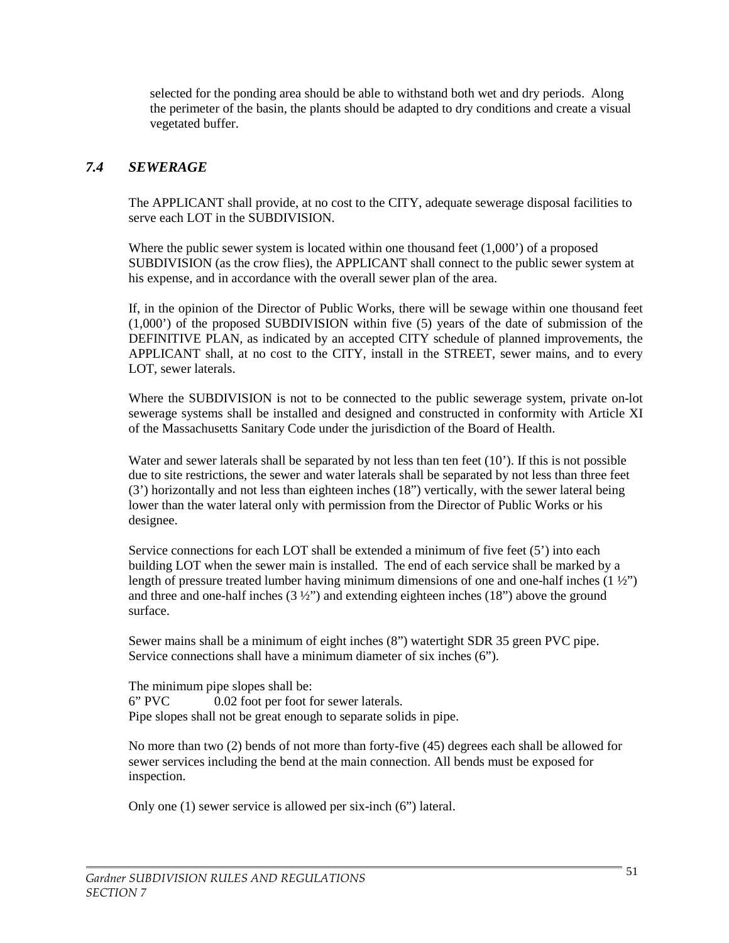selected for the ponding area should be able to withstand both wet and dry periods. Along the perimeter of the basin, the plants should be adapted to dry conditions and create a visual vegetated buffer.

### *7.4 SEWERAGE*

The APPLICANT shall provide, at no cost to the CITY, adequate sewerage disposal facilities to serve each LOT in the SUBDIVISION.

Where the public sewer system is located within one thousand feet  $(1,000)$  of a proposed SUBDIVISION (as the crow flies), the APPLICANT shall connect to the public sewer system at his expense, and in accordance with the overall sewer plan of the area.

If, in the opinion of the Director of Public Works, there will be sewage within one thousand feet (1,000') of the proposed SUBDIVISION within five (5) years of the date of submission of the DEFINITIVE PLAN, as indicated by an accepted CITY schedule of planned improvements, the APPLICANT shall, at no cost to the CITY, install in the STREET, sewer mains, and to every LOT, sewer laterals.

Where the SUBDIVISION is not to be connected to the public sewerage system, private on-lot sewerage systems shall be installed and designed and constructed in conformity with Article XI of the Massachusetts Sanitary Code under the jurisdiction of the Board of Health.

Water and sewer laterals shall be separated by not less than ten feet (10'). If this is not possible due to site restrictions, the sewer and water laterals shall be separated by not less than three feet (3') horizontally and not less than eighteen inches (18") vertically, with the sewer lateral being lower than the water lateral only with permission from the Director of Public Works or his designee.

Service connections for each LOT shall be extended a minimum of five feet (5') into each building LOT when the sewer main is installed. The end of each service shall be marked by a length of pressure treated lumber having minimum dimensions of one and one-half inches  $(1 \frac{1}{2})$ and three and one-half inches  $(3 \frac{1}{2})$  and extending eighteen inches  $(18)$  above the ground surface.

Sewer mains shall be a minimum of eight inches (8") watertight SDR 35 green PVC pipe. Service connections shall have a minimum diameter of six inches (6").

The minimum pipe slopes shall be: 6" PVC 0.02 foot per foot for sewer laterals. Pipe slopes shall not be great enough to separate solids in pipe.

No more than two (2) bends of not more than forty-five (45) degrees each shall be allowed for sewer services including the bend at the main connection. All bends must be exposed for inspection.

Only one (1) sewer service is allowed per six-inch (6") lateral.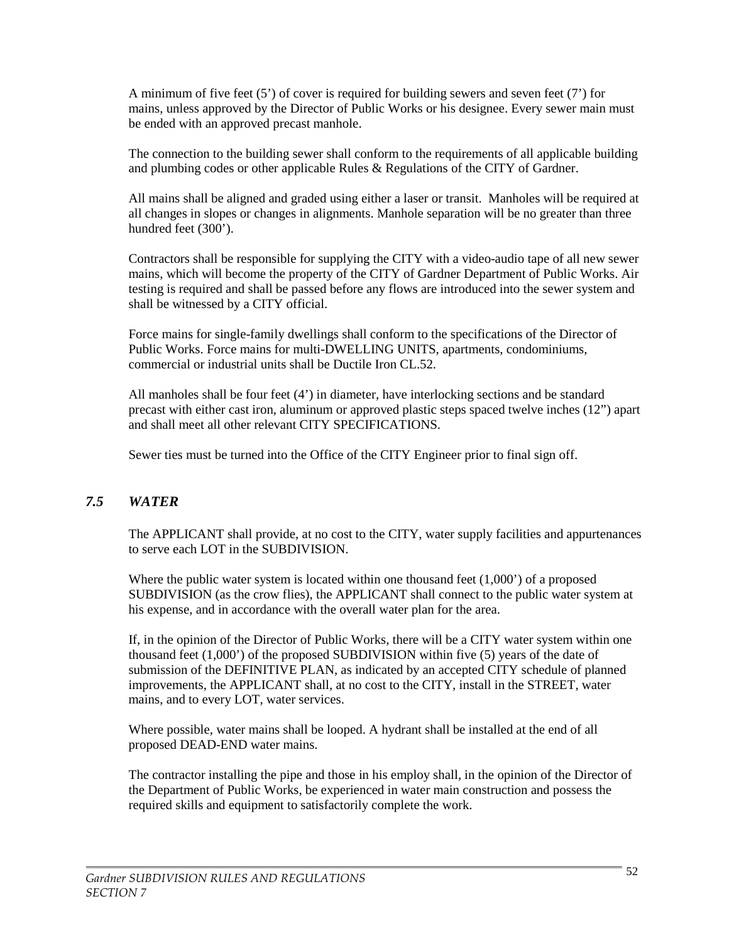A minimum of five feet (5') of cover is required for building sewers and seven feet (7') for mains, unless approved by the Director of Public Works or his designee. Every sewer main must be ended with an approved precast manhole.

The connection to the building sewer shall conform to the requirements of all applicable building and plumbing codes or other applicable Rules & Regulations of the CITY of Gardner.

All mains shall be aligned and graded using either a laser or transit. Manholes will be required at all changes in slopes or changes in alignments. Manhole separation will be no greater than three hundred feet (300').

Contractors shall be responsible for supplying the CITY with a video-audio tape of all new sewer mains, which will become the property of the CITY of Gardner Department of Public Works. Air testing is required and shall be passed before any flows are introduced into the sewer system and shall be witnessed by a CITY official.

Force mains for single-family dwellings shall conform to the specifications of the Director of Public Works. Force mains for multi-DWELLING UNITS, apartments, condominiums, commercial or industrial units shall be Ductile Iron CL.52.

All manholes shall be four feet (4') in diameter, have interlocking sections and be standard precast with either cast iron, aluminum or approved plastic steps spaced twelve inches (12") apart and shall meet all other relevant CITY SPECIFICATIONS.

Sewer ties must be turned into the Office of the CITY Engineer prior to final sign off.

### *7.5 WATER*

The APPLICANT shall provide, at no cost to the CITY, water supply facilities and appurtenances to serve each LOT in the SUBDIVISION.

Where the public water system is located within one thousand feet  $(1,000)$  of a proposed SUBDIVISION (as the crow flies), the APPLICANT shall connect to the public water system at his expense, and in accordance with the overall water plan for the area.

If, in the opinion of the Director of Public Works, there will be a CITY water system within one thousand feet (1,000') of the proposed SUBDIVISION within five (5) years of the date of submission of the DEFINITIVE PLAN, as indicated by an accepted CITY schedule of planned improvements, the APPLICANT shall, at no cost to the CITY, install in the STREET, water mains, and to every LOT, water services.

Where possible, water mains shall be looped. A hydrant shall be installed at the end of all proposed DEAD-END water mains.

The contractor installing the pipe and those in his employ shall, in the opinion of the Director of the Department of Public Works, be experienced in water main construction and possess the required skills and equipment to satisfactorily complete the work.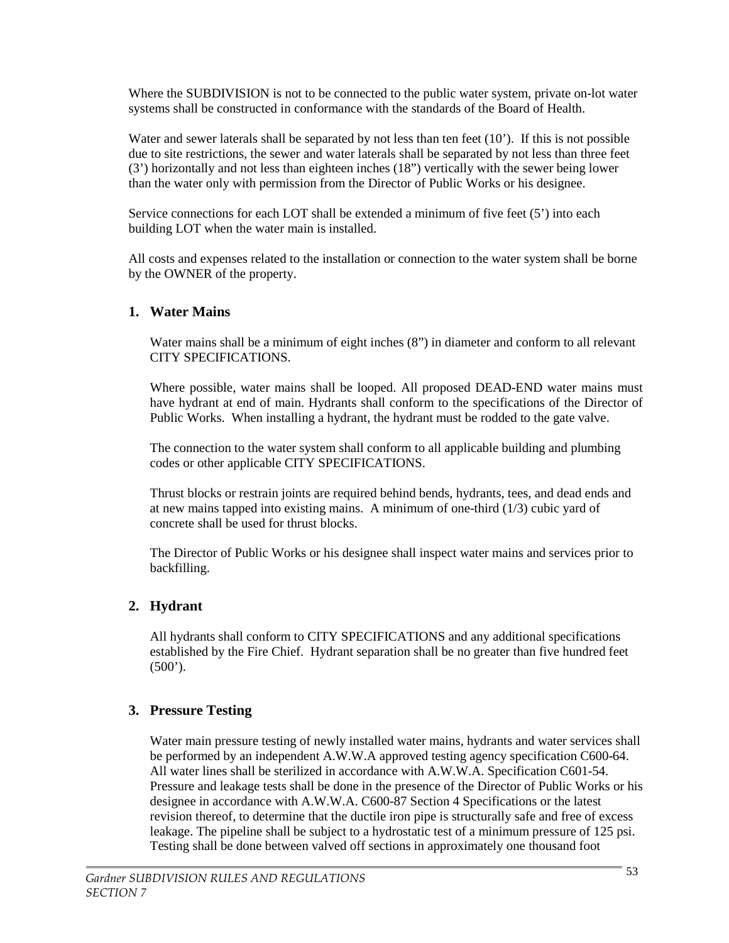Where the SUBDIVISION is not to be connected to the public water system, private on-lot water systems shall be constructed in conformance with the standards of the Board of Health.

Water and sewer laterals shall be separated by not less than ten feet (10'). If this is not possible due to site restrictions, the sewer and water laterals shall be separated by not less than three feet (3') horizontally and not less than eighteen inches (18") vertically with the sewer being lower than the water only with permission from the Director of Public Works or his designee.

Service connections for each LOT shall be extended a minimum of five feet  $(5')$  into each building LOT when the water main is installed.

All costs and expenses related to the installation or connection to the water system shall be borne by the OWNER of the property.

#### **1. Water Mains**

Water mains shall be a minimum of eight inches (8") in diameter and conform to all relevant CITY SPECIFICATIONS.

Where possible, water mains shall be looped. All proposed DEAD-END water mains must have hydrant at end of main. Hydrants shall conform to the specifications of the Director of Public Works. When installing a hydrant, the hydrant must be rodded to the gate valve.

The connection to the water system shall conform to all applicable building and plumbing codes or other applicable CITY SPECIFICATIONS.

Thrust blocks or restrain joints are required behind bends, hydrants, tees, and dead ends and at new mains tapped into existing mains. A minimum of one-third (1/3) cubic yard of concrete shall be used for thrust blocks.

The Director of Public Works or his designee shall inspect water mains and services prior to backfilling.

### **2. Hydrant**

All hydrants shall conform to CITY SPECIFICATIONS and any additional specifications established by the Fire Chief. Hydrant separation shall be no greater than five hundred feet  $(500^{\circ})$ .

### **3. Pressure Testing**

Water main pressure testing of newly installed water mains, hydrants and water services shall be performed by an independent A.W.W.A approved testing agency specification C600-64. All water lines shall be sterilized in accordance with A.W.W.A. Specification C601-54. Pressure and leakage tests shall be done in the presence of the Director of Public Works or his designee in accordance with A.W.W.A. C600-87 Section 4 Specifications or the latest revision thereof, to determine that the ductile iron pipe is structurally safe and free of excess leakage. The pipeline shall be subject to a hydrostatic test of a minimum pressure of 125 psi. Testing shall be done between valved off sections in approximately one thousand foot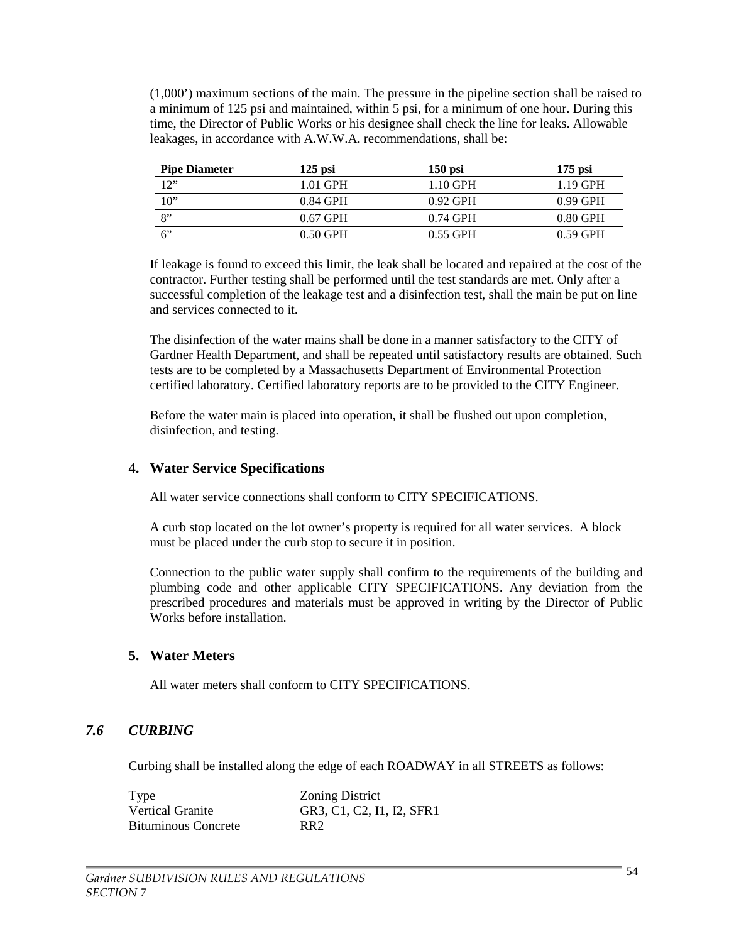(1,000') maximum sections of the main. The pressure in the pipeline section shall be raised to a minimum of 125 psi and maintained, within 5 psi, for a minimum of one hour. During this time, the Director of Public Works or his designee shall check the line for leaks. Allowable leakages, in accordance with A.W.W.A. recommendations, shall be:

| <b>Pipe Diameter</b> | $125$ psi  | $150$ psi  | $175$ psi  |
|----------------------|------------|------------|------------|
| 12                   | $1.01$ GPH | $1.10$ GPH | 1.19 GPH   |
| 10"                  | 0.84 GPH   | $0.92$ GPH | $0.99$ GPH |
| 8"                   | $0.67$ GPH | 0.74 GPH   | $0.80$ GPH |
| 6"                   | $0.50$ GPH | $0.55$ GPH | $0.59$ GPH |

If leakage is found to exceed this limit, the leak shall be located and repaired at the cost of the contractor. Further testing shall be performed until the test standards are met. Only after a successful completion of the leakage test and a disinfection test, shall the main be put on line and services connected to it.

The disinfection of the water mains shall be done in a manner satisfactory to the CITY of Gardner Health Department, and shall be repeated until satisfactory results are obtained. Such tests are to be completed by a Massachusetts Department of Environmental Protection certified laboratory. Certified laboratory reports are to be provided to the CITY Engineer.

Before the water main is placed into operation, it shall be flushed out upon completion, disinfection, and testing.

### **4. Water Service Specifications**

All water service connections shall conform to CITY SPECIFICATIONS.

A curb stop located on the lot owner's property is required for all water services. A block must be placed under the curb stop to secure it in position.

Connection to the public water supply shall confirm to the requirements of the building and plumbing code and other applicable CITY SPECIFICATIONS. Any deviation from the prescribed procedures and materials must be approved in writing by the Director of Public Works before installation.

### **5. Water Meters**

All water meters shall conform to CITY SPECIFICATIONS.

### *7.6 CURBING*

Curbing shall be installed along the edge of each ROADWAY in all STREETS as follows:

| <b>Type</b>                | <b>Zoning District</b>    |
|----------------------------|---------------------------|
| <b>Vertical Granite</b>    | GR3, C1, C2, I1, I2, SFR1 |
| <b>Bituminous Concrete</b> | RR <sub>2</sub>           |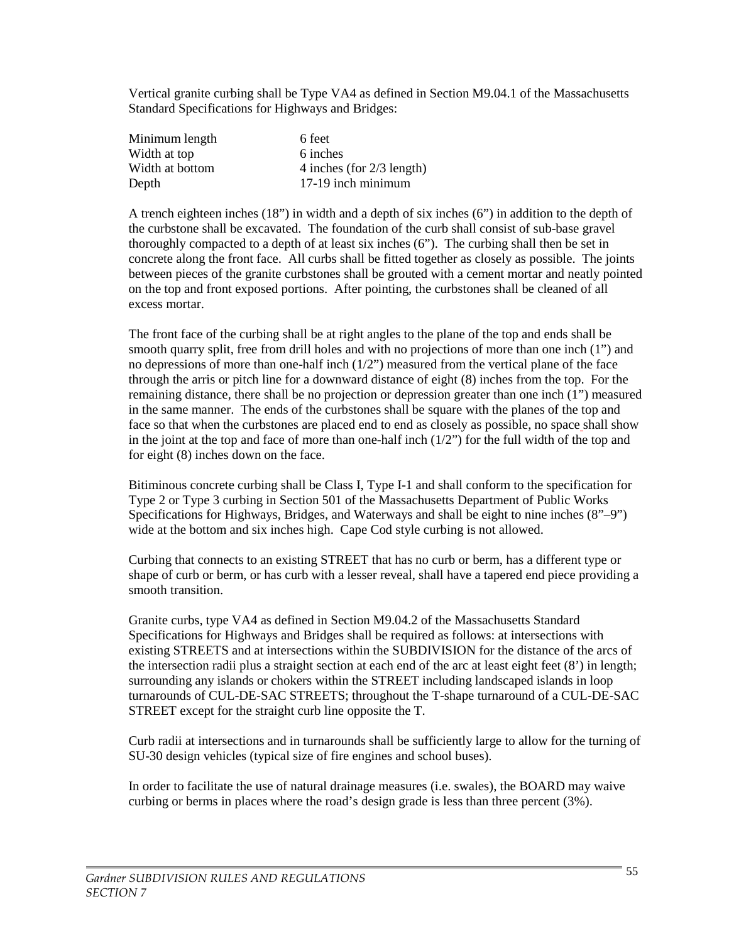Vertical granite curbing shall be Type VA4 as defined in Section M9.04.1 of the Massachusetts Standard Specifications for Highways and Bridges:

| Minimum length  | 6 feet                    |
|-----------------|---------------------------|
| Width at top    | 6 inches                  |
| Width at bottom | 4 inches (for 2/3 length) |
| Depth           | 17-19 inch minimum        |

A trench eighteen inches (18") in width and a depth of six inches (6") in addition to the depth of the curbstone shall be excavated. The foundation of the curb shall consist of sub-base gravel thoroughly compacted to a depth of at least six inches (6"). The curbing shall then be set in concrete along the front face. All curbs shall be fitted together as closely as possible. The joints between pieces of the granite curbstones shall be grouted with a cement mortar and neatly pointed on the top and front exposed portions. After pointing, the curbstones shall be cleaned of all excess mortar.

The front face of the curbing shall be at right angles to the plane of the top and ends shall be smooth quarry split, free from drill holes and with no projections of more than one inch (1") and no depressions of more than one-half inch (1/2") measured from the vertical plane of the face through the arris or pitch line for a downward distance of eight (8) inches from the top. For the remaining distance, there shall be no projection or depression greater than one inch (1") measured in the same manner. The ends of the curbstones shall be square with the planes of the top and face so that when the curbstones are placed end to end as closely as possible, no space shall show in the joint at the top and face of more than one-half inch  $(1/2)$  for the full width of the top and for eight (8) inches down on the face.

Bitiminous concrete curbing shall be Class I, Type I-1 and shall conform to the specification for Type 2 or Type 3 curbing in Section 501 of the Massachusetts Department of Public Works Specifications for Highways, Bridges, and Waterways and shall be eight to nine inches (8"–9") wide at the bottom and six inches high. Cape Cod style curbing is not allowed.

Curbing that connects to an existing STREET that has no curb or berm, has a different type or shape of curb or berm, or has curb with a lesser reveal, shall have a tapered end piece providing a smooth transition.

Granite curbs, type VA4 as defined in Section M9.04.2 of the Massachusetts Standard Specifications for Highways and Bridges shall be required as follows: at intersections with existing STREETS and at intersections within the SUBDIVISION for the distance of the arcs of the intersection radii plus a straight section at each end of the arc at least eight feet (8') in length; surrounding any islands or chokers within the STREET including landscaped islands in loop turnarounds of CUL-DE-SAC STREETS; throughout the T-shape turnaround of a CUL-DE-SAC STREET except for the straight curb line opposite the T.

Curb radii at intersections and in turnarounds shall be sufficiently large to allow for the turning of SU-30 design vehicles (typical size of fire engines and school buses).

In order to facilitate the use of natural drainage measures (i.e. swales), the BOARD may waive curbing or berms in places where the road's design grade is less than three percent (3%).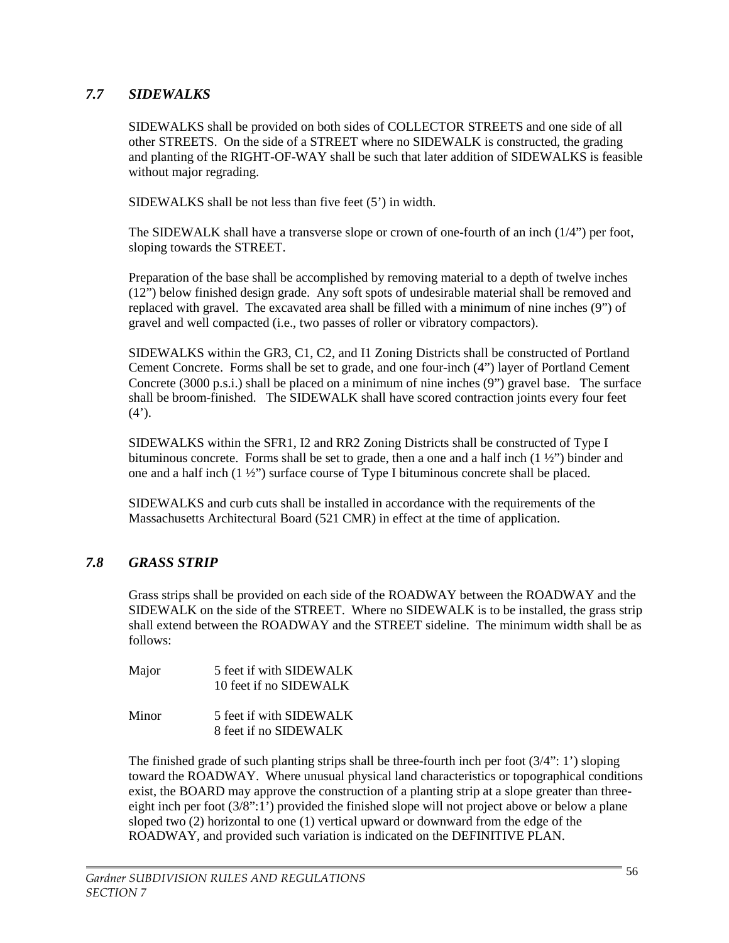### *7.7 SIDEWALKS*

SIDEWALKS shall be provided on both sides of COLLECTOR STREETS and one side of all other STREETS. On the side of a STREET where no SIDEWALK is constructed, the grading and planting of the RIGHT-OF-WAY shall be such that later addition of SIDEWALKS is feasible without major regrading.

SIDEWALKS shall be not less than five feet (5') in width.

The SIDEWALK shall have a transverse slope or crown of one-fourth of an inch (1/4") per foot, sloping towards the STREET.

Preparation of the base shall be accomplished by removing material to a depth of twelve inches (12") below finished design grade. Any soft spots of undesirable material shall be removed and replaced with gravel. The excavated area shall be filled with a minimum of nine inches (9") of gravel and well compacted (i.e., two passes of roller or vibratory compactors).

SIDEWALKS within the GR3, C1, C2, and I1 Zoning Districts shall be constructed of Portland Cement Concrete. Forms shall be set to grade, and one four-inch (4") layer of Portland Cement Concrete (3000 p.s.i.) shall be placed on a minimum of nine inches (9") gravel base. The surface shall be broom-finished. The SIDEWALK shall have scored contraction joints every four feet  $(4^{\prime})$ .

SIDEWALKS within the SFR1, I2 and RR2 Zoning Districts shall be constructed of Type I bituminous concrete. Forms shall be set to grade, then a one and a half inch  $(1 \frac{1}{2})$  binder and one and a half inch  $(1 \frac{1}{2})$  surface course of Type I bituminous concrete shall be placed.

SIDEWALKS and curb cuts shall be installed in accordance with the requirements of the Massachusetts Architectural Board (521 CMR) in effect at the time of application.

### *7.8 GRASS STRIP*

Grass strips shall be provided on each side of the ROADWAY between the ROADWAY and the SIDEWALK on the side of the STREET. Where no SIDEWALK is to be installed, the grass strip shall extend between the ROADWAY and the STREET sideline. The minimum width shall be as follows:

- Major 5 feet if with SIDEWALK 10 feet if no SIDEWALK
- Minor 5 feet if with SIDEWALK 8 feet if no SIDEWALK

The finished grade of such planting strips shall be three-fourth inch per foot  $(3/4"$ : 1') sloping toward the ROADWAY. Where unusual physical land characteristics or topographical conditions exist, the BOARD may approve the construction of a planting strip at a slope greater than threeeight inch per foot (3/8":1') provided the finished slope will not project above or below a plane sloped two (2) horizontal to one (1) vertical upward or downward from the edge of the ROADWAY, and provided such variation is indicated on the DEFINITIVE PLAN.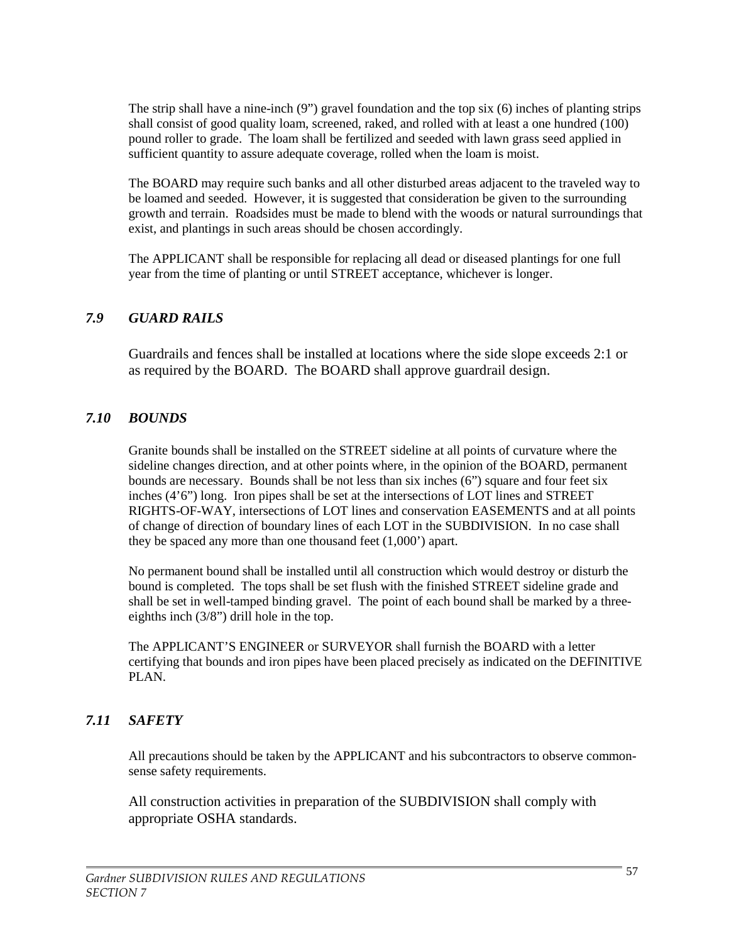The strip shall have a nine-inch (9") gravel foundation and the top six (6) inches of planting strips shall consist of good quality loam, screened, raked, and rolled with at least a one hundred (100) pound roller to grade. The loam shall be fertilized and seeded with lawn grass seed applied in sufficient quantity to assure adequate coverage, rolled when the loam is moist.

The BOARD may require such banks and all other disturbed areas adjacent to the traveled way to be loamed and seeded. However, it is suggested that consideration be given to the surrounding growth and terrain. Roadsides must be made to blend with the woods or natural surroundings that exist, and plantings in such areas should be chosen accordingly.

The APPLICANT shall be responsible for replacing all dead or diseased plantings for one full year from the time of planting or until STREET acceptance, whichever is longer.

## *7.9 GUARD RAILS*

Guardrails and fences shall be installed at locations where the side slope exceeds 2:1 or as required by the BOARD. The BOARD shall approve guardrail design.

### *7.10 BOUNDS*

Granite bounds shall be installed on the STREET sideline at all points of curvature where the sideline changes direction, and at other points where, in the opinion of the BOARD, permanent bounds are necessary. Bounds shall be not less than six inches (6") square and four feet six inches (4'6") long. Iron pipes shall be set at the intersections of LOT lines and STREET RIGHTS-OF-WAY, intersections of LOT lines and conservation EASEMENTS and at all points of change of direction of boundary lines of each LOT in the SUBDIVISION. In no case shall they be spaced any more than one thousand feet (1,000') apart.

No permanent bound shall be installed until all construction which would destroy or disturb the bound is completed. The tops shall be set flush with the finished STREET sideline grade and shall be set in well-tamped binding gravel. The point of each bound shall be marked by a threeeighths inch (3/8") drill hole in the top.

The APPLICANT'S ENGINEER or SURVEYOR shall furnish the BOARD with a letter certifying that bounds and iron pipes have been placed precisely as indicated on the DEFINITIVE PLAN.

# *7.11 SAFETY*

All precautions should be taken by the APPLICANT and his subcontractors to observe commonsense safety requirements.

All construction activities in preparation of the SUBDIVISION shall comply with appropriate OSHA standards.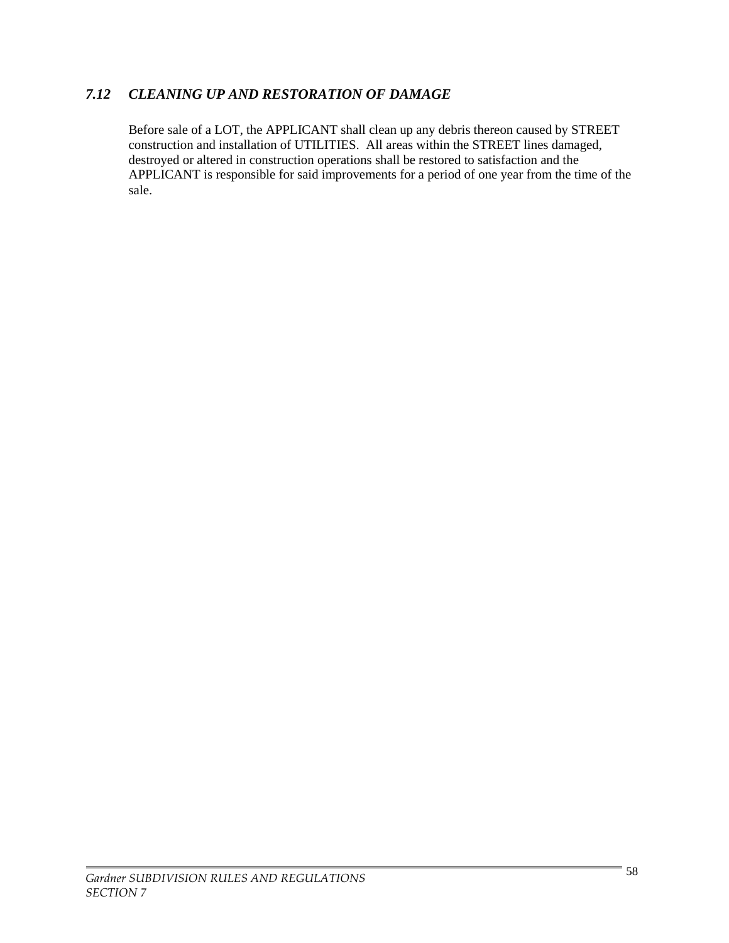# *7.12 CLEANING UP AND RESTORATION OF DAMAGE*

Before sale of a LOT, the APPLICANT shall clean up any debris thereon caused by STREET construction and installation of UTILITIES. All areas within the STREET lines damaged, destroyed or altered in construction operations shall be restored to satisfaction and the APPLICANT is responsible for said improvements for a period of one year from the time of the sale.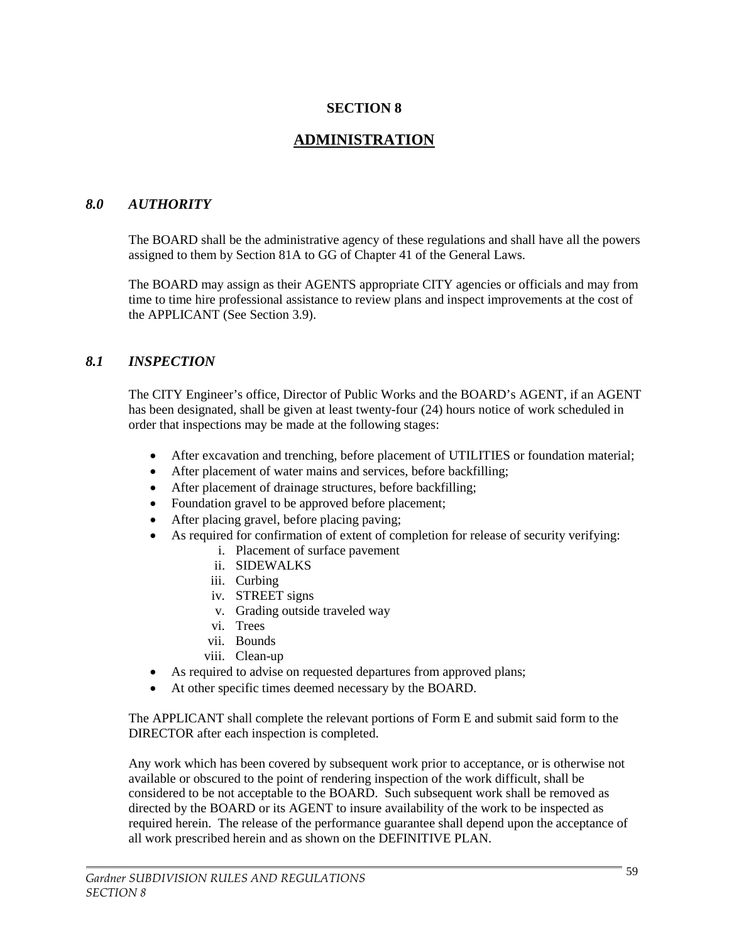### **SECTION 8**

# **ADMINISTRATION**

#### *8.0 AUTHORITY*

The BOARD shall be the administrative agency of these regulations and shall have all the powers assigned to them by Section 81A to GG of Chapter 41 of the General Laws.

The BOARD may assign as their AGENTS appropriate CITY agencies or officials and may from time to time hire professional assistance to review plans and inspect improvements at the cost of the APPLICANT (See Section 3.9).

#### *8.1 INSPECTION*

The CITY Engineer's office, Director of Public Works and the BOARD's AGENT, if an AGENT has been designated, shall be given at least twenty-four (24) hours notice of work scheduled in order that inspections may be made at the following stages:

- After excavation and trenching, before placement of UTILITIES or foundation material;
- After placement of water mains and services, before backfilling;
- After placement of drainage structures, before backfilling;
- Foundation gravel to be approved before placement;
- After placing gravel, before placing paving;
- As required for confirmation of extent of completion for release of security verifying:
	- i. Placement of surface pavement
	- ii. SIDEWALKS
	- iii. Curbing
	- iv. STREET signs
	- v. Grading outside traveled way
	- vi. Trees
	- vii. Bounds
	- viii. Clean-up
- As required to advise on requested departures from approved plans;
- At other specific times deemed necessary by the BOARD.

The APPLICANT shall complete the relevant portions of Form E and submit said form to the DIRECTOR after each inspection is completed.

Any work which has been covered by subsequent work prior to acceptance, or is otherwise not available or obscured to the point of rendering inspection of the work difficult, shall be considered to be not acceptable to the BOARD. Such subsequent work shall be removed as directed by the BOARD or its AGENT to insure availability of the work to be inspected as required herein. The release of the performance guarantee shall depend upon the acceptance of all work prescribed herein and as shown on the DEFINITIVE PLAN.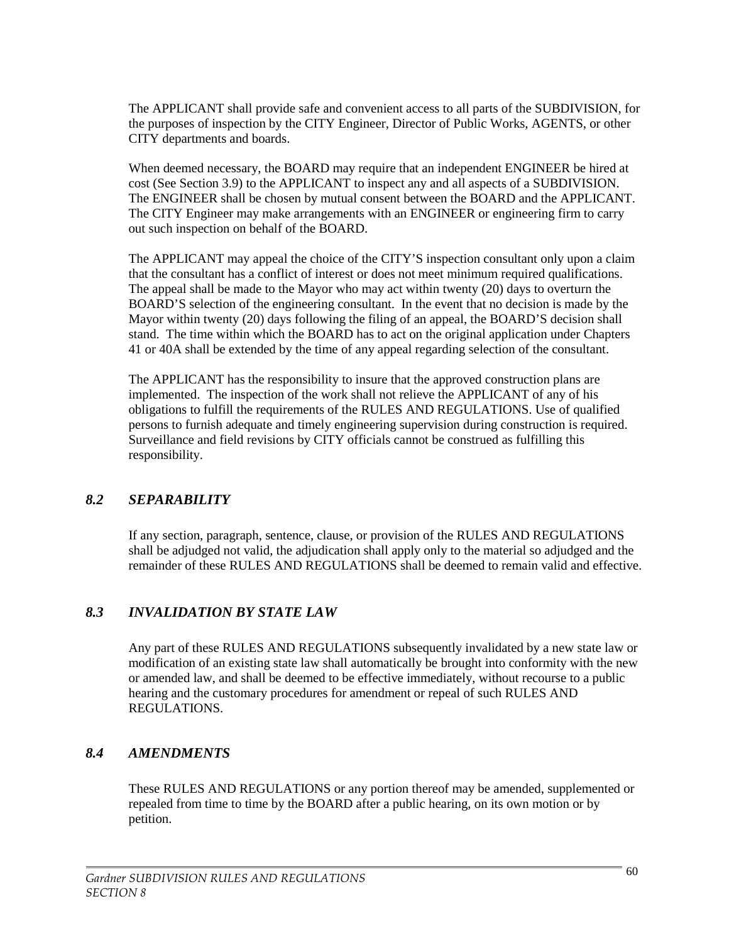The APPLICANT shall provide safe and convenient access to all parts of the SUBDIVISION, for the purposes of inspection by the CITY Engineer, Director of Public Works, AGENTS, or other CITY departments and boards.

When deemed necessary, the BOARD may require that an independent ENGINEER be hired at cost (See Section 3.9) to the APPLICANT to inspect any and all aspects of a SUBDIVISION. The ENGINEER shall be chosen by mutual consent between the BOARD and the APPLICANT. The CITY Engineer may make arrangements with an ENGINEER or engineering firm to carry out such inspection on behalf of the BOARD.

The APPLICANT may appeal the choice of the CITY'S inspection consultant only upon a claim that the consultant has a conflict of interest or does not meet minimum required qualifications. The appeal shall be made to the Mayor who may act within twenty (20) days to overturn the BOARD'S selection of the engineering consultant. In the event that no decision is made by the Mayor within twenty (20) days following the filing of an appeal, the BOARD'S decision shall stand. The time within which the BOARD has to act on the original application under Chapters 41 or 40A shall be extended by the time of any appeal regarding selection of the consultant.

The APPLICANT has the responsibility to insure that the approved construction plans are implemented. The inspection of the work shall not relieve the APPLICANT of any of his obligations to fulfill the requirements of the RULES AND REGULATIONS. Use of qualified persons to furnish adequate and timely engineering supervision during construction is required. Surveillance and field revisions by CITY officials cannot be construed as fulfilling this responsibility.

### *8.2 SEPARABILITY*

If any section, paragraph, sentence, clause, or provision of the RULES AND REGULATIONS shall be adjudged not valid, the adjudication shall apply only to the material so adjudged and the remainder of these RULES AND REGULATIONS shall be deemed to remain valid and effective.

# *8.3 INVALIDATION BY STATE LAW*

Any part of these RULES AND REGULATIONS subsequently invalidated by a new state law or modification of an existing state law shall automatically be brought into conformity with the new or amended law, and shall be deemed to be effective immediately, without recourse to a public hearing and the customary procedures for amendment or repeal of such RULES AND REGULATIONS.

### *8.4 AMENDMENTS*

These RULES AND REGULATIONS or any portion thereof may be amended, supplemented or repealed from time to time by the BOARD after a public hearing, on its own motion or by petition.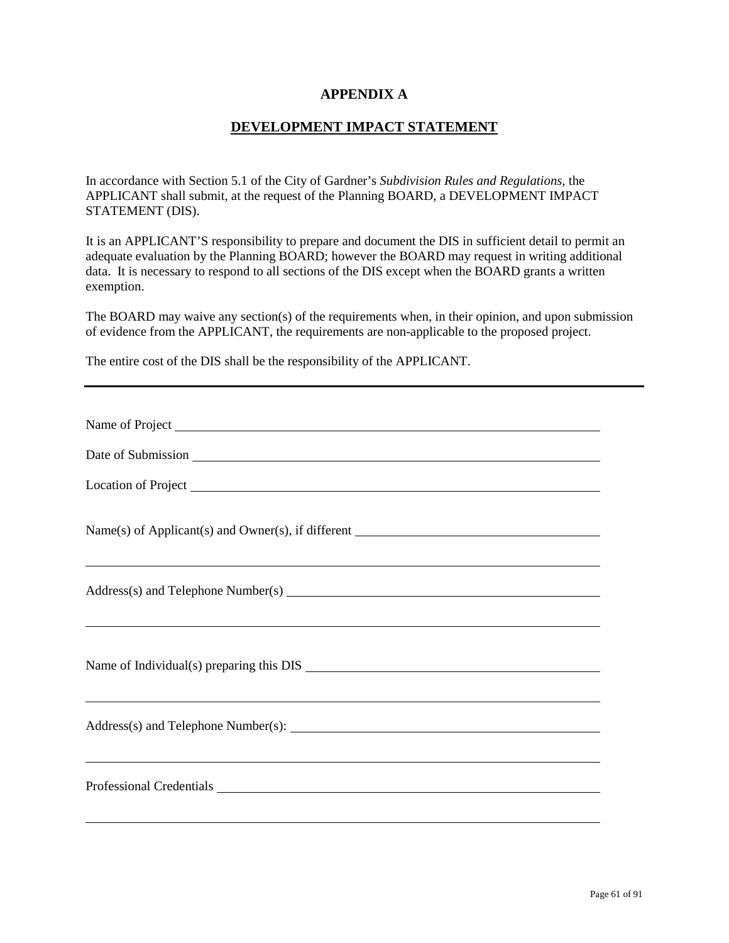#### **APPENDIX A**

#### **DEVELOPMENT IMPACT STATEMENT**

In accordance with Section 5.1 of the City of Gardner's *Subdivision Rules and Regulations,* the APPLICANT shall submit, at the request of the Planning BOARD, a DEVELOPMENT IMPACT STATEMENT (DIS).

It is an APPLICANT'S responsibility to prepare and document the DIS in sufficient detail to permit an adequate evaluation by the Planning BOARD; however the BOARD may request in writing additional data. It is necessary to respond to all sections of the DIS except when the BOARD grants a written exemption.

The BOARD may waive any section(s) of the requirements when, in their opinion, and upon submission of evidence from the APPLICANT, the requirements are non-applicable to the proposed project.

The entire cost of the DIS shall be the responsibility of the APPLICANT.

| Location of Project Location of Project                                          |
|----------------------------------------------------------------------------------|
|                                                                                  |
|                                                                                  |
|                                                                                  |
|                                                                                  |
| ,我们也不会有什么。""我们的人,我们也不会有什么?""我们的人,我们也不会有什么?""我们的人,我们也不会有什么?""我们的人,我们也不会有什么?""我们的人 |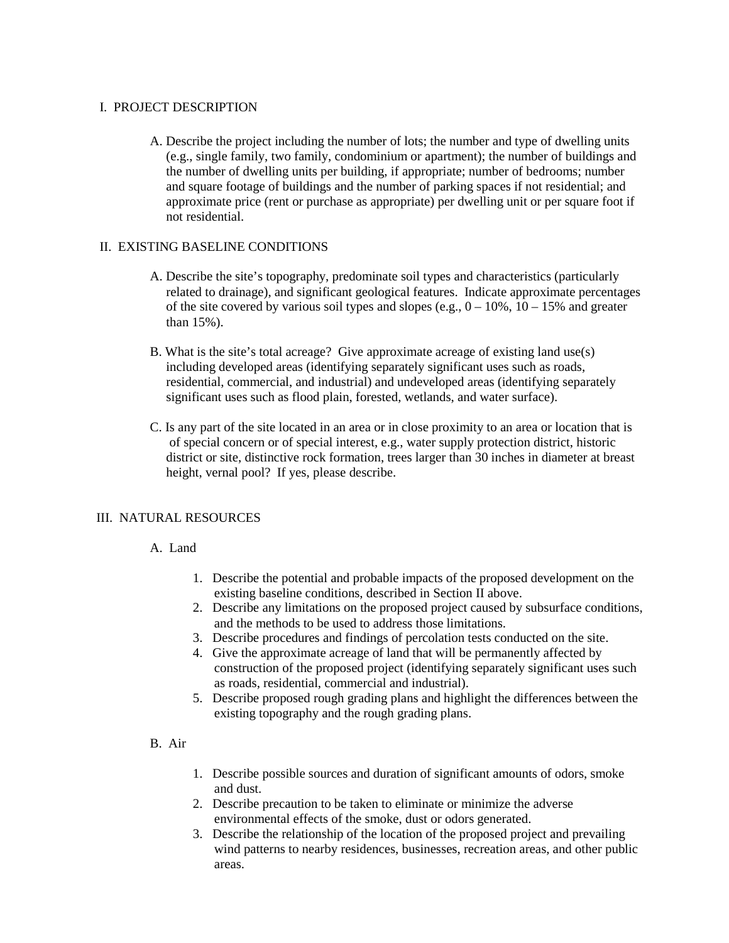#### I. PROJECT DESCRIPTION

A. Describe the project including the number of lots; the number and type of dwelling units (e.g., single family, two family, condominium or apartment); the number of buildings and the number of dwelling units per building, if appropriate; number of bedrooms; number and square footage of buildings and the number of parking spaces if not residential; and approximate price (rent or purchase as appropriate) per dwelling unit or per square foot if not residential.

#### II. EXISTING BASELINE CONDITIONS

- A. Describe the site's topography, predominate soil types and characteristics (particularly related to drainage), and significant geological features. Indicate approximate percentages of the site covered by various soil types and slopes (e.g.,  $0 - 10\%$ ,  $10 - 15\%$  and greater than 15%).
- B. What is the site's total acreage? Give approximate acreage of existing land use(s) including developed areas (identifying separately significant uses such as roads, residential, commercial, and industrial) and undeveloped areas (identifying separately significant uses such as flood plain, forested, wetlands, and water surface).
- C. Is any part of the site located in an area or in close proximity to an area or location that is of special concern or of special interest, e.g., water supply protection district, historic district or site, distinctive rock formation, trees larger than 30 inches in diameter at breast height, vernal pool? If yes, please describe.

#### III. NATURAL RESOURCES

#### A. Land

- 1. Describe the potential and probable impacts of the proposed development on the existing baseline conditions, described in Section II above.
- 2. Describe any limitations on the proposed project caused by subsurface conditions, and the methods to be used to address those limitations.
- 3. Describe procedures and findings of percolation tests conducted on the site.
- 4. Give the approximate acreage of land that will be permanently affected by construction of the proposed project (identifying separately significant uses such as roads, residential, commercial and industrial).
- 5. Describe proposed rough grading plans and highlight the differences between the existing topography and the rough grading plans.

#### B. Air

- 1. Describe possible sources and duration of significant amounts of odors, smoke and dust.
- 2. Describe precaution to be taken to eliminate or minimize the adverse environmental effects of the smoke, dust or odors generated.
- 3. Describe the relationship of the location of the proposed project and prevailing wind patterns to nearby residences, businesses, recreation areas, and other public areas.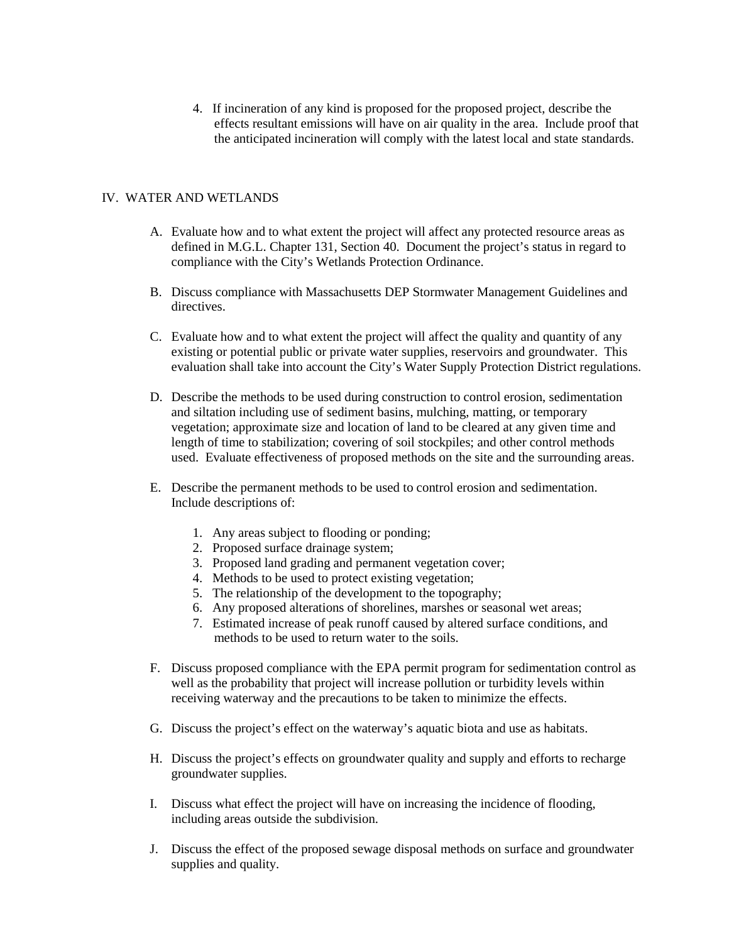4. If incineration of any kind is proposed for the proposed project, describe the effects resultant emissions will have on air quality in the area. Include proof that the anticipated incineration will comply with the latest local and state standards.

#### IV. WATER AND WETLANDS

- A. Evaluate how and to what extent the project will affect any protected resource areas as defined in M.G.L. Chapter 131, Section 40. Document the project's status in regard to compliance with the City's Wetlands Protection Ordinance.
- B. Discuss compliance with Massachusetts DEP Stormwater Management Guidelines and directives.
- C. Evaluate how and to what extent the project will affect the quality and quantity of any existing or potential public or private water supplies, reservoirs and groundwater. This evaluation shall take into account the City's Water Supply Protection District regulations.
- D. Describe the methods to be used during construction to control erosion, sedimentation and siltation including use of sediment basins, mulching, matting, or temporary vegetation; approximate size and location of land to be cleared at any given time and length of time to stabilization; covering of soil stockpiles; and other control methods used. Evaluate effectiveness of proposed methods on the site and the surrounding areas.
- E. Describe the permanent methods to be used to control erosion and sedimentation. Include descriptions of:
	- 1. Any areas subject to flooding or ponding;
	- 2. Proposed surface drainage system;
	- 3. Proposed land grading and permanent vegetation cover;
	- 4. Methods to be used to protect existing vegetation;
	- 5. The relationship of the development to the topography;
	- 6. Any proposed alterations of shorelines, marshes or seasonal wet areas;
	- 7. Estimated increase of peak runoff caused by altered surface conditions, and methods to be used to return water to the soils.
- F. Discuss proposed compliance with the EPA permit program for sedimentation control as well as the probability that project will increase pollution or turbidity levels within receiving waterway and the precautions to be taken to minimize the effects.
- G. Discuss the project's effect on the waterway's aquatic biota and use as habitats.
- H. Discuss the project's effects on groundwater quality and supply and efforts to recharge groundwater supplies.
- I. Discuss what effect the project will have on increasing the incidence of flooding, including areas outside the subdivision.
- J. Discuss the effect of the proposed sewage disposal methods on surface and groundwater supplies and quality.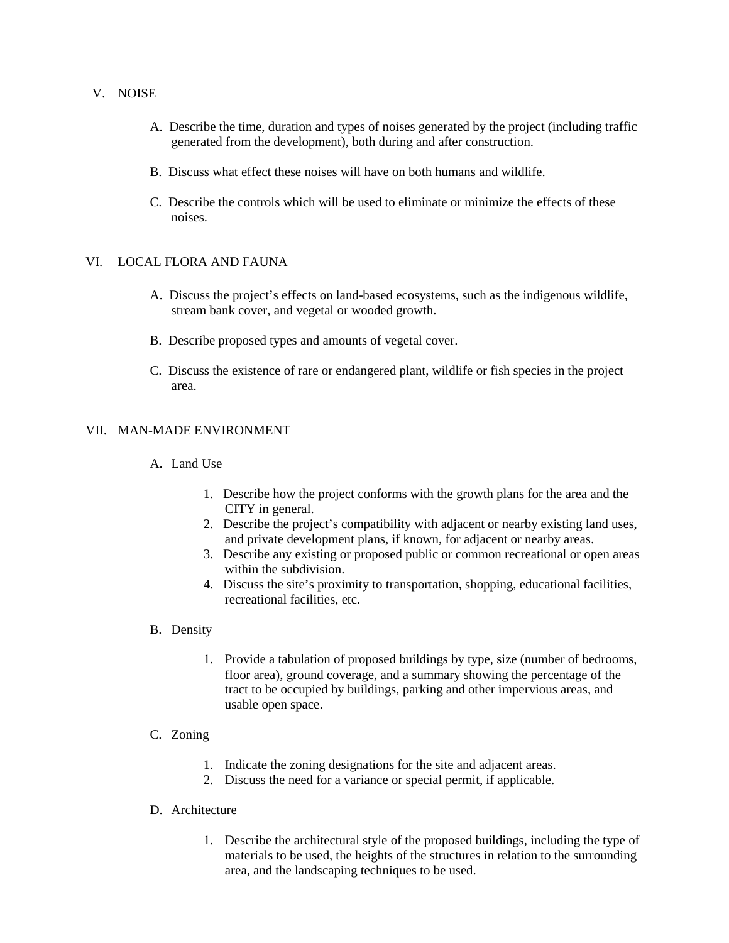#### V. NOISE

- A. Describe the time, duration and types of noises generated by the project (including traffic generated from the development), both during and after construction.
- B. Discuss what effect these noises will have on both humans and wildlife.
- C. Describe the controls which will be used to eliminate or minimize the effects of these noises.

#### VI. LOCAL FLORA AND FAUNA

- A. Discuss the project's effects on land-based ecosystems, such as the indigenous wildlife, stream bank cover, and vegetal or wooded growth.
- B. Describe proposed types and amounts of vegetal cover.
- C. Discuss the existence of rare or endangered plant, wildlife or fish species in the project area.

#### VII. MAN-MADE ENVIRONMENT

#### A. Land Use

- 1. Describe how the project conforms with the growth plans for the area and the CITY in general.
- 2. Describe the project's compatibility with adjacent or nearby existing land uses, and private development plans, if known, for adjacent or nearby areas.
- 3. Describe any existing or proposed public or common recreational or open areas within the subdivision.
- 4. Discuss the site's proximity to transportation, shopping, educational facilities, recreational facilities, etc.

#### B. Density

1. Provide a tabulation of proposed buildings by type, size (number of bedrooms, floor area), ground coverage, and a summary showing the percentage of the tract to be occupied by buildings, parking and other impervious areas, and usable open space.

#### C. Zoning

- 1. Indicate the zoning designations for the site and adjacent areas.
- 2. Discuss the need for a variance or special permit, if applicable.

#### D. Architecture

1. Describe the architectural style of the proposed buildings, including the type of materials to be used, the heights of the structures in relation to the surrounding area, and the landscaping techniques to be used.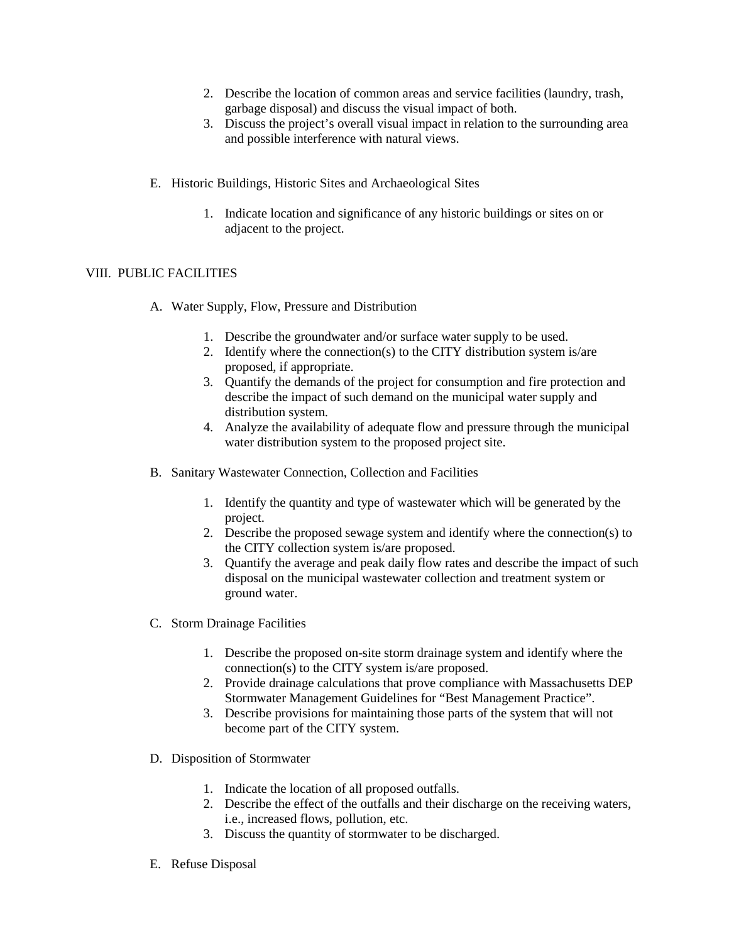- 2. Describe the location of common areas and service facilities (laundry, trash, garbage disposal) and discuss the visual impact of both.
- 3. Discuss the project's overall visual impact in relation to the surrounding area and possible interference with natural views.
- E. Historic Buildings, Historic Sites and Archaeological Sites
	- 1. Indicate location and significance of any historic buildings or sites on or adjacent to the project.

#### VIII. PUBLIC FACILITIES

- A. Water Supply, Flow, Pressure and Distribution
	- 1. Describe the groundwater and/or surface water supply to be used.
	- 2. Identify where the connection(s) to the CITY distribution system is/are proposed, if appropriate.
	- 3. Quantify the demands of the project for consumption and fire protection and describe the impact of such demand on the municipal water supply and distribution system.
	- 4. Analyze the availability of adequate flow and pressure through the municipal water distribution system to the proposed project site.
- B. Sanitary Wastewater Connection, Collection and Facilities
	- 1. Identify the quantity and type of wastewater which will be generated by the project.
	- 2. Describe the proposed sewage system and identify where the connection(s) to the CITY collection system is/are proposed.
	- 3. Quantify the average and peak daily flow rates and describe the impact of such disposal on the municipal wastewater collection and treatment system or ground water.
- C. Storm Drainage Facilities
	- 1. Describe the proposed on-site storm drainage system and identify where the connection(s) to the CITY system is/are proposed.
	- 2. Provide drainage calculations that prove compliance with Massachusetts DEP Stormwater Management Guidelines for "Best Management Practice".
	- 3. Describe provisions for maintaining those parts of the system that will not become part of the CITY system.
- D. Disposition of Stormwater
	- 1. Indicate the location of all proposed outfalls.
	- 2. Describe the effect of the outfalls and their discharge on the receiving waters, i.e., increased flows, pollution, etc.
	- 3. Discuss the quantity of stormwater to be discharged.
- E. Refuse Disposal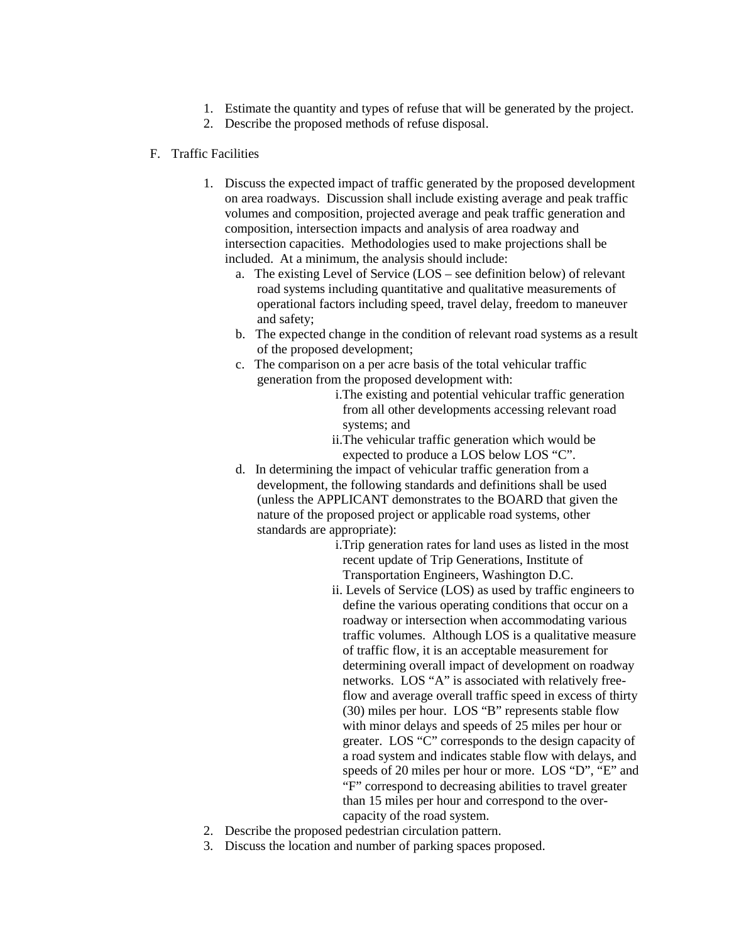- 1. Estimate the quantity and types of refuse that will be generated by the project.
- 2. Describe the proposed methods of refuse disposal.

#### F. Traffic Facilities

- 1. Discuss the expected impact of traffic generated by the proposed development on area roadways. Discussion shall include existing average and peak traffic volumes and composition, projected average and peak traffic generation and composition, intersection impacts and analysis of area roadway and intersection capacities. Methodologies used to make projections shall be included. At a minimum, the analysis should include:
	- a. The existing Level of Service (LOS see definition below) of relevant road systems including quantitative and qualitative measurements of operational factors including speed, travel delay, freedom to maneuver and safety;
	- b. The expected change in the condition of relevant road systems as a result of the proposed development;
	- c. The comparison on a per acre basis of the total vehicular traffic generation from the proposed development with:
		- i.The existing and potential vehicular traffic generation from all other developments accessing relevant road systems; and
		- ii.The vehicular traffic generation which would be expected to produce a LOS below LOS "C".
	- d. In determining the impact of vehicular traffic generation from a development, the following standards and definitions shall be used (unless the APPLICANT demonstrates to the BOARD that given the nature of the proposed project or applicable road systems, other standards are appropriate):
		- i.Trip generation rates for land uses as listed in the most recent update of Trip Generations, Institute of Transportation Engineers, Washington D.C.
		- ii. Levels of Service (LOS) as used by traffic engineers to define the various operating conditions that occur on a roadway or intersection when accommodating various traffic volumes. Although LOS is a qualitative measure of traffic flow, it is an acceptable measurement for determining overall impact of development on roadway networks. LOS "A" is associated with relatively freeflow and average overall traffic speed in excess of thirty (30) miles per hour. LOS "B" represents stable flow with minor delays and speeds of 25 miles per hour or greater. LOS "C" corresponds to the design capacity of a road system and indicates stable flow with delays, and speeds of 20 miles per hour or more. LOS "D", "E" and "F" correspond to decreasing abilities to travel greater than 15 miles per hour and correspond to the overcapacity of the road system.
- 2. Describe the proposed pedestrian circulation pattern.
- 3. Discuss the location and number of parking spaces proposed.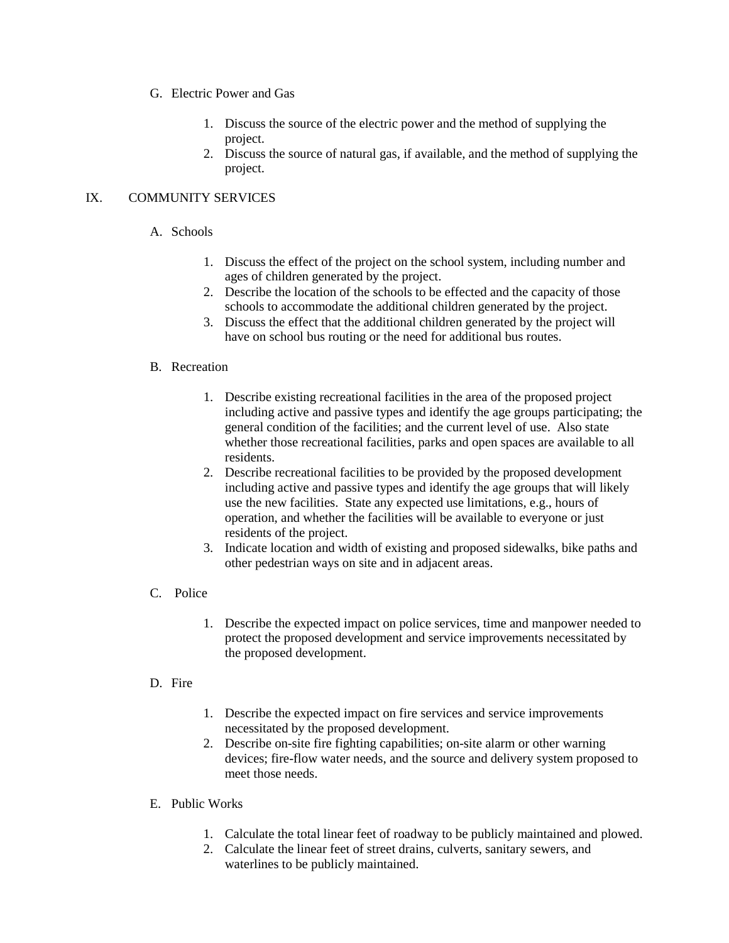- G. Electric Power and Gas
	- 1. Discuss the source of the electric power and the method of supplying the project.
	- 2. Discuss the source of natural gas, if available, and the method of supplying the project.

#### IX. COMMUNITY SERVICES

- A. Schools
	- 1. Discuss the effect of the project on the school system, including number and ages of children generated by the project.
	- 2. Describe the location of the schools to be effected and the capacity of those schools to accommodate the additional children generated by the project.
	- 3. Discuss the effect that the additional children generated by the project will have on school bus routing or the need for additional bus routes.

#### B. Recreation

- 1. Describe existing recreational facilities in the area of the proposed project including active and passive types and identify the age groups participating; the general condition of the facilities; and the current level of use. Also state whether those recreational facilities, parks and open spaces are available to all residents.
- 2. Describe recreational facilities to be provided by the proposed development including active and passive types and identify the age groups that will likely use the new facilities. State any expected use limitations, e.g., hours of operation, and whether the facilities will be available to everyone or just residents of the project.
- 3. Indicate location and width of existing and proposed sidewalks, bike paths and other pedestrian ways on site and in adjacent areas.
- C. Police
	- 1. Describe the expected impact on police services, time and manpower needed to protect the proposed development and service improvements necessitated by the proposed development.

#### D. Fire

- 1. Describe the expected impact on fire services and service improvements necessitated by the proposed development.
- 2. Describe on-site fire fighting capabilities; on-site alarm or other warning devices; fire-flow water needs, and the source and delivery system proposed to meet those needs.
- E. Public Works
	- 1. Calculate the total linear feet of roadway to be publicly maintained and plowed.
	- 2. Calculate the linear feet of street drains, culverts, sanitary sewers, and waterlines to be publicly maintained.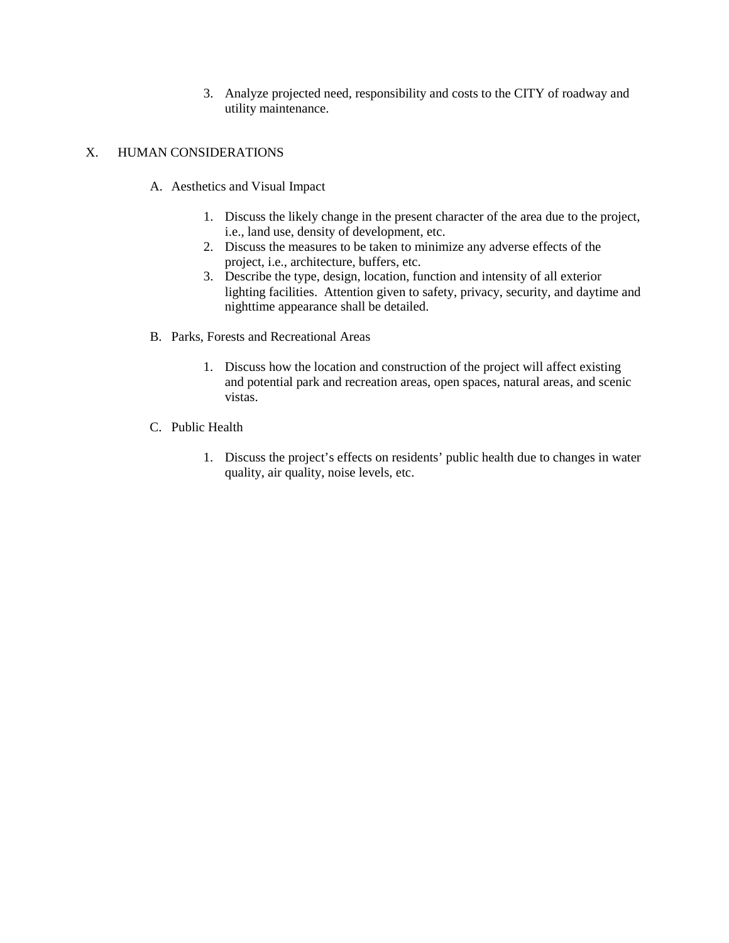3. Analyze projected need, responsibility and costs to the CITY of roadway and utility maintenance.

#### X. HUMAN CONSIDERATIONS

- A. Aesthetics and Visual Impact
	- 1. Discuss the likely change in the present character of the area due to the project, i.e., land use, density of development, etc.
	- 2. Discuss the measures to be taken to minimize any adverse effects of the project, i.e., architecture, buffers, etc.
	- 3. Describe the type, design, location, function and intensity of all exterior lighting facilities. Attention given to safety, privacy, security, and daytime and nighttime appearance shall be detailed.
- B. Parks, Forests and Recreational Areas
	- 1. Discuss how the location and construction of the project will affect existing and potential park and recreation areas, open spaces, natural areas, and scenic vistas.
- C. Public Health
	- 1. Discuss the project's effects on residents' public health due to changes in water quality, air quality, noise levels, etc.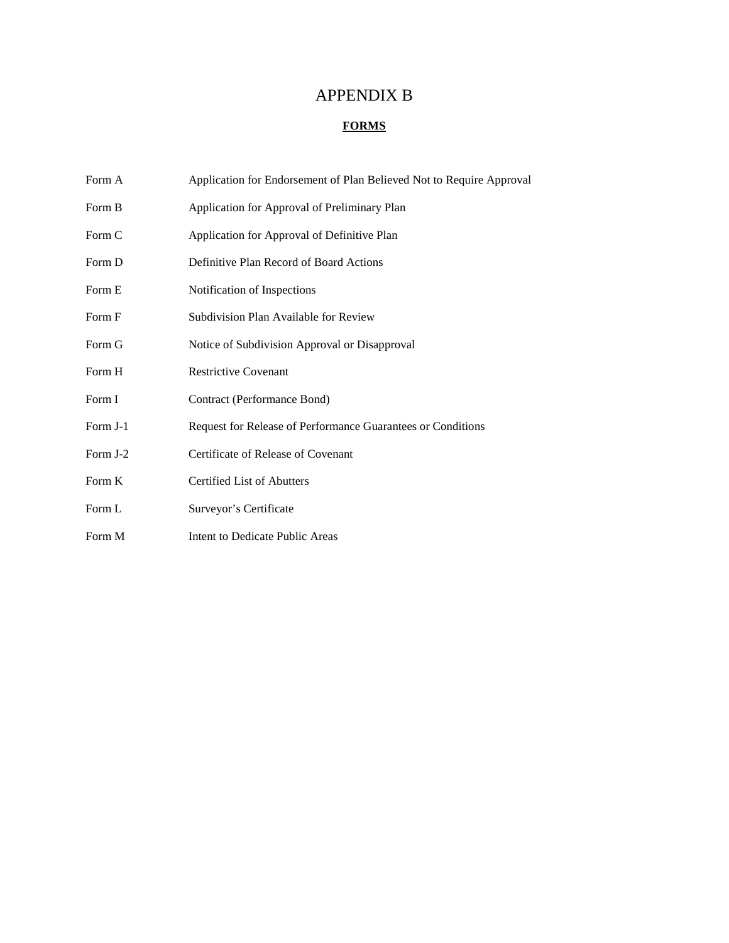# APPENDIX B

### **FORMS**

| Form A   | Application for Endorsement of Plan Believed Not to Require Approval |
|----------|----------------------------------------------------------------------|
| Form B   | Application for Approval of Preliminary Plan                         |
| Form C   | Application for Approval of Definitive Plan                          |
| Form D   | Definitive Plan Record of Board Actions                              |
| Form E   | Notification of Inspections                                          |
| Form F   | Subdivision Plan Available for Review                                |
| Form G   | Notice of Subdivision Approval or Disapproval                        |
| Form H   | <b>Restrictive Covenant</b>                                          |
| Form I   | Contract (Performance Bond)                                          |
| Form J-1 | Request for Release of Performance Guarantees or Conditions          |
| Form J-2 | Certificate of Release of Covenant                                   |
| Form K   | <b>Certified List of Abutters</b>                                    |
| Form L   | Surveyor's Certificate                                               |
| Form M   | Intent to Dedicate Public Areas                                      |
|          |                                                                      |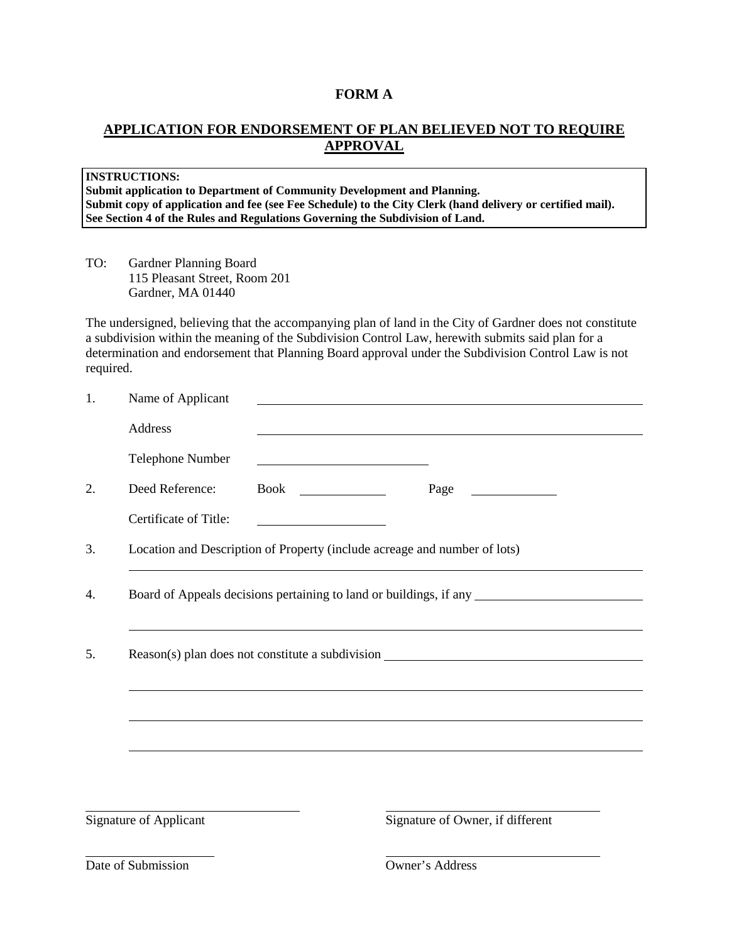### **FORM A**

# **APPLICATION FOR ENDORSEMENT OF PLAN BELIEVED NOT TO REQUIRE APPROVAL**

|           | <b>INSTRUCTIONS:</b><br>Submit application to Department of Community Development and Planning.<br>See Section 4 of the Rules and Regulations Governing the Subdivision of Land. |                                                                                                                      | Submit copy of application and fee (see Fee Schedule) to the City Clerk (hand delivery or certified mail).                                                                                                                                                                                                           |
|-----------|----------------------------------------------------------------------------------------------------------------------------------------------------------------------------------|----------------------------------------------------------------------------------------------------------------------|----------------------------------------------------------------------------------------------------------------------------------------------------------------------------------------------------------------------------------------------------------------------------------------------------------------------|
| TO:       | Gardner Planning Board<br>115 Pleasant Street, Room 201<br>Gardner, MA 01440                                                                                                     |                                                                                                                      |                                                                                                                                                                                                                                                                                                                      |
| required. |                                                                                                                                                                                  |                                                                                                                      | The undersigned, believing that the accompanying plan of land in the City of Gardner does not constitute<br>a subdivision within the meaning of the Subdivision Control Law, herewith submits said plan for a<br>determination and endorsement that Planning Board approval under the Subdivision Control Law is not |
| 1.        | Name of Applicant                                                                                                                                                                |                                                                                                                      |                                                                                                                                                                                                                                                                                                                      |
|           | Address                                                                                                                                                                          |                                                                                                                      |                                                                                                                                                                                                                                                                                                                      |
|           | Telephone Number                                                                                                                                                                 | <u> 1980 - Johann Barn, mars ann an t-Amhain Aonaich an t-Aonaich an t-Aonaich ann an t-Aonaich ann an t-Aonaich</u> |                                                                                                                                                                                                                                                                                                                      |
| 2.        | Deed Reference:                                                                                                                                                                  |                                                                                                                      | Page                                                                                                                                                                                                                                                                                                                 |
|           | Certificate of Title:                                                                                                                                                            |                                                                                                                      |                                                                                                                                                                                                                                                                                                                      |
| 3.        |                                                                                                                                                                                  |                                                                                                                      | Location and Description of Property (include acreage and number of lots)                                                                                                                                                                                                                                            |
| 4.        |                                                                                                                                                                                  |                                                                                                                      | Board of Appeals decisions pertaining to land or buildings, if any <u>entity</u> and the Board of Appeals decisions pertaining to land or buildings, if any                                                                                                                                                          |
|           |                                                                                                                                                                                  |                                                                                                                      |                                                                                                                                                                                                                                                                                                                      |
| 5.        |                                                                                                                                                                                  |                                                                                                                      | Reason(s) plan does not constitute a subdivision _______________________________                                                                                                                                                                                                                                     |
|           |                                                                                                                                                                                  |                                                                                                                      |                                                                                                                                                                                                                                                                                                                      |
|           |                                                                                                                                                                                  |                                                                                                                      |                                                                                                                                                                                                                                                                                                                      |
|           |                                                                                                                                                                                  |                                                                                                                      |                                                                                                                                                                                                                                                                                                                      |
|           |                                                                                                                                                                                  |                                                                                                                      |                                                                                                                                                                                                                                                                                                                      |
|           |                                                                                                                                                                                  |                                                                                                                      |                                                                                                                                                                                                                                                                                                                      |
|           |                                                                                                                                                                                  |                                                                                                                      |                                                                                                                                                                                                                                                                                                                      |

Signature of Applicant Signature of Owner, if different

Date of Submission **Owner's Address**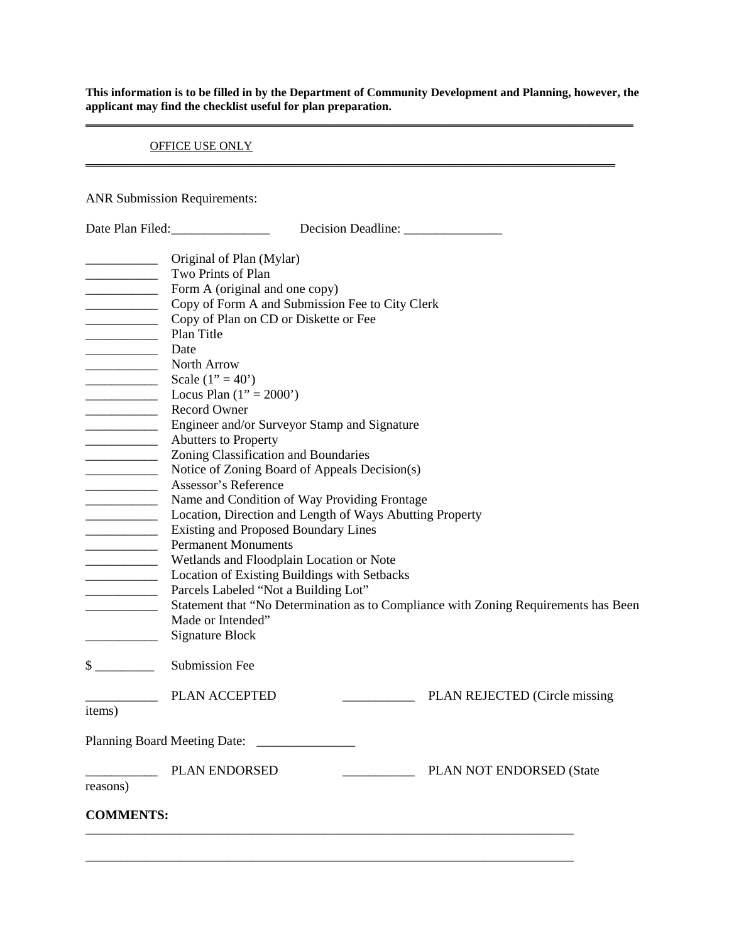**This information is to be filled in by the Department of Community Development and Planning, however, the applicant may find the checklist useful for plan preparation. \_\_\_\_\_\_\_\_\_\_\_\_\_\_\_\_\_\_\_\_\_\_\_\_\_\_\_\_\_\_\_\_\_\_\_\_\_\_\_\_\_\_\_\_\_\_\_\_\_\_\_\_\_\_\_\_\_\_\_\_\_\_\_\_\_\_\_\_\_\_\_\_\_\_\_\_\_\_\_\_\_\_\_\_\_\_\_\_\_\_\_\_**

**\_\_\_\_\_\_\_\_\_\_\_\_\_\_\_\_\_\_\_\_\_\_\_\_\_\_\_\_\_\_\_\_\_\_\_\_\_\_\_\_\_\_\_\_\_\_\_\_\_\_\_\_\_\_\_\_\_\_\_\_\_\_\_\_\_\_\_\_\_\_\_\_\_\_\_\_\_\_\_\_\_\_\_\_\_\_\_\_\_**

#### OFFICE USE ONLY

ANR Submission Requirements:

|                                                                                                                                                                                                                                                                                                                                                                                                                                                                                                                                                       | Date Plan Filed:                                                                    |
|-------------------------------------------------------------------------------------------------------------------------------------------------------------------------------------------------------------------------------------------------------------------------------------------------------------------------------------------------------------------------------------------------------------------------------------------------------------------------------------------------------------------------------------------------------|-------------------------------------------------------------------------------------|
|                                                                                                                                                                                                                                                                                                                                                                                                                                                                                                                                                       | Original of Plan (Mylar)                                                            |
| $\begin{tabular}{ccccc} \multicolumn{2}{c }{\textbf{1} & \multicolumn{2}{c }{\textbf{2} & \multicolumn{2}{c }{\textbf{3} & \multicolumn{2}{c }{\textbf{4} & \multicolumn{2}{c }{\textbf{5} & \multicolumn{2}{c }{\textbf{6} & \multicolumn{2}{c }{\textbf{6} & \multicolumn{2}{c }{\textbf{6} & \multicolumn{2}{c }{\textbf{6} & \multicolumn{2}{c }{\textbf{6} & \multicolumn{2}{c }{\textbf{6} & \multicolumn{2}{c }{\textbf{6} & \multicolumn{2}{$                                                                                                 | Two Prints of Plan                                                                  |
| ______________________                                                                                                                                                                                                                                                                                                                                                                                                                                                                                                                                | Form A (original and one copy)                                                      |
|                                                                                                                                                                                                                                                                                                                                                                                                                                                                                                                                                       | Copy of Form A and Submission Fee to City Clerk                                     |
|                                                                                                                                                                                                                                                                                                                                                                                                                                                                                                                                                       | Copy of Plan on CD or Diskette or Fee                                               |
|                                                                                                                                                                                                                                                                                                                                                                                                                                                                                                                                                       | Plan Title                                                                          |
| <u> 1990 - Johann Barbara, martin e</u>                                                                                                                                                                                                                                                                                                                                                                                                                                                                                                               | Date                                                                                |
| North Arrow                                                                                                                                                                                                                                                                                                                                                                                                                                                                                                                                           |                                                                                     |
|                                                                                                                                                                                                                                                                                                                                                                                                                                                                                                                                                       | Scale $(1" = 40')$<br>Locus Plan $(1" = 2000")$                                     |
|                                                                                                                                                                                                                                                                                                                                                                                                                                                                                                                                                       | <b>Record Owner</b>                                                                 |
| <u> 1989 - Jan Barbara Barat, prima popular popular popular popular popular popular popular popular popular popula</u>                                                                                                                                                                                                                                                                                                                                                                                                                                | Engineer and/or Surveyor Stamp and Signature                                        |
| $\overline{\phantom{a}}$                                                                                                                                                                                                                                                                                                                                                                                                                                                                                                                              | Abutters to Property                                                                |
|                                                                                                                                                                                                                                                                                                                                                                                                                                                                                                                                                       | Zoning Classification and Boundaries                                                |
|                                                                                                                                                                                                                                                                                                                                                                                                                                                                                                                                                       | Notice of Zoning Board of Appeals Decision(s)                                       |
| <u> 1990 - Johann Barnett, fransk politiker</u>                                                                                                                                                                                                                                                                                                                                                                                                                                                                                                       | Assessor's Reference                                                                |
|                                                                                                                                                                                                                                                                                                                                                                                                                                                                                                                                                       | Name and Condition of Way Providing Frontage                                        |
|                                                                                                                                                                                                                                                                                                                                                                                                                                                                                                                                                       | Location, Direction and Length of Ways Abutting Property                            |
|                                                                                                                                                                                                                                                                                                                                                                                                                                                                                                                                                       | <b>Existing and Proposed Boundary Lines</b>                                         |
| $\begin{array}{c} \begin{array}{c} \begin{array}{c} \begin{array}{c} \end{array} \\ \end{array} \end{array} \end{array} \end{array} \end{array} \end{array} \begin{array}{c} \begin{array}{c} \begin{array}{c} \end{array} \\ \end{array} \end{array} \begin{array}{c} \begin{array}{c} \end{array} \end{array} \end{array} \end{array} \begin{array}{c} \begin{array}{c} \begin{array}{c} \end{array} \end{array} \end{array} \begin{array}{c} \begin{array}{c} \end{array} \end{array} \end{array} \begin{array}{c} \begin{array}{c} \end{array} \$ | <b>Permanent Monuments</b>                                                          |
| $\frac{1}{2} \left( \frac{1}{2} \right) \left( \frac{1}{2} \right) \left( \frac{1}{2} \right) \left( \frac{1}{2} \right) \left( \frac{1}{2} \right) \left( \frac{1}{2} \right) \left( \frac{1}{2} \right) \left( \frac{1}{2} \right) \left( \frac{1}{2} \right) \left( \frac{1}{2} \right) \left( \frac{1}{2} \right) \left( \frac{1}{2} \right) \left( \frac{1}{2} \right) \left( \frac{1}{2} \right) \left( \frac{1}{2} \right) \left( \frac{1}{2} \right) \left( \frac$                                                                            | Wetlands and Floodplain Location or Note                                            |
|                                                                                                                                                                                                                                                                                                                                                                                                                                                                                                                                                       | Location of Existing Buildings with Setbacks                                        |
| _____________________                                                                                                                                                                                                                                                                                                                                                                                                                                                                                                                                 | Parcels Labeled "Not a Building Lot"                                                |
| <u> 1989 - Johann Barbara, martin a</u>                                                                                                                                                                                                                                                                                                                                                                                                                                                                                                               | Statement that "No Determination as to Compliance with Zoning Requirements has Been |
|                                                                                                                                                                                                                                                                                                                                                                                                                                                                                                                                                       | Made or Intended"                                                                   |
|                                                                                                                                                                                                                                                                                                                                                                                                                                                                                                                                                       | <b>Signature Block</b>                                                              |
| $\frac{\text{S}}{\text{S}}$                                                                                                                                                                                                                                                                                                                                                                                                                                                                                                                           | <b>Submission Fee</b>                                                               |
|                                                                                                                                                                                                                                                                                                                                                                                                                                                                                                                                                       | PLAN ACCEPTED<br>PLAN REJECTED (Circle missing                                      |
| items)                                                                                                                                                                                                                                                                                                                                                                                                                                                                                                                                                |                                                                                     |
|                                                                                                                                                                                                                                                                                                                                                                                                                                                                                                                                                       | <b>Planning Board Meeting Date:</b>                                                 |
|                                                                                                                                                                                                                                                                                                                                                                                                                                                                                                                                                       | <b>PLAN ENDORSED</b><br>PLAN NOT ENDORSED (State                                    |
| reasons)                                                                                                                                                                                                                                                                                                                                                                                                                                                                                                                                              |                                                                                     |
| <b>COMMENTS:</b>                                                                                                                                                                                                                                                                                                                                                                                                                                                                                                                                      |                                                                                     |
|                                                                                                                                                                                                                                                                                                                                                                                                                                                                                                                                                       |                                                                                     |
|                                                                                                                                                                                                                                                                                                                                                                                                                                                                                                                                                       |                                                                                     |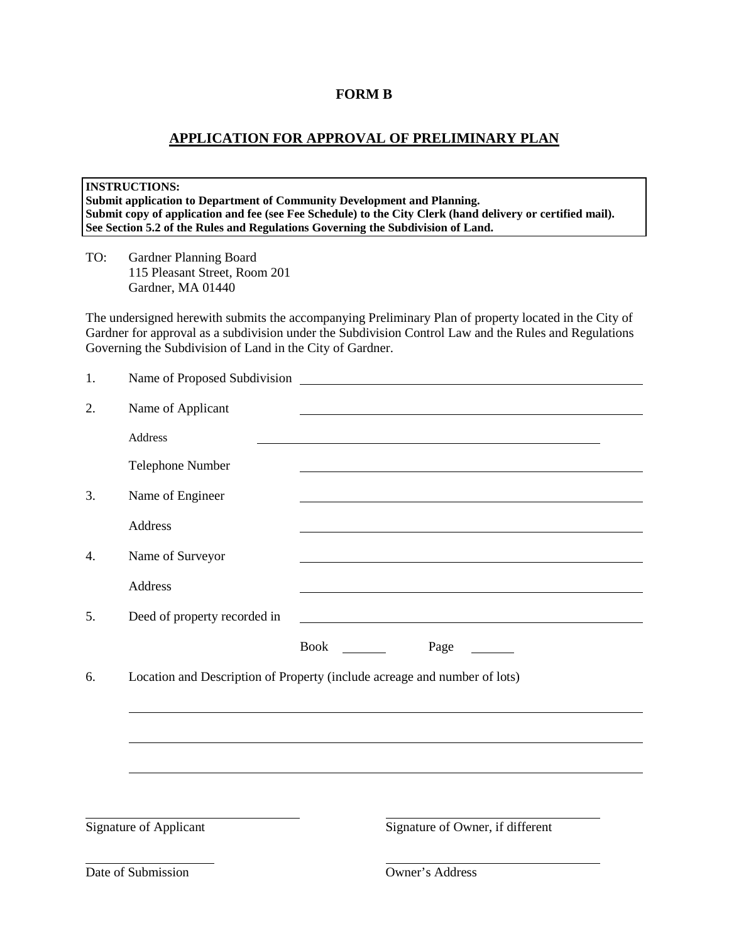#### **FORM B**

### **APPLICATION FOR APPROVAL OF PRELIMINARY PLAN**

**INSTRUCTIONS: Submit application to Department of Community Development and Planning.** Submit copy of application and fee (see Fee Schedule) to the City Clerk (hand delivery or certified mail). **See Section 5.2 of the Rules and Regulations Governing the Subdivision of Land.**

TO: Gardner Planning Board 115 Pleasant Street, Room 201 Gardner, MA 01440

The undersigned herewith submits the accompanying Preliminary Plan of property located in the City of Gardner for approval as a subdivision under the Subdivision Control Law and the Rules and Regulations Governing the Subdivision of Land in the City of Gardner.

| 1. |                                                                           |                                  |                                  |  |
|----|---------------------------------------------------------------------------|----------------------------------|----------------------------------|--|
| 2. | Name of Applicant                                                         |                                  |                                  |  |
|    | Address                                                                   |                                  |                                  |  |
|    | Telephone Number                                                          |                                  |                                  |  |
| 3. | Name of Engineer                                                          |                                  |                                  |  |
|    | Address                                                                   |                                  |                                  |  |
| 4. | Name of Surveyor                                                          |                                  |                                  |  |
|    | Address                                                                   |                                  |                                  |  |
| 5. | Deed of property recorded in                                              |                                  |                                  |  |
|    |                                                                           | Book<br><b>Contract Contract</b> | Page                             |  |
| 6. | Location and Description of Property (include acreage and number of lots) |                                  |                                  |  |
|    |                                                                           |                                  |                                  |  |
|    |                                                                           |                                  |                                  |  |
|    |                                                                           |                                  |                                  |  |
|    |                                                                           |                                  |                                  |  |
|    | Signature of Applicant                                                    |                                  | Signature of Owner, if different |  |
|    | Date of Submission                                                        |                                  | Owner's Address                  |  |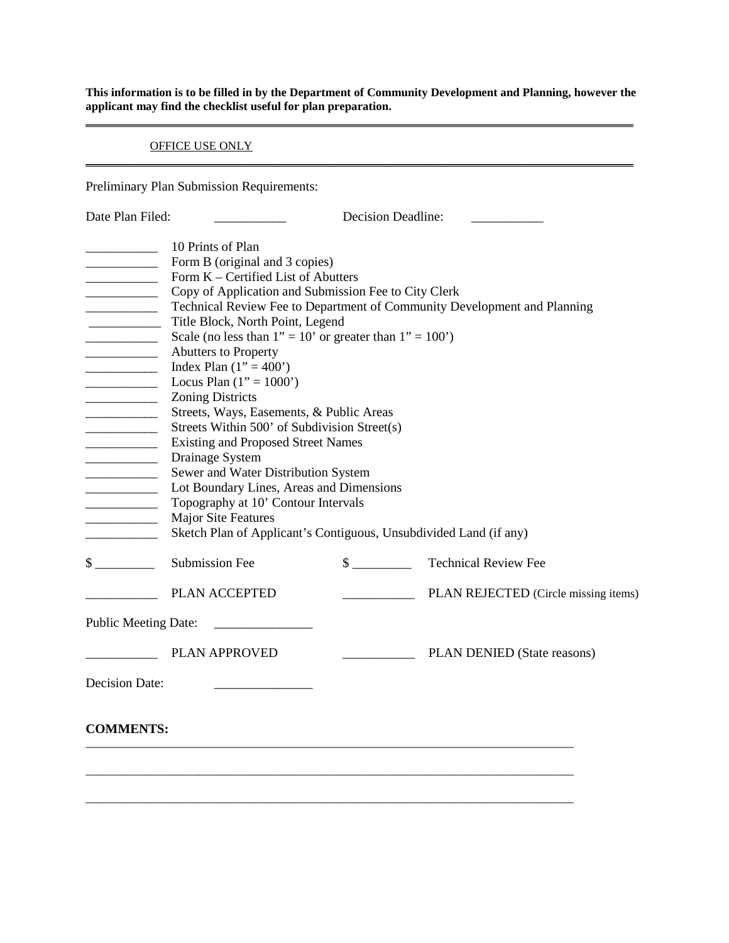**This information is to be filled in by the Department of Community Development and Planning, however the applicant may find the checklist useful for plan preparation. \_\_\_\_\_\_\_\_\_\_\_\_\_\_\_\_\_\_\_\_\_\_\_\_\_\_\_\_\_\_\_\_\_\_\_\_\_\_\_\_\_\_\_\_\_\_\_\_\_\_\_\_\_\_\_\_\_\_\_\_\_\_\_\_\_\_\_\_\_\_\_\_\_\_\_\_\_\_\_\_\_\_\_\_\_\_\_\_\_\_\_\_**

**\_\_\_\_\_\_\_\_\_\_\_\_\_\_\_\_\_\_\_\_\_\_\_\_\_\_\_\_\_\_\_\_\_\_\_\_\_\_\_\_\_\_\_\_\_\_\_\_\_\_\_\_\_\_\_\_\_\_\_\_\_\_\_\_\_\_\_\_\_\_\_\_\_\_\_\_\_\_\_\_\_\_\_\_\_\_\_\_\_\_\_\_**

#### OFFICE USE ONLY

Preliminary Plan Submission Requirements:

| Date Plan Filed:                                                                                                                                                                                                                                                                                                                                                                                                                                                                                                                                           | <b>Decision Deadline:</b>                                                                                                                                                                                                                                                                                                                                                                                                                                                                                                                                                                                                                                                                                                                                   |  |                                                                          |  |  |  |
|------------------------------------------------------------------------------------------------------------------------------------------------------------------------------------------------------------------------------------------------------------------------------------------------------------------------------------------------------------------------------------------------------------------------------------------------------------------------------------------------------------------------------------------------------------|-------------------------------------------------------------------------------------------------------------------------------------------------------------------------------------------------------------------------------------------------------------------------------------------------------------------------------------------------------------------------------------------------------------------------------------------------------------------------------------------------------------------------------------------------------------------------------------------------------------------------------------------------------------------------------------------------------------------------------------------------------------|--|--------------------------------------------------------------------------|--|--|--|
| $\begin{tabular}{ccccc} \multicolumn{2}{c }{\textbf{1} & \textbf{2} & \textbf{3} & \textbf{4} & \textbf{5} & \textbf{5} & \textbf{6} & \textbf{7} & \textbf{8} & \textbf{9} & \textbf{10} & \textbf{10} & \textbf{10} & \textbf{10} & \textbf{10} & \textbf{10} & \textbf{10} & \textbf{10} & \textbf{10} & \textbf{10} & \textbf{10} & \textbf{10} & \textbf{10} & \textbf{10} & \textbf{10} & \textbf{10} & \textbf$<br>$\overline{\phantom{a}}$<br><u> 1990 - Johann Barbara</u><br><u> 1990 - Johann Barbara, martin a</u><br>$\overline{\phantom{a}}$ | 10 Prints of Plan<br>Form B (original and 3 copies)<br>Form K – Certified List of Abutters<br>Copy of Application and Submission Fee to City Clerk<br>Title Block, North Point, Legend<br>Scale (no less than $1" = 10'$ or greater than $1" = 100'$ )<br><b>Abutters to Property</b><br>Index Plan $(1" = 400")$<br>Locus Plan $(1" = 1000")$<br><b>Zoning Districts</b><br>Streets, Ways, Easements, & Public Areas<br>Streets Within 500' of Subdivision Street(s)<br><b>Existing and Proposed Street Names</b><br>Drainage System<br>Sewer and Water Distribution System<br>Lot Boundary Lines, Areas and Dimensions<br>Topography at 10' Contour Intervals<br>Major Site Features<br>Sketch Plan of Applicant's Contiguous, Unsubdivided Land (if any) |  | Technical Review Fee to Department of Community Development and Planning |  |  |  |
| $\frac{\text{S}}{\text{S}}$                                                                                                                                                                                                                                                                                                                                                                                                                                                                                                                                | Submission Fee                                                                                                                                                                                                                                                                                                                                                                                                                                                                                                                                                                                                                                                                                                                                              |  | \$ Technical Review Fee                                                  |  |  |  |
|                                                                                                                                                                                                                                                                                                                                                                                                                                                                                                                                                            | PLAN ACCEPTED                                                                                                                                                                                                                                                                                                                                                                                                                                                                                                                                                                                                                                                                                                                                               |  | PLAN REJECTED (Circle missing items)                                     |  |  |  |
| <b>Public Meeting Date:</b>                                                                                                                                                                                                                                                                                                                                                                                                                                                                                                                                |                                                                                                                                                                                                                                                                                                                                                                                                                                                                                                                                                                                                                                                                                                                                                             |  |                                                                          |  |  |  |
|                                                                                                                                                                                                                                                                                                                                                                                                                                                                                                                                                            | <b>PLAN APPROVED</b>                                                                                                                                                                                                                                                                                                                                                                                                                                                                                                                                                                                                                                                                                                                                        |  | PLAN DENIED (State reasons)                                              |  |  |  |
| <b>Decision Date:</b>                                                                                                                                                                                                                                                                                                                                                                                                                                                                                                                                      |                                                                                                                                                                                                                                                                                                                                                                                                                                                                                                                                                                                                                                                                                                                                                             |  |                                                                          |  |  |  |
| <b>COMMENTS:</b>                                                                                                                                                                                                                                                                                                                                                                                                                                                                                                                                           |                                                                                                                                                                                                                                                                                                                                                                                                                                                                                                                                                                                                                                                                                                                                                             |  |                                                                          |  |  |  |
|                                                                                                                                                                                                                                                                                                                                                                                                                                                                                                                                                            |                                                                                                                                                                                                                                                                                                                                                                                                                                                                                                                                                                                                                                                                                                                                                             |  |                                                                          |  |  |  |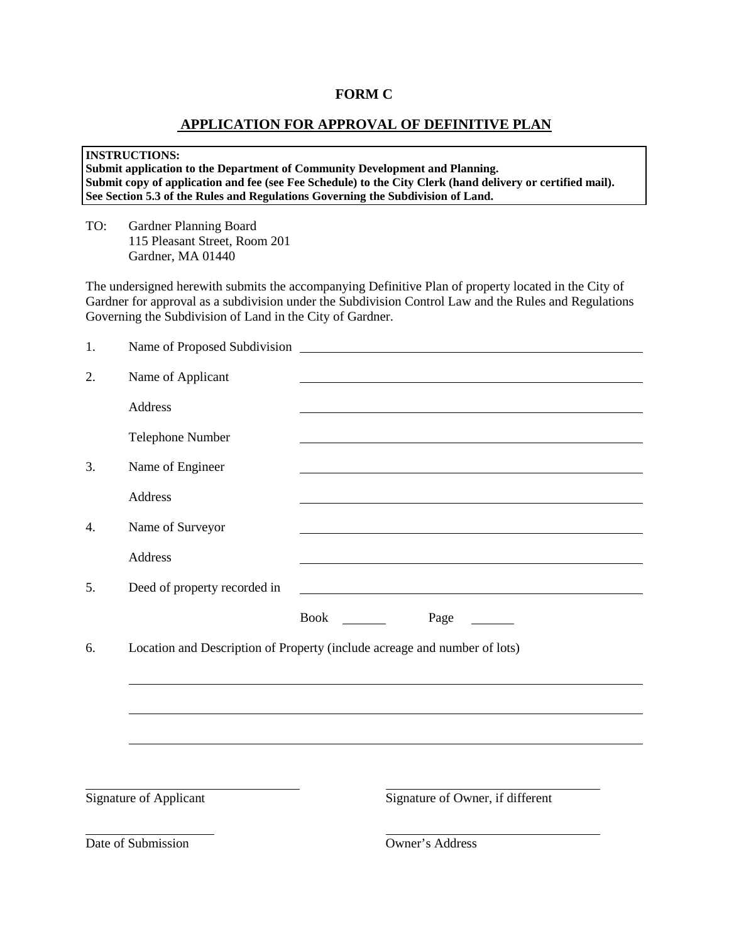#### **FORM C**

### **APPLICATION FOR APPROVAL OF DEFINITIVE PLAN**

#### **INSTRUCTIONS: Submit application to the Department of Community Development and Planning. Submit copy of application and fee (see Fee Schedule) to the City Clerk (hand delivery or certified mail). See Section 5.3 of the Rules and Regulations Governing the Subdivision of Land.**

TO: Gardner Planning Board 115 Pleasant Street, Room 201 Gardner, MA 01440

The undersigned herewith submits the accompanying Definitive Plan of property located in the City of Gardner for approval as a subdivision under the Subdivision Control Law and the Rules and Regulations Governing the Subdivision of Land in the City of Gardner.

| 1. | Name of Proposed Subdivision |                                                                                                                  |
|----|------------------------------|------------------------------------------------------------------------------------------------------------------|
| 2. | Name of Applicant            |                                                                                                                  |
|    | <b>Address</b>               |                                                                                                                  |
|    | <b>Telephone Number</b>      |                                                                                                                  |
| 3. | Name of Engineer             | and the control of the control of the control of the control of the control of the control of the control of the |
|    | Address                      |                                                                                                                  |
| 4. | Name of Surveyor             |                                                                                                                  |
|    | Address                      |                                                                                                                  |
| 5. | Deed of property recorded in |                                                                                                                  |
|    |                              | <b>Book</b><br>Page<br>$\sim 10^{10}$ and $\sim 10^{10}$                                                         |
| 6. |                              | Location and Description of Property (include acreage and number of lots)                                        |
|    |                              |                                                                                                                  |
|    |                              |                                                                                                                  |
|    |                              |                                                                                                                  |
|    |                              |                                                                                                                  |
|    | Signature of Applicant       | Signature of Owner, if different                                                                                 |
|    | Date of Submission           | Owner's Address                                                                                                  |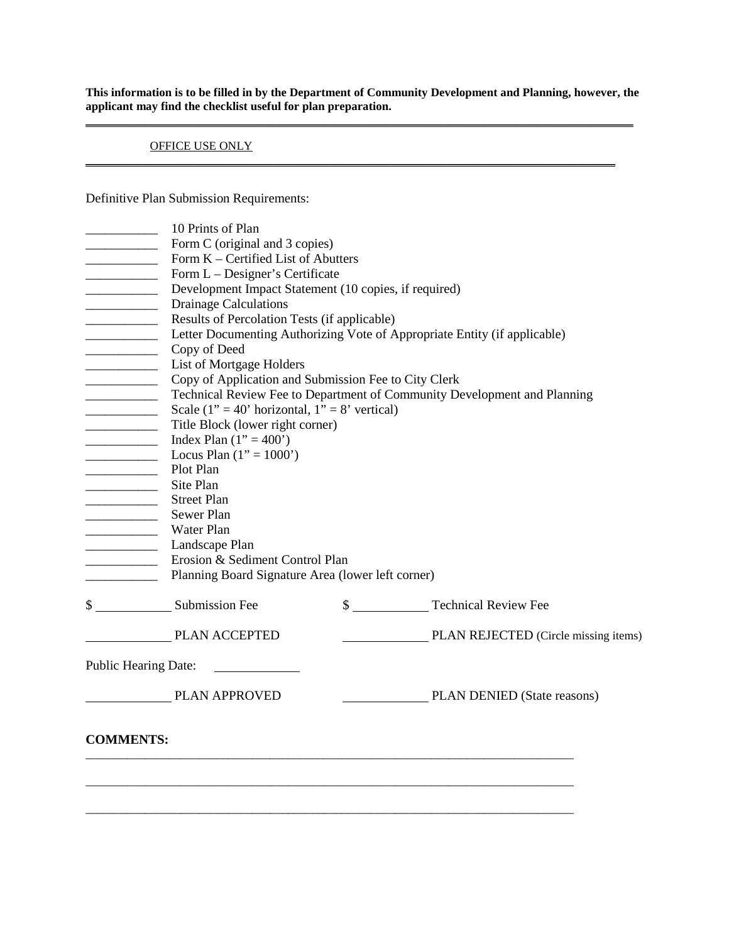**This information is to be filled in by the Department of Community Development and Planning, however, the applicant may find the checklist useful for plan preparation. \_\_\_\_\_\_\_\_\_\_\_\_\_\_\_\_\_\_\_\_\_\_\_\_\_\_\_\_\_\_\_\_\_\_\_\_\_\_\_\_\_\_\_\_\_\_\_\_\_\_\_\_\_\_\_\_\_\_\_\_\_\_\_\_\_\_\_\_\_\_\_\_\_\_\_\_\_\_\_\_\_\_\_\_\_\_\_\_\_\_\_\_**

**\_\_\_\_\_\_\_\_\_\_\_\_\_\_\_\_\_\_\_\_\_\_\_\_\_\_\_\_\_\_\_\_\_\_\_\_\_\_\_\_\_\_\_\_\_\_\_\_\_\_\_\_\_\_\_\_\_\_\_\_\_\_\_\_\_\_\_\_\_\_\_\_\_\_\_\_\_\_\_\_\_\_\_\_\_\_\_\_\_**

#### OFFICE USE ONLY

Definitive Plan Submission Requirements:

|                                                                                                                                                                                                                                   | 10 Prints of Plan                                     |                                                                           |
|-----------------------------------------------------------------------------------------------------------------------------------------------------------------------------------------------------------------------------------|-------------------------------------------------------|---------------------------------------------------------------------------|
|                                                                                                                                                                                                                                   | Form C (original and 3 copies)                        |                                                                           |
|                                                                                                                                                                                                                                   | Form K – Certified List of Abutters                   |                                                                           |
| <u> 1989 - Johann Barbara, martin a</u>                                                                                                                                                                                           | Form L – Designer's Certificate                       |                                                                           |
|                                                                                                                                                                                                                                   | Development Impact Statement (10 copies, if required) |                                                                           |
|                                                                                                                                                                                                                                   | <b>Drainage Calculations</b>                          |                                                                           |
|                                                                                                                                                                                                                                   | Results of Percolation Tests (if applicable)          |                                                                           |
|                                                                                                                                                                                                                                   |                                                       | Letter Documenting Authorizing Vote of Appropriate Entity (if applicable) |
| <u> 1990 - Jan Barbara III, martx</u>                                                                                                                                                                                             | Copy of Deed                                          |                                                                           |
| $\overline{\phantom{a}}$                                                                                                                                                                                                          | List of Mortgage Holders                              |                                                                           |
| <u> 1980 - Johann Barbara, martin a</u>                                                                                                                                                                                           | Copy of Application and Submission Fee to City Clerk  |                                                                           |
|                                                                                                                                                                                                                                   |                                                       | Technical Review Fee to Department of Community Development and Planning  |
|                                                                                                                                                                                                                                   | Scale (1" = 40' horizontal, $1" = 8'$ vertical)       |                                                                           |
| $\frac{1}{2}$ . The contract of the contract of the contract of the contract of the contract of the contract of the contract of the contract of the contract of the contract of the contract of the contract of the contract of t | Title Block (lower right corner)                      |                                                                           |
| $\overline{\phantom{a}}$                                                                                                                                                                                                          | Index Plan $(1" = 400")$                              |                                                                           |
|                                                                                                                                                                                                                                   | Locus Plan $(1" = 1000")$                             |                                                                           |
| <u> 1980 - Johann Barbara, martin a</u>                                                                                                                                                                                           | Plot Plan                                             |                                                                           |
|                                                                                                                                                                                                                                   | Site Plan                                             |                                                                           |
| <u> 1989 - Johann Barbara, martin a</u>                                                                                                                                                                                           | <b>Street Plan</b>                                    |                                                                           |
|                                                                                                                                                                                                                                   | Sewer Plan                                            |                                                                           |
|                                                                                                                                                                                                                                   | Water Plan                                            |                                                                           |
|                                                                                                                                                                                                                                   | Landscape Plan                                        |                                                                           |
|                                                                                                                                                                                                                                   | Erosion & Sediment Control Plan                       |                                                                           |
|                                                                                                                                                                                                                                   | Planning Board Signature Area (lower left corner)     |                                                                           |
|                                                                                                                                                                                                                                   | \$ Submission Fee                                     | \$ Technical Review Fee                                                   |
|                                                                                                                                                                                                                                   | <b>PLAN ACCEPTED</b>                                  | PLAN REJECTED (Circle missing items)                                      |
|                                                                                                                                                                                                                                   | <b>Public Hearing Date:</b>                           |                                                                           |
|                                                                                                                                                                                                                                   | <b>PLAN APPROVED</b>                                  | PLAN DENIED (State reasons)                                               |
| <b>COMMENTS:</b>                                                                                                                                                                                                                  |                                                       |                                                                           |
|                                                                                                                                                                                                                                   |                                                       |                                                                           |
|                                                                                                                                                                                                                                   |                                                       |                                                                           |
|                                                                                                                                                                                                                                   |                                                       |                                                                           |
|                                                                                                                                                                                                                                   |                                                       |                                                                           |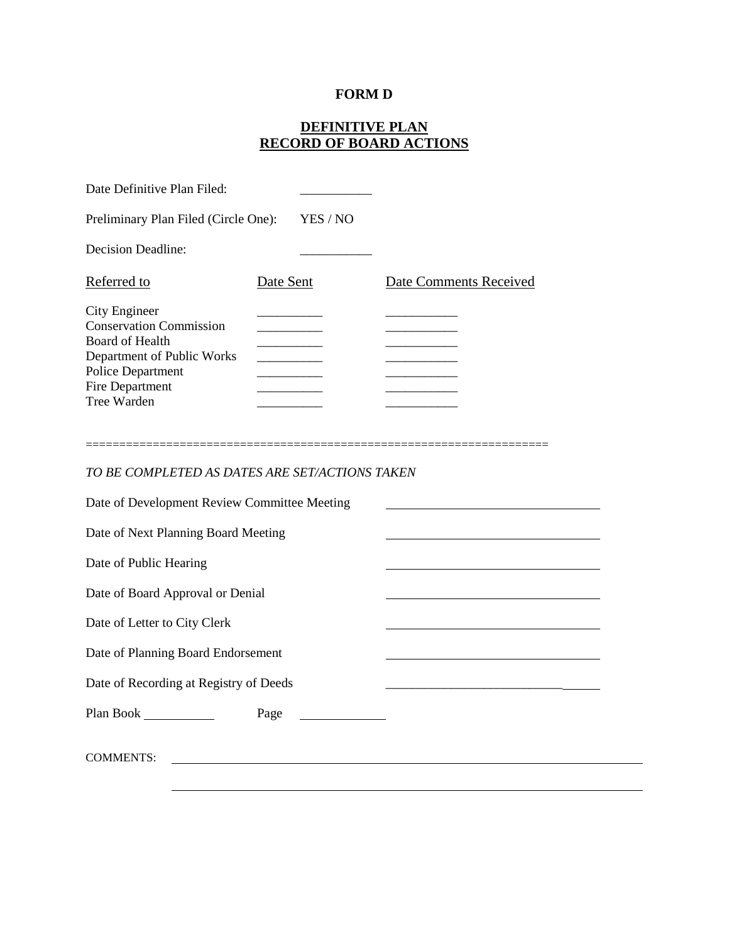# **FORM D**

# **DEFINITIVE PLAN RECORD OF BOARD ACTIONS**

| Date Definitive Plan Filed:                                                                                                                                                                     |           |          |                        |
|-------------------------------------------------------------------------------------------------------------------------------------------------------------------------------------------------|-----------|----------|------------------------|
| Preliminary Plan Filed (Circle One):                                                                                                                                                            |           | YES / NO |                        |
| <b>Decision Deadline:</b>                                                                                                                                                                       |           |          |                        |
| Referred to                                                                                                                                                                                     | Date Sent |          | Date Comments Received |
| <b>City Engineer</b><br><b>Conservation Commission</b><br>Board of Health<br>Department of Public Works<br><b>Police Department</b><br>Fire Department<br>Tree Warden<br>====================== |           |          |                        |
| TO BE COMPLETED AS DATES ARE SET/ACTIONS TAKEN                                                                                                                                                  |           |          |                        |
| Date of Development Review Committee Meeting                                                                                                                                                    |           |          |                        |
| Date of Next Planning Board Meeting                                                                                                                                                             |           |          |                        |
| Date of Public Hearing                                                                                                                                                                          |           |          |                        |
| Date of Board Approval or Denial                                                                                                                                                                |           |          |                        |
| Date of Letter to City Clerk                                                                                                                                                                    |           |          |                        |
| Date of Planning Board Endorsement                                                                                                                                                              |           |          |                        |
| Date of Recording at Registry of Deeds                                                                                                                                                          |           |          |                        |
|                                                                                                                                                                                                 | Page      |          |                        |
| <b>COMMENTS:</b>                                                                                                                                                                                |           |          |                        |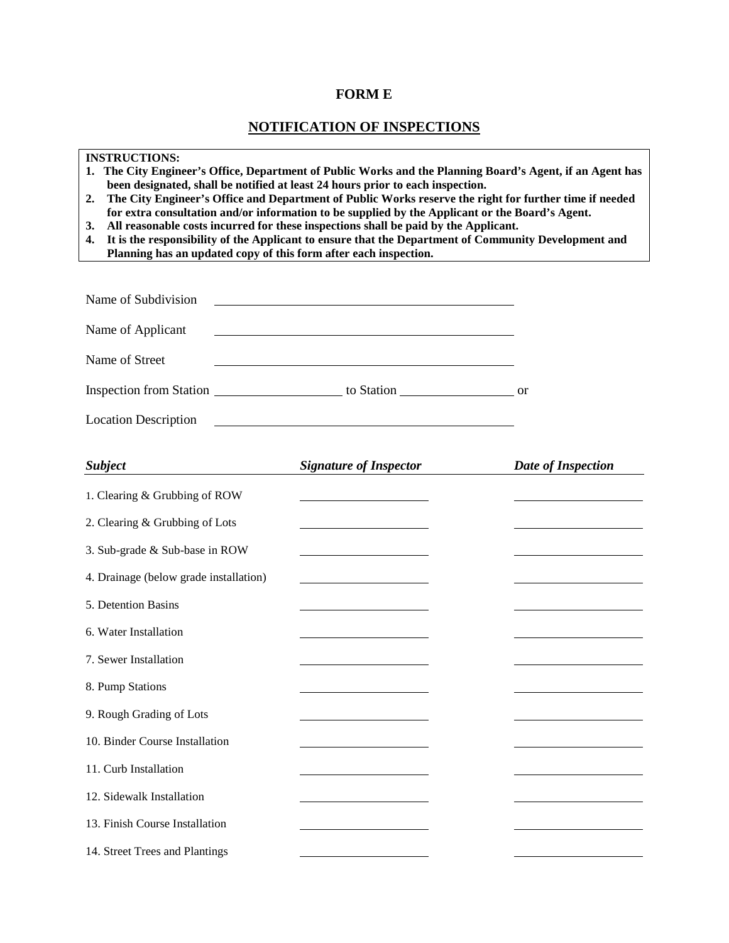# **FORM E**

# **NOTIFICATION OF INSPECTIONS**

| <b>INSTRUCTIONS:</b><br>The City Engineer's Office, Department of Public Works and the Planning Board's Agent, if an Agent has<br>1.<br>been designated, shall be notified at least 24 hours prior to each inspection.<br>The City Engineer's Office and Department of Public Works reserve the right for further time if needed<br>2.<br>for extra consultation and/or information to be supplied by the Applicant or the Board's Agent.<br>All reasonable costs incurred for these inspections shall be paid by the Applicant.<br>3.<br>It is the responsibility of the Applicant to ensure that the Department of Community Development and<br>4.<br>Planning has an updated copy of this form after each inspection. |                                                                                                                      |                    |
|--------------------------------------------------------------------------------------------------------------------------------------------------------------------------------------------------------------------------------------------------------------------------------------------------------------------------------------------------------------------------------------------------------------------------------------------------------------------------------------------------------------------------------------------------------------------------------------------------------------------------------------------------------------------------------------------------------------------------|----------------------------------------------------------------------------------------------------------------------|--------------------|
| Name of Subdivision                                                                                                                                                                                                                                                                                                                                                                                                                                                                                                                                                                                                                                                                                                      |                                                                                                                      |                    |
| Name of Applicant                                                                                                                                                                                                                                                                                                                                                                                                                                                                                                                                                                                                                                                                                                        | <u> 1980 - Johann Barn, mars ann an t-Amhain Aonaich an t-Aonaich an t-Aonaich ann an t-Aonaich ann an t-Aonaich</u> |                    |
| Name of Street                                                                                                                                                                                                                                                                                                                                                                                                                                                                                                                                                                                                                                                                                                           |                                                                                                                      |                    |
|                                                                                                                                                                                                                                                                                                                                                                                                                                                                                                                                                                                                                                                                                                                          |                                                                                                                      |                    |
| <b>Location Description</b>                                                                                                                                                                                                                                                                                                                                                                                                                                                                                                                                                                                                                                                                                              | <u> 1989 - Johann Barbara, martxa alemaniar arg</u>                                                                  |                    |
| <b>Subject</b>                                                                                                                                                                                                                                                                                                                                                                                                                                                                                                                                                                                                                                                                                                           | <b>Signature of Inspector</b>                                                                                        | Date of Inspection |
| 1. Clearing & Grubbing of ROW                                                                                                                                                                                                                                                                                                                                                                                                                                                                                                                                                                                                                                                                                            | <u> 1980 - Jan Barbara Barbara, ma</u>                                                                               |                    |
| 2. Clearing & Grubbing of Lots                                                                                                                                                                                                                                                                                                                                                                                                                                                                                                                                                                                                                                                                                           |                                                                                                                      |                    |
| 3. Sub-grade & Sub-base in ROW                                                                                                                                                                                                                                                                                                                                                                                                                                                                                                                                                                                                                                                                                           |                                                                                                                      |                    |
| 4. Drainage (below grade installation)                                                                                                                                                                                                                                                                                                                                                                                                                                                                                                                                                                                                                                                                                   |                                                                                                                      |                    |
| 5. Detention Basins                                                                                                                                                                                                                                                                                                                                                                                                                                                                                                                                                                                                                                                                                                      |                                                                                                                      |                    |
| 6. Water Installation                                                                                                                                                                                                                                                                                                                                                                                                                                                                                                                                                                                                                                                                                                    |                                                                                                                      |                    |
| 7. Sewer Installation                                                                                                                                                                                                                                                                                                                                                                                                                                                                                                                                                                                                                                                                                                    |                                                                                                                      |                    |
| 8. Pump Stations                                                                                                                                                                                                                                                                                                                                                                                                                                                                                                                                                                                                                                                                                                         |                                                                                                                      |                    |
| 9. Rough Grading of Lots                                                                                                                                                                                                                                                                                                                                                                                                                                                                                                                                                                                                                                                                                                 |                                                                                                                      |                    |
| 10. Binder Course Installation                                                                                                                                                                                                                                                                                                                                                                                                                                                                                                                                                                                                                                                                                           |                                                                                                                      |                    |
| 11. Curb Installation                                                                                                                                                                                                                                                                                                                                                                                                                                                                                                                                                                                                                                                                                                    |                                                                                                                      |                    |
| 12. Sidewalk Installation                                                                                                                                                                                                                                                                                                                                                                                                                                                                                                                                                                                                                                                                                                |                                                                                                                      |                    |
| 13. Finish Course Installation                                                                                                                                                                                                                                                                                                                                                                                                                                                                                                                                                                                                                                                                                           |                                                                                                                      |                    |
| 14. Street Trees and Plantings                                                                                                                                                                                                                                                                                                                                                                                                                                                                                                                                                                                                                                                                                           |                                                                                                                      |                    |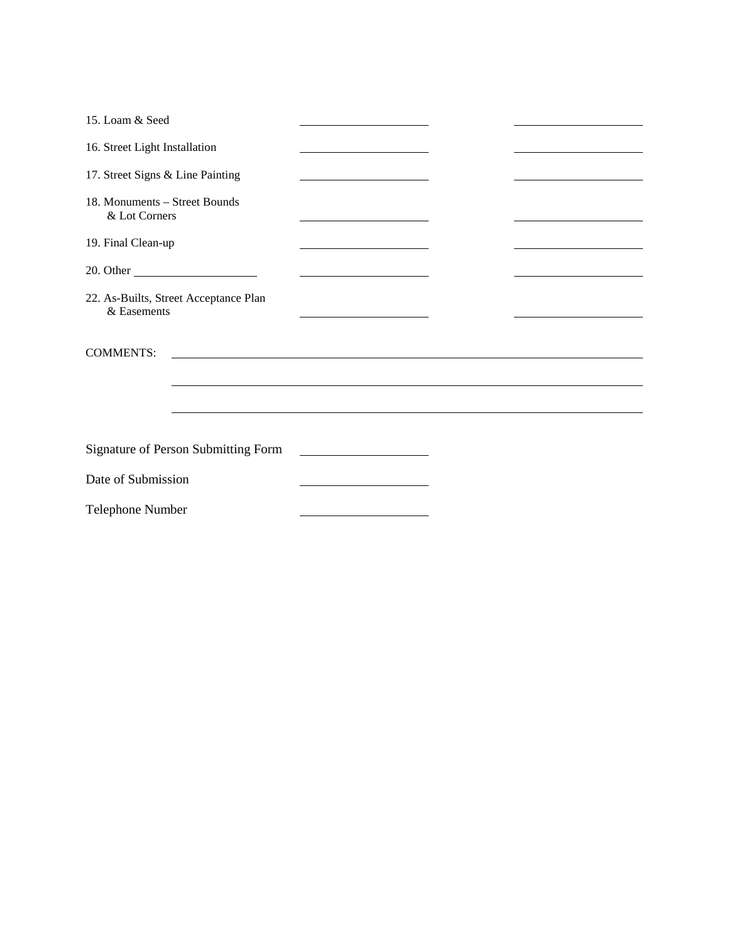| 15. Loam & Seed                                      |                                                                                                                      |  |
|------------------------------------------------------|----------------------------------------------------------------------------------------------------------------------|--|
| 16. Street Light Installation                        |                                                                                                                      |  |
| 17. Street Signs & Line Painting                     | the control of the control of the control of the control of the control of                                           |  |
| 18. Monuments – Street Bounds<br>& Lot Corners       |                                                                                                                      |  |
| 19. Final Clean-up                                   |                                                                                                                      |  |
|                                                      | <u> 1980 - Johann Barn, mars ann an t-Amhain Aonaich an t-Aonaich an t-Aonaich ann an t-Aonaich ann an t-Aonaich</u> |  |
| 22. As-Builts, Street Acceptance Plan<br>& Easements |                                                                                                                      |  |
| <b>COMMENTS:</b>                                     |                                                                                                                      |  |
|                                                      |                                                                                                                      |  |
|                                                      |                                                                                                                      |  |
|                                                      |                                                                                                                      |  |
| <b>Signature of Person Submitting Form</b>           | <u> 1989 - Johann Barbara, martxa a shekara 1989 - An</u>                                                            |  |
| Date of Submission                                   | the control of the control of the control of the control of the control of                                           |  |
| Telephone Number                                     |                                                                                                                      |  |
|                                                      |                                                                                                                      |  |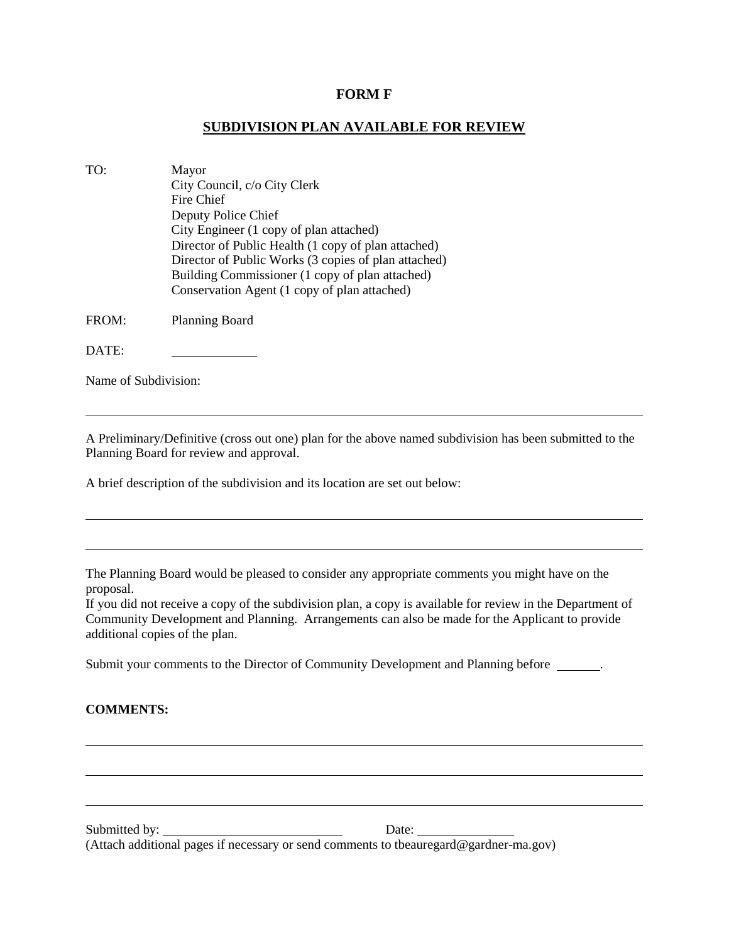#### **FORM F**

### **SUBDIVISION PLAN AVAILABLE FOR REVIEW**

| TO:   | Mayor<br>City Council, c/o City Clerk<br>Fire Chief<br>Deputy Police Chief<br>City Engineer (1 copy of plan attached)<br>Director of Public Health (1 copy of plan attached)<br>Director of Public Works (3 copies of plan attached) |
|-------|--------------------------------------------------------------------------------------------------------------------------------------------------------------------------------------------------------------------------------------|
|       | Building Commissioner (1 copy of plan attached)<br>Conservation Agent (1 copy of plan attached)                                                                                                                                      |
| FROM: | Planning Board                                                                                                                                                                                                                       |

DATE:

Name of Subdivision:

A Preliminary/Definitive (cross out one) plan for the above named subdivision has been submitted to the Planning Board for review and approval.

A brief description of the subdivision and its location are set out below:

The Planning Board would be pleased to consider any appropriate comments you might have on the proposal.

If you did not receive a copy of the subdivision plan, a copy is available for review in the Department of Community Development and Planning. Arrangements can also be made for the Applicant to provide additional copies of the plan.

Submit your comments to the Director of Community Development and Planning before \_\_\_\_\_\_.

#### **COMMENTS:**

Submitted by: Date: (Attach additional pages if necessary or send comments to tbeauregard@gardner-ma.gov)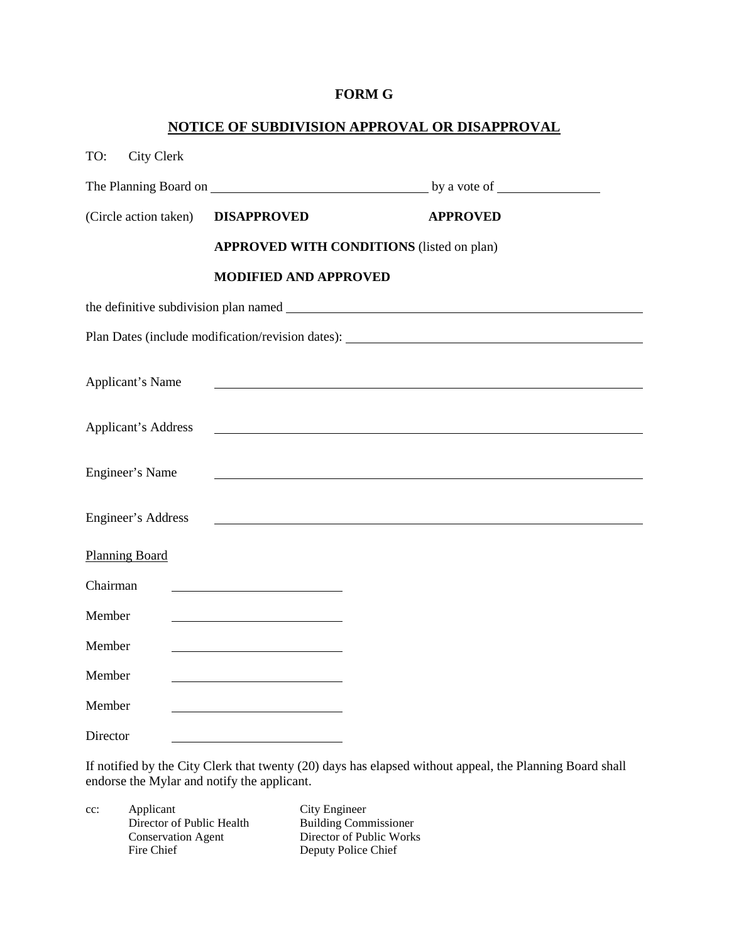### **FORM G**

## **NOTICE OF SUBDIVISION APPROVAL OR DISAPPROVAL**

| <b>City Clerk</b><br>TO: |                                                                         |                 |  |
|--------------------------|-------------------------------------------------------------------------|-----------------|--|
|                          |                                                                         |                 |  |
| (Circle action taken)    | <b>DISAPPROVED</b>                                                      | <b>APPROVED</b> |  |
|                          | <b>APPROVED WITH CONDITIONS</b> (listed on plan)                        |                 |  |
|                          | <b>MODIFIED AND APPROVED</b>                                            |                 |  |
|                          | the definitive subdivision plan named <b>the subdivision</b> plan named |                 |  |
|                          |                                                                         |                 |  |
| <b>Applicant's Name</b>  |                                                                         |                 |  |
| Applicant's Address      |                                                                         |                 |  |
| Engineer's Name          |                                                                         |                 |  |
| Engineer's Address       |                                                                         |                 |  |
| <b>Planning Board</b>    |                                                                         |                 |  |
| Chairman                 |                                                                         |                 |  |
| Member                   |                                                                         |                 |  |
| Member                   | <u> 1989 - Johann Stein, mars an t-Amerikaansk kommunister (</u>        |                 |  |
| Member                   |                                                                         |                 |  |
| Member                   |                                                                         |                 |  |
| Director                 |                                                                         |                 |  |

If notified by the City Clerk that twenty (20) days has elapsed without appeal, the Planning Board shall endorse the Mylar and notify the applicant.

cc: Applicant City Engineer<br>Director of Public Health Building Commissioner Director of Public Health<br>Conservation Agent Conservation Agent Director of Public Works<br>Fire Chief Deputy Police Chief

Deputy Police Chief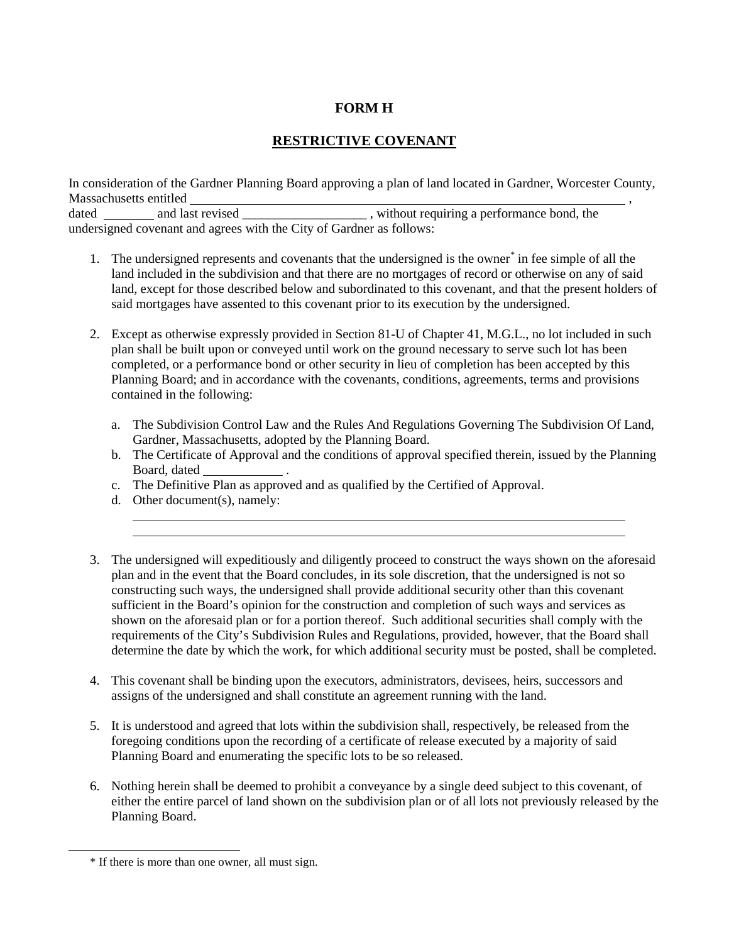## **FORM H**

# **RESTRICTIVE COVENANT**

In consideration of the Gardner Planning Board approving a plan of land located in Gardner, Worcester County, Massachusetts entitled , dated \_\_\_\_\_\_\_\_\_ and last revised \_\_\_\_\_\_\_\_\_\_\_\_\_\_\_\_\_\_\_\_\_\_, without requiring a performance bond, the undersigned covenant and agrees with the City of Gardner as follows:

- 1. The undersigned represents and covenants that the undersigned is the owner[\\*](#page-81-0) in fee simple of all the land included in the subdivision and that there are no mortgages of record or otherwise on any of said land, except for those described below and subordinated to this covenant, and that the present holders of said mortgages have assented to this covenant prior to its execution by the undersigned.
- 2. Except as otherwise expressly provided in Section 81-U of Chapter 41, M.G.L., no lot included in such plan shall be built upon or conveyed until work on the ground necessary to serve such lot has been completed, or a performance bond or other security in lieu of completion has been accepted by this Planning Board; and in accordance with the covenants, conditions, agreements, terms and provisions contained in the following:
	- a. The Subdivision Control Law and the Rules And Regulations Governing The Subdivision Of Land, Gardner, Massachusetts, adopted by the Planning Board.
	- b. The Certificate of Approval and the conditions of approval specified therein, issued by the Planning Board, dated
	- c. The Definitive Plan as approved and as qualified by the Certified of Approval.
	- d. Other document(s), namely:
- 3. The undersigned will expeditiously and diligently proceed to construct the ways shown on the aforesaid plan and in the event that the Board concludes, in its sole discretion, that the undersigned is not so constructing such ways, the undersigned shall provide additional security other than this covenant sufficient in the Board's opinion for the construction and completion of such ways and services as shown on the aforesaid plan or for a portion thereof. Such additional securities shall comply with the requirements of the City's Subdivision Rules and Regulations, provided, however, that the Board shall determine the date by which the work, for which additional security must be posted, shall be completed.
- 4. This covenant shall be binding upon the executors, administrators, devisees, heirs, successors and assigns of the undersigned and shall constitute an agreement running with the land.
- 5. It is understood and agreed that lots within the subdivision shall, respectively, be released from the foregoing conditions upon the recording of a certificate of release executed by a majority of said Planning Board and enumerating the specific lots to be so released.
- 6. Nothing herein shall be deemed to prohibit a conveyance by a single deed subject to this covenant, of either the entire parcel of land shown on the subdivision plan or of all lots not previously released by the Planning Board.

<span id="page-81-0"></span>l

<sup>\*</sup> If there is more than one owner, all must sign.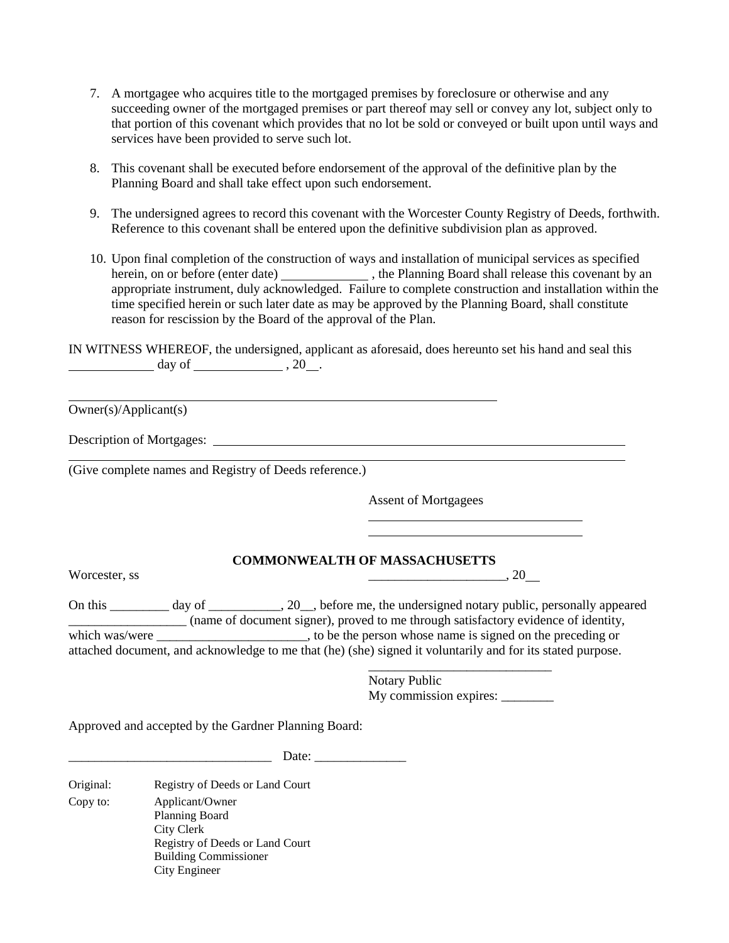- 7. A mortgagee who acquires title to the mortgaged premises by foreclosure or otherwise and any succeeding owner of the mortgaged premises or part thereof may sell or convey any lot, subject only to that portion of this covenant which provides that no lot be sold or conveyed or built upon until ways and services have been provided to serve such lot.
- 8. This covenant shall be executed before endorsement of the approval of the definitive plan by the Planning Board and shall take effect upon such endorsement.
- 9. The undersigned agrees to record this covenant with the Worcester County Registry of Deeds, forthwith. Reference to this covenant shall be entered upon the definitive subdivision plan as approved.
- 10. Upon final completion of the construction of ways and installation of municipal services as specified herein, on or before (enter date) \_\_\_\_\_\_\_\_\_\_\_\_\_, the Planning Board shall release this covenant by an appropriate instrument, duly acknowledged. Failure to complete construction and installation within the time specified herein or such later date as may be approved by the Planning Board, shall constitute reason for rescission by the Board of the approval of the Plan.

IN WITNESS WHEREOF, the undersigned, applicant as aforesaid, does hereunto set his hand and seal this  $day of$  , 20.

Owner(s)/Applicant(s)

Description of Mortgages:

(Give complete names and Registry of Deeds reference.)

Assent of Mortgagees

#### **COMMONWEALTH OF MASSACHUSETTS**

Worcester, ss \_\_\_\_\_\_\_\_\_\_\_\_\_\_\_\_\_\_\_\_\_, 20

On this \_\_\_\_\_\_\_\_\_ day of \_\_\_\_\_\_\_\_\_\_\_, 20\_\_, before me, the undersigned notary public, personally appeared \_\_\_\_\_\_\_\_\_\_\_\_\_\_\_\_\_\_ (name of document signer), proved to me through satisfactory evidence of identity, which was/were \_\_\_\_\_\_\_\_\_\_\_\_\_\_\_\_\_\_\_\_\_\_\_, to be the person whose name is signed on the preceding or attached document, and acknowledge to me that (he) (she) signed it voluntarily and for its stated purpose.

> \_\_\_\_\_\_\_\_\_\_\_\_\_\_\_\_\_\_\_\_\_\_\_\_\_\_\_\_ Notary Public My commission expires:

Approved and accepted by the Gardner Planning Board:

 $Date:$ 

Original: Registry of Deeds or Land Court Copy to: Applicant/Owner Planning Board City Clerk Registry of Deeds or Land Court Building Commissioner City Engineer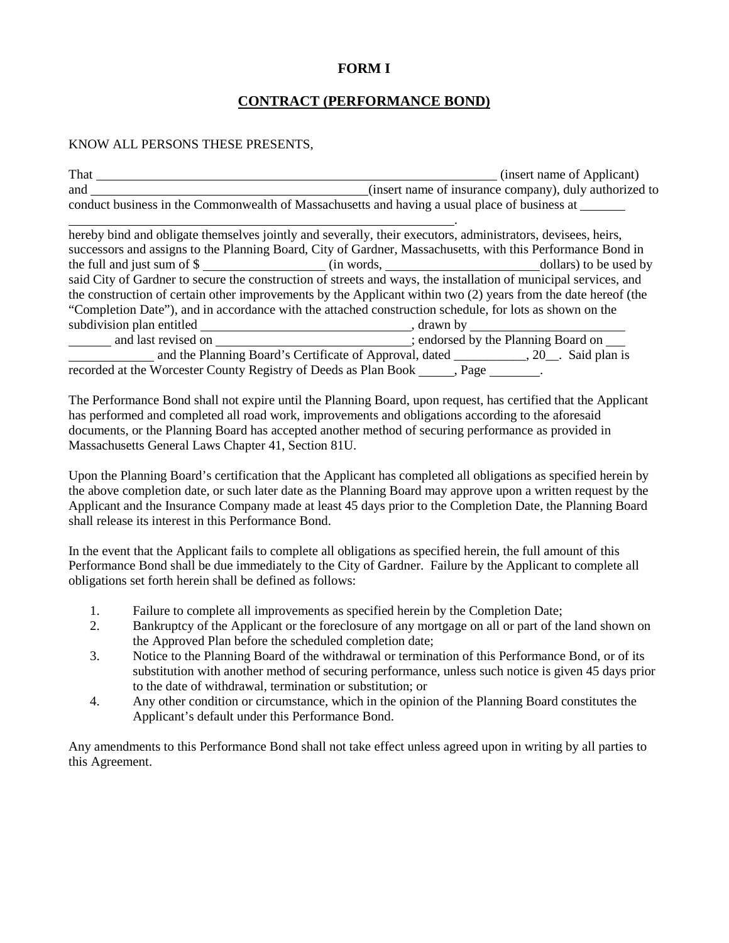### **FORM I**

### **CONTRACT (PERFORMANCE BOND)**

#### KNOW ALL PERSONS THESE PRESENTS,

| That | (insert name of Applicant)                                                                    |
|------|-----------------------------------------------------------------------------------------------|
| and  | (insert name of insurance company), duly authorized to                                        |
|      | conduct business in the Commonwealth of Massachusetts and having a usual place of business at |

| hereby bind and obligate themselves jointly and severally, their executors, administrators, devisees, heirs,                                                                                                                  |                                                                                       |  |
|-------------------------------------------------------------------------------------------------------------------------------------------------------------------------------------------------------------------------------|---------------------------------------------------------------------------------------|--|
| successors and assigns to the Planning Board, City of Gardner, Massachusetts, with this Performance Bond in                                                                                                                   |                                                                                       |  |
| the full and just sum of \$                                                                                                                                                                                                   |                                                                                       |  |
| said City of Gardner to secure the construction of streets and ways, the installation of municipal services, and                                                                                                              |                                                                                       |  |
| the construction of certain other improvements by the Applicant within two (2) years from the date hereof (the                                                                                                                |                                                                                       |  |
| "Completion Date"), and in accordance with the attached construction schedule, for lots as shown on the                                                                                                                       |                                                                                       |  |
|                                                                                                                                                                                                                               |                                                                                       |  |
| and last revised on the set of the set of the set of the set of the set of the planning Board on the set of the set of the set of the set of the set of the set of the set of the set of the set of the set of the set of the |                                                                                       |  |
|                                                                                                                                                                                                                               | and the Planning Board's Certificate of Approval, dated __________, 20_. Said plan is |  |
| recorded at the Worcester County Registry of Deeds as Plan Book ______, Page                                                                                                                                                  |                                                                                       |  |

The Performance Bond shall not expire until the Planning Board, upon request, has certified that the Applicant has performed and completed all road work, improvements and obligations according to the aforesaid documents, or the Planning Board has accepted another method of securing performance as provided in Massachusetts General Laws Chapter 41, Section 81U.

Upon the Planning Board's certification that the Applicant has completed all obligations as specified herein by the above completion date, or such later date as the Planning Board may approve upon a written request by the Applicant and the Insurance Company made at least 45 days prior to the Completion Date, the Planning Board shall release its interest in this Performance Bond.

In the event that the Applicant fails to complete all obligations as specified herein, the full amount of this Performance Bond shall be due immediately to the City of Gardner. Failure by the Applicant to complete all obligations set forth herein shall be defined as follows:

- 1. Failure to complete all improvements as specified herein by the Completion Date;
- 2. Bankruptcy of the Applicant or the foreclosure of any mortgage on all or part of the land shown on the Approved Plan before the scheduled completion date;
- 3. Notice to the Planning Board of the withdrawal or termination of this Performance Bond, or of its substitution with another method of securing performance, unless such notice is given 45 days prior to the date of withdrawal, termination or substitution; or
- 4. Any other condition or circumstance, which in the opinion of the Planning Board constitutes the Applicant's default under this Performance Bond.

Any amendments to this Performance Bond shall not take effect unless agreed upon in writing by all parties to this Agreement.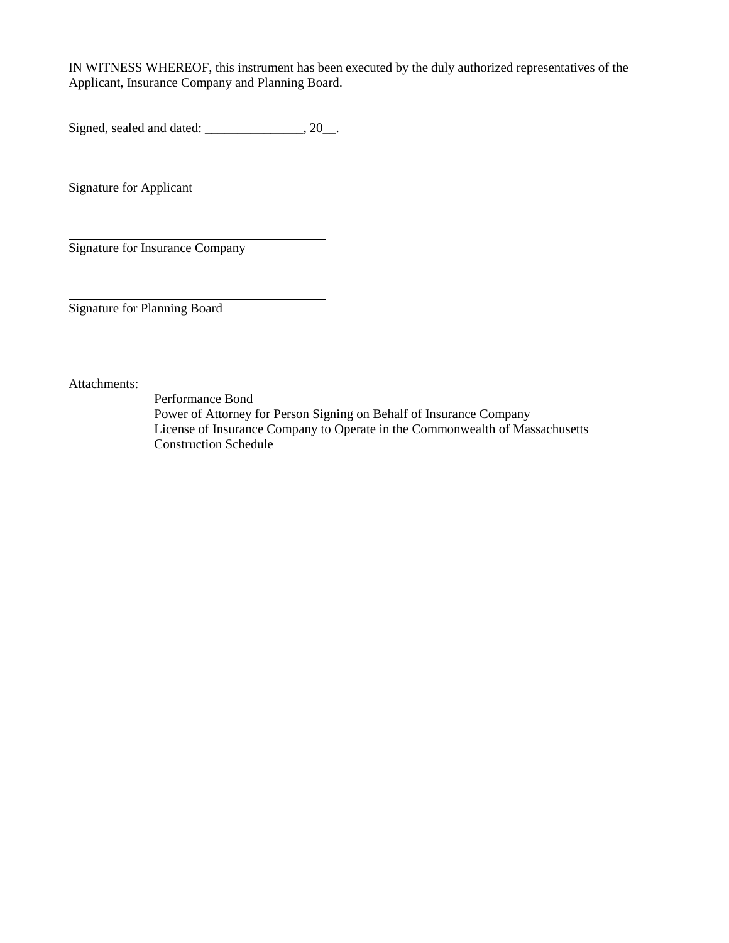IN WITNESS WHEREOF, this instrument has been executed by the duly authorized representatives of the Applicant, Insurance Company and Planning Board.

Signed, sealed and dated: \_\_\_\_\_\_\_\_\_\_\_\_\_\_, 20\_\_.

Signature for Applicant

Signature for Insurance Company

Signature for Planning Board

Attachments:

Performance Bond Power of Attorney for Person Signing on Behalf of Insurance Company License of Insurance Company to Operate in the Commonwealth of Massachusetts Construction Schedule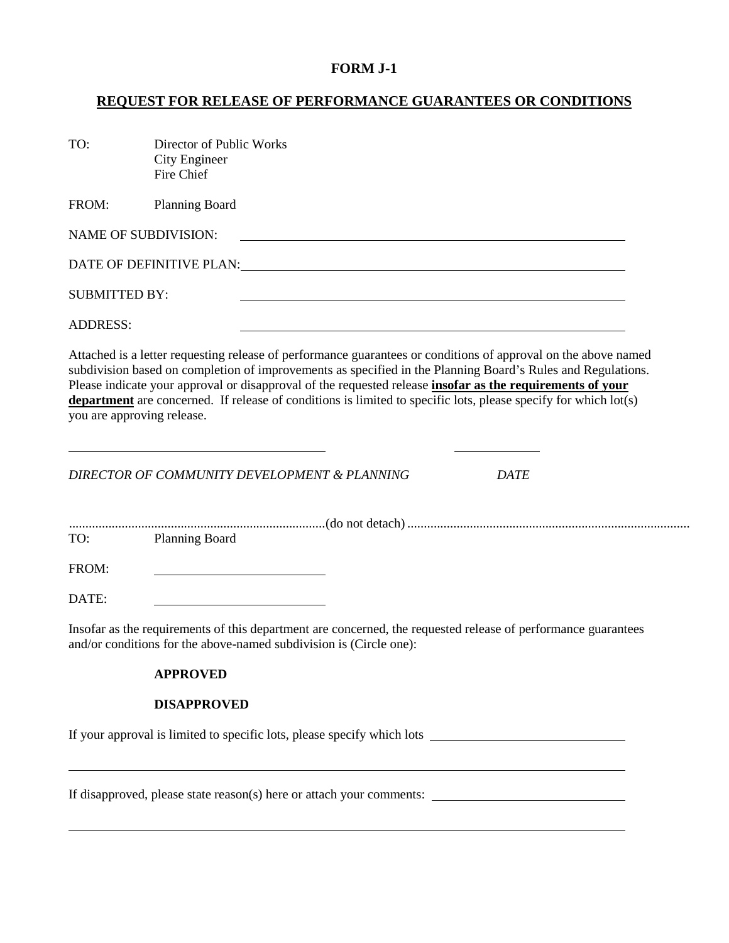## **FORM J-1**

## **REQUEST FOR RELEASE OF PERFORMANCE GUARANTEES OR CONDITIONS**

| TO:                  | Director of Public Works<br><b>City Engineer</b><br>Fire Chief                                                                                                                                                                                                                                                                                                                                                                                                                                                                                                    |
|----------------------|-------------------------------------------------------------------------------------------------------------------------------------------------------------------------------------------------------------------------------------------------------------------------------------------------------------------------------------------------------------------------------------------------------------------------------------------------------------------------------------------------------------------------------------------------------------------|
| FROM:                | <b>Planning Board</b>                                                                                                                                                                                                                                                                                                                                                                                                                                                                                                                                             |
|                      | <b>NAME OF SUBDIVISION:</b>                                                                                                                                                                                                                                                                                                                                                                                                                                                                                                                                       |
|                      |                                                                                                                                                                                                                                                                                                                                                                                                                                                                                                                                                                   |
| <b>SUBMITTED BY:</b> |                                                                                                                                                                                                                                                                                                                                                                                                                                                                                                                                                                   |
| <b>ADDRESS:</b>      |                                                                                                                                                                                                                                                                                                                                                                                                                                                                                                                                                                   |
|                      | Attached is a letter requesting release of performance guarantees or conditions of approval on the above named<br>subdivision based on completion of improvements as specified in the Planning Board's Rules and Regulations.<br>Please indicate your approval or disapproval of the requested release <i>insofar as the requirements of your</i><br>department are concerned. If release of conditions is limited to specific lots, please specify for which lot(s)<br>you are approving release.<br>DIRECTOR OF COMMUNITY DEVELOPMENT & PLANNING<br><b>DATE</b> |
| TO:                  | <b>Planning Board</b>                                                                                                                                                                                                                                                                                                                                                                                                                                                                                                                                             |
| FROM:                |                                                                                                                                                                                                                                                                                                                                                                                                                                                                                                                                                                   |
| DATE:                |                                                                                                                                                                                                                                                                                                                                                                                                                                                                                                                                                                   |
|                      | Insofar as the requirements of this department are concerned, the requested release of performance guarantees<br>and/or conditions for the above-named subdivision is (Circle one):                                                                                                                                                                                                                                                                                                                                                                               |
|                      | <b>APPROVED</b>                                                                                                                                                                                                                                                                                                                                                                                                                                                                                                                                                   |
|                      | <b>DISAPPROVED</b>                                                                                                                                                                                                                                                                                                                                                                                                                                                                                                                                                |
|                      |                                                                                                                                                                                                                                                                                                                                                                                                                                                                                                                                                                   |
|                      |                                                                                                                                                                                                                                                                                                                                                                                                                                                                                                                                                                   |
|                      | If disconvenied places state measur(s) here an ottook your comments.                                                                                                                                                                                                                                                                                                                                                                                                                                                                                              |

If disapproved, please state reason(s) here or attach your comments: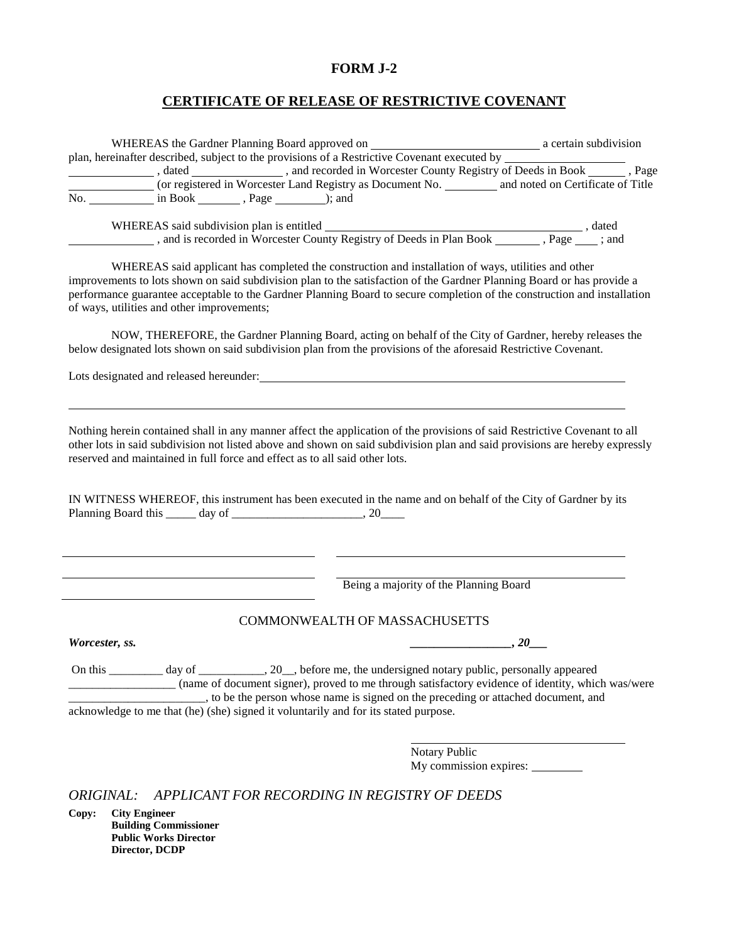### **FORM J-2**

#### **CERTIFICATE OF RELEASE OF RESTRICTIVE COVENANT**

|                | plan, hereinafter described, subject to the provisions of a Restrictive Covenant executed by _________________                                                                                                                |
|----------------|-------------------------------------------------------------------------------------------------------------------------------------------------------------------------------------------------------------------------------|
|                | , dated _____________, and recorded in Worcester County Registry of Deeds in Book _____, Page (or registered in Worcester Land Registry as Document No. ________ and noted on Certificate of Title                            |
|                |                                                                                                                                                                                                                               |
|                |                                                                                                                                                                                                                               |
|                |                                                                                                                                                                                                                               |
|                |                                                                                                                                                                                                                               |
|                |                                                                                                                                                                                                                               |
|                | WHEREAS said applicant has completed the construction and installation of ways, utilities and other<br>improvements to lots shown on said subdivision plan to the satisfaction of the Gardner Planning Board or has provide a |
|                | performance guarantee acceptable to the Gardner Planning Board to secure completion of the construction and installation                                                                                                      |
|                | of ways, utilities and other improvements;                                                                                                                                                                                    |
|                |                                                                                                                                                                                                                               |
|                | NOW, THEREFORE, the Gardner Planning Board, acting on behalf of the City of Gardner, hereby releases the                                                                                                                      |
|                | below designated lots shown on said subdivision plan from the provisions of the aforesaid Restrictive Covenant.                                                                                                               |
|                |                                                                                                                                                                                                                               |
|                | Lots designated and released hereunder:<br><u> Lots designated and released hereunder:</u>                                                                                                                                    |
|                |                                                                                                                                                                                                                               |
|                |                                                                                                                                                                                                                               |
|                |                                                                                                                                                                                                                               |
|                |                                                                                                                                                                                                                               |
|                | Nothing herein contained shall in any manner affect the application of the provisions of said Restrictive Covenant to all                                                                                                     |
|                | other lots in said subdivision not listed above and shown on said subdivision plan and said provisions are hereby expressly                                                                                                   |
|                | reserved and maintained in full force and effect as to all said other lots.                                                                                                                                                   |
|                |                                                                                                                                                                                                                               |
|                |                                                                                                                                                                                                                               |
|                | IN WITNESS WHEREOF, this instrument has been executed in the name and on behalf of the City of Gardner by its                                                                                                                 |
|                |                                                                                                                                                                                                                               |
|                |                                                                                                                                                                                                                               |
|                |                                                                                                                                                                                                                               |
|                |                                                                                                                                                                                                                               |
|                | Being a majority of the Planning Board                                                                                                                                                                                        |
|                |                                                                                                                                                                                                                               |
|                |                                                                                                                                                                                                                               |
|                | <b>COMMONWEALTH OF MASSACHUSETTS</b>                                                                                                                                                                                          |
|                | , 20                                                                                                                                                                                                                          |
|                |                                                                                                                                                                                                                               |
|                | On this __________ day of ___________, 20__, before me, the undersigned notary public, personally appeared                                                                                                                    |
|                | (name of document signer), proved to me through satisfactory evidence of identity, which was/were                                                                                                                             |
|                | _, to be the person whose name is signed on the preceding or attached document, and                                                                                                                                           |
|                | acknowledge to me that (he) (she) signed it voluntarily and for its stated purpose.                                                                                                                                           |
|                |                                                                                                                                                                                                                               |
| Worcester, ss. | Notary Public                                                                                                                                                                                                                 |

*ORIGINAL: APPLICANT FOR RECORDING IN REGISTRY OF DEEDS*

**Copy: City Engineer Building Commissioner Public Works Director Director, DCDP**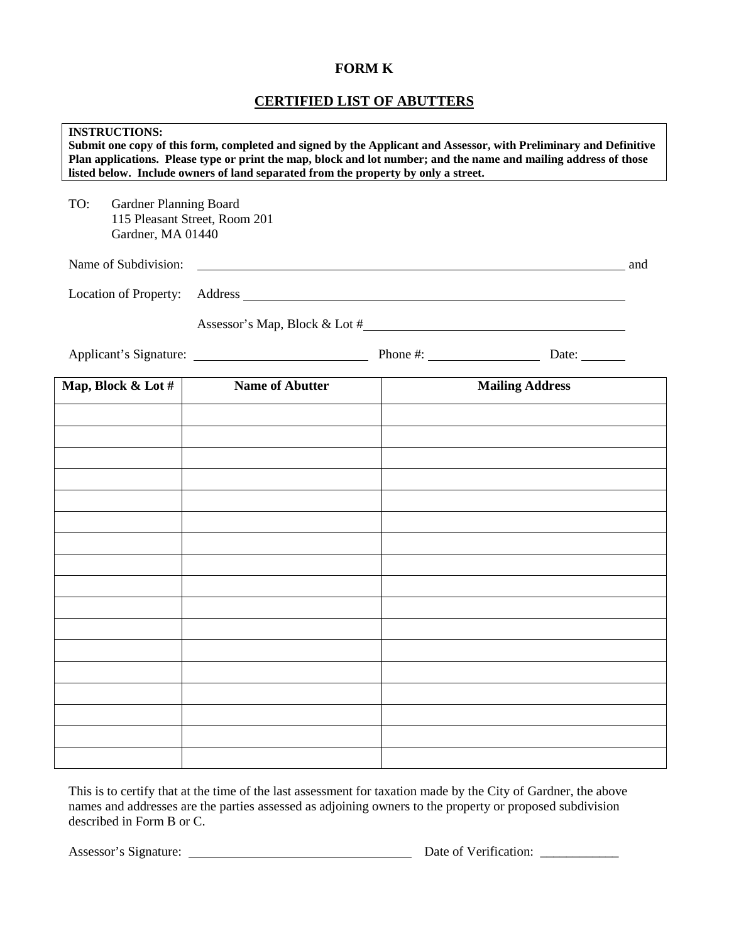### **FORM K**

# **CERTIFIED LIST OF ABUTTERS**

| <b>INSTRUCTIONS:</b><br>Submit one copy of this form, completed and signed by the Applicant and Assessor, with Preliminary and Definitive<br>Plan applications. Please type or print the map, block and lot number; and the name and mailing address of those<br>listed below. Include owners of land separated from the property by only a street. |                               |  |                        |     |
|-----------------------------------------------------------------------------------------------------------------------------------------------------------------------------------------------------------------------------------------------------------------------------------------------------------------------------------------------------|-------------------------------|--|------------------------|-----|
| TO:<br>Gardner Planning Board<br>Gardner, MA 01440                                                                                                                                                                                                                                                                                                  | 115 Pleasant Street, Room 201 |  |                        |     |
| Name of Subdivision:                                                                                                                                                                                                                                                                                                                                |                               |  |                        | and |
| Location of Property:                                                                                                                                                                                                                                                                                                                               |                               |  |                        |     |
|                                                                                                                                                                                                                                                                                                                                                     | Assessor's Map, Block & Lot # |  |                        |     |
|                                                                                                                                                                                                                                                                                                                                                     |                               |  | Date: $\_\_$           |     |
| Map, Block & Lot $\#$                                                                                                                                                                                                                                                                                                                               | <b>Name of Abutter</b>        |  | <b>Mailing Address</b> |     |
|                                                                                                                                                                                                                                                                                                                                                     |                               |  |                        |     |
|                                                                                                                                                                                                                                                                                                                                                     |                               |  |                        |     |
|                                                                                                                                                                                                                                                                                                                                                     |                               |  |                        |     |
|                                                                                                                                                                                                                                                                                                                                                     |                               |  |                        |     |
|                                                                                                                                                                                                                                                                                                                                                     |                               |  |                        |     |
|                                                                                                                                                                                                                                                                                                                                                     |                               |  |                        |     |
|                                                                                                                                                                                                                                                                                                                                                     |                               |  |                        |     |
|                                                                                                                                                                                                                                                                                                                                                     |                               |  |                        |     |
|                                                                                                                                                                                                                                                                                                                                                     |                               |  |                        |     |
|                                                                                                                                                                                                                                                                                                                                                     |                               |  |                        |     |
|                                                                                                                                                                                                                                                                                                                                                     |                               |  |                        |     |
|                                                                                                                                                                                                                                                                                                                                                     |                               |  |                        |     |
|                                                                                                                                                                                                                                                                                                                                                     |                               |  |                        |     |

This is to certify that at the time of the last assessment for taxation made by the City of Gardner, the above names and addresses are the parties assessed as adjoining owners to the property or proposed subdivision described in Form B or C.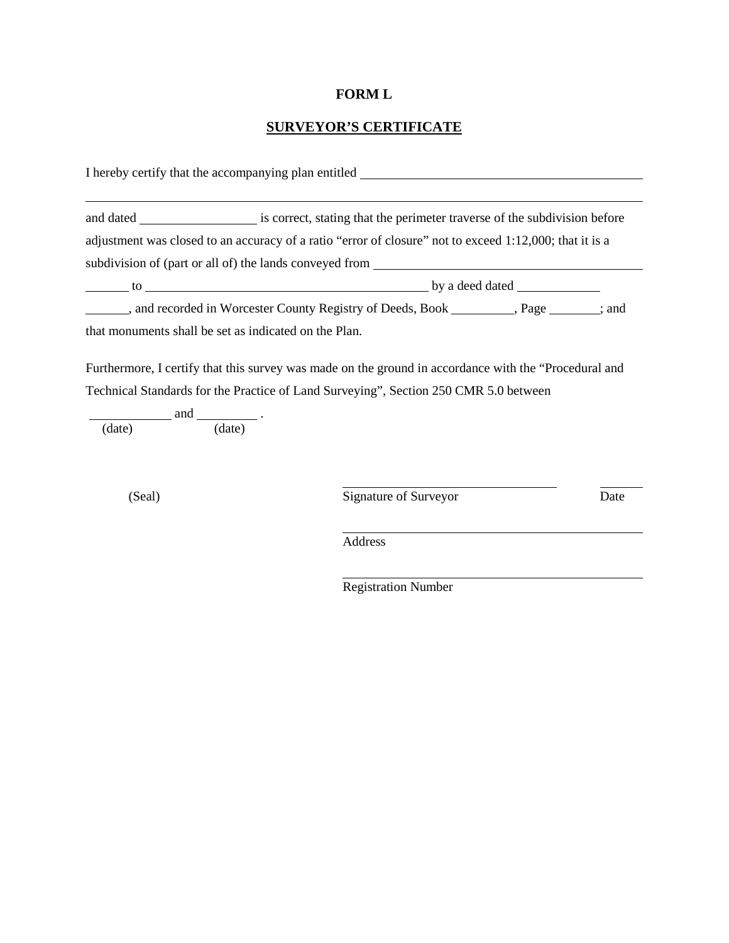# **FORM L**

# **SURVEYOR'S CERTIFICATE**

|        |                                                       | I hereby certify that the accompanying plan entitled ____________________________                                                                                                                                       |      |
|--------|-------------------------------------------------------|-------------------------------------------------------------------------------------------------------------------------------------------------------------------------------------------------------------------------|------|
|        |                                                       | and dated ________________________ is correct, stating that the perimeter traverse of the subdivision before<br>adjustment was closed to an accuracy of a ratio "error of closure" not to exceed 1:12,000; that it is a |      |
|        |                                                       | subdivision of (part or all of) the lands conveyed from                                                                                                                                                                 |      |
|        |                                                       |                                                                                                                                                                                                                         |      |
|        |                                                       | and recorded in Worcester County Registry of Deeds, Book __________, Page _______; and                                                                                                                                  |      |
|        | that monuments shall be set as indicated on the Plan. |                                                                                                                                                                                                                         |      |
|        |                                                       | Technical Standards for the Practice of Land Surveying", Section 250 CMR 5.0 between                                                                                                                                    |      |
|        | $\frac{\text{and}}{\text{(date)}}$ .                  |                                                                                                                                                                                                                         |      |
| (Seal) |                                                       | Signature of Surveyor                                                                                                                                                                                                   | Date |
|        |                                                       | Address                                                                                                                                                                                                                 |      |

Registration Number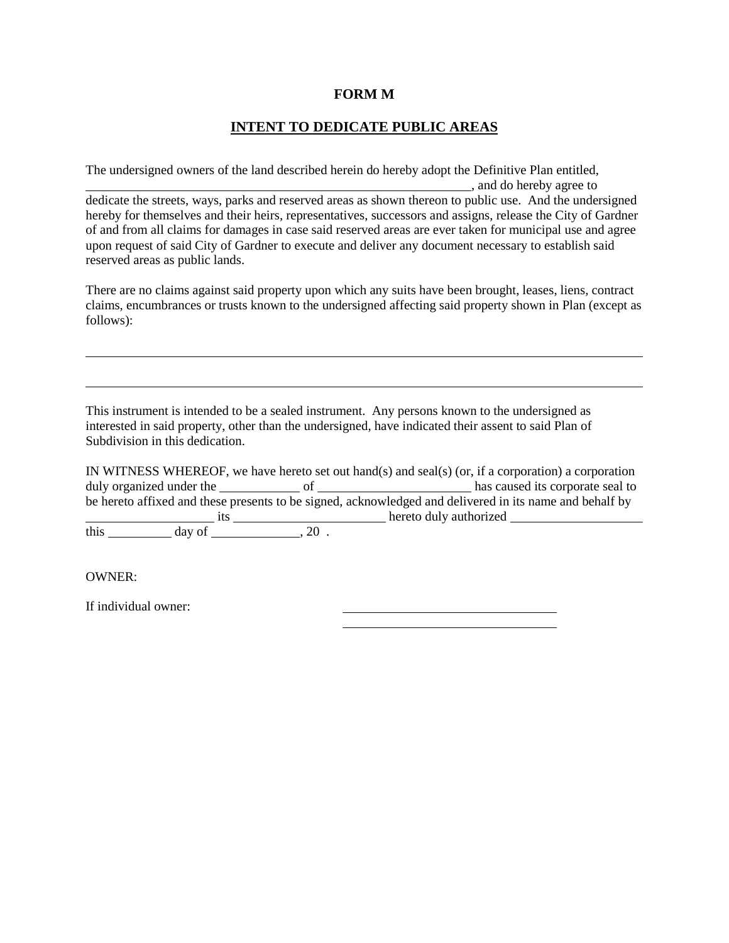#### **FORM M**

### **INTENT TO DEDICATE PUBLIC AREAS**

The undersigned owners of the land described herein do hereby adopt the Definitive Plan entitled,

*calculate and the hereby agree to* dedicate the streets, ways, parks and reserved areas as shown thereon to public use. And the undersigned hereby for themselves and their heirs, representatives, successors and assigns, release the City of Gardner of and from all claims for damages in case said reserved areas are ever taken for municipal use and agree upon request of said City of Gardner to execute and deliver any document necessary to establish said reserved areas as public lands.

There are no claims against said property upon which any suits have been brought, leases, liens, contract claims, encumbrances or trusts known to the undersigned affecting said property shown in Plan (except as follows):

This instrument is intended to be a sealed instrument. Any persons known to the undersigned as interested in said property, other than the undersigned, have indicated their assent to said Plan of Subdivision in this dedication.

IN WITNESS WHEREOF, we have hereto set out hand(s) and seal(s) (or, if a corporation) a corporation duly organized under the of has caused its corporate seal to be hereto affixed and these presents to be signed, acknowledged and delivered in its name and behalf by its hereto duly authorized this  $\frac{1}{\cos \theta}$  day of  $\frac{1}{\cos \theta}$ , 20.

OWNER:

If individual owner: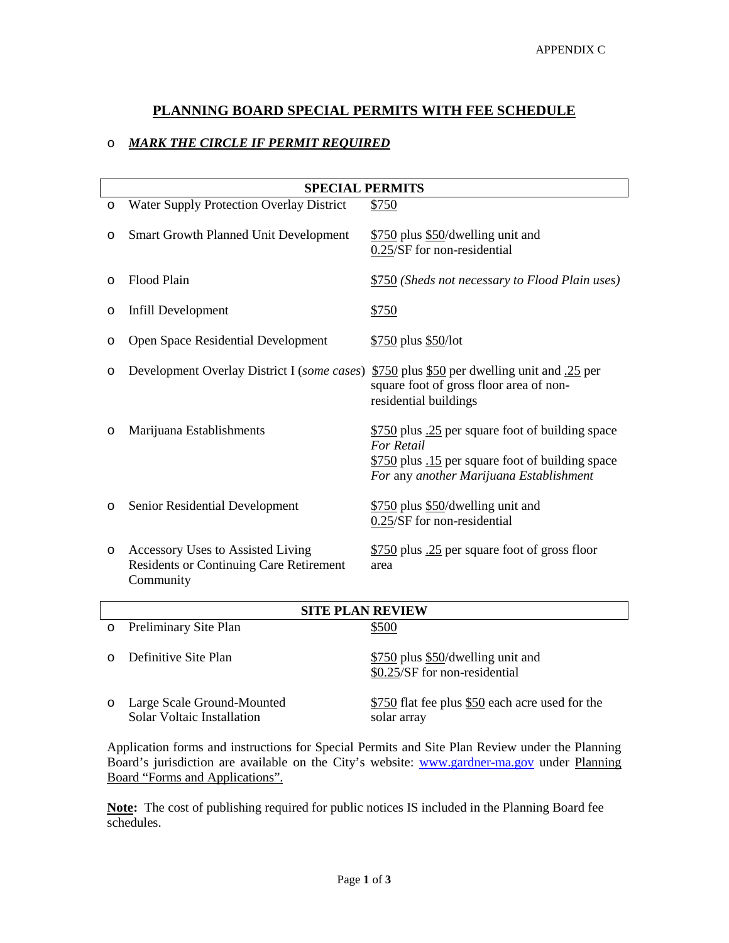### **PLANNING BOARD SPECIAL PERMITS WITH FEE SCHEDULE**

### o *MARK THE CIRCLE IF PERMIT REQUIRED*

|         | <b>SPECIAL PERMITS</b>                                                                           |                                                                                                                                                                      |  |  |  |
|---------|--------------------------------------------------------------------------------------------------|----------------------------------------------------------------------------------------------------------------------------------------------------------------------|--|--|--|
| $\circ$ | <b>Water Supply Protection Overlay District</b>                                                  | \$750                                                                                                                                                                |  |  |  |
| $\circ$ | <b>Smart Growth Planned Unit Development</b>                                                     | \$750 plus \$50/dwelling unit and<br>0.25/SF for non-residential                                                                                                     |  |  |  |
| $\circ$ | Flood Plain                                                                                      | \$750 (Sheds not necessary to Flood Plain uses)                                                                                                                      |  |  |  |
| O       | Infill Development                                                                               | \$750                                                                                                                                                                |  |  |  |
| O       | Open Space Residential Development                                                               | $$750$ plus $$50/lot$                                                                                                                                                |  |  |  |
| O       | Development Overlay District I (some cases)                                                      | $$750$ plus \$50 per dwelling unit and $.25$ per<br>square foot of gross floor area of non-<br>residential buildings                                                 |  |  |  |
| O       | Marijuana Establishments                                                                         | \$750 plus .25 per square foot of building space<br><b>For Retail</b><br>\$750 plus .15 per square foot of building space<br>For any another Marijuana Establishment |  |  |  |
| $\circ$ | Senior Residential Development                                                                   | \$750 plus \$50/dwelling unit and<br>0.25/SF for non-residential                                                                                                     |  |  |  |
| $\circ$ | Accessory Uses to Assisted Living<br><b>Residents or Continuing Care Retirement</b><br>Community | \$750 plus .25 per square foot of gross floor<br>area                                                                                                                |  |  |  |
|         | CITE DI AN DEVIEW                                                                                |                                                                                                                                                                      |  |  |  |

| <b>SITE PLAN REVIEW</b> |                                                          |                                                                    |  |
|-------------------------|----------------------------------------------------------|--------------------------------------------------------------------|--|
| $\circ$                 | Preliminary Site Plan                                    | \$500                                                              |  |
| $\cap$                  | Definitive Site Plan                                     | \$750 plus \$50/dwelling unit and<br>\$0.25/SF for non-residential |  |
| $\circ$                 | Large Scale Ground-Mounted<br>Solar Voltaic Installation | \$750 flat fee plus \$50 each acre used for the<br>solar array     |  |

Application forms and instructions for Special Permits and Site Plan Review under the Planning Board's jurisdiction are available on the City's website: [www.gardner-ma.gov](http://www.gardner-ma.gov/) under Planning Board "Forms and Applications".

**Note:** The cost of publishing required for public notices IS included in the Planning Board fee schedules.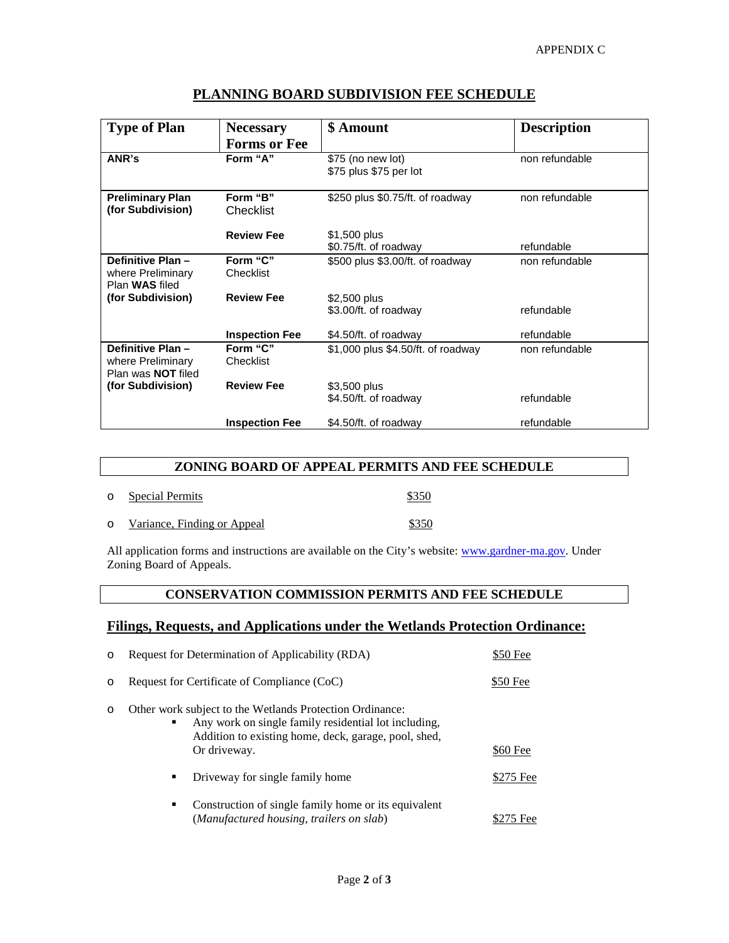| <b>Type of Plan</b>                                                | <b>Necessary</b>      | \$ Amount                                    | <b>Description</b> |
|--------------------------------------------------------------------|-----------------------|----------------------------------------------|--------------------|
|                                                                    | <b>Forms or Fee</b>   |                                              |                    |
| ANR's                                                              | Form "A"              | $$75$ (no new lot)<br>\$75 plus \$75 per lot | non refundable     |
| <b>Preliminary Plan</b><br>(for Subdivision)                       | Form "B"<br>Checklist | \$250 plus \$0.75/ft. of roadway             | non refundable     |
|                                                                    | <b>Review Fee</b>     | \$1,500 plus<br>\$0.75/ft. of roadway        | refundable         |
| Definitive Plan-<br>where Preliminary<br>Plan WAS filed            | Form "C"<br>Checklist | \$500 plus \$3.00/ft. of roadway             | non refundable     |
| (for Subdivision)                                                  | <b>Review Fee</b>     | \$2,500 plus<br>\$3.00/ft. of roadway        | refundable         |
|                                                                    | <b>Inspection Fee</b> | \$4.50/ft. of roadway                        | refundable         |
| Definitive Plan-<br>where Preliminary<br>Plan was <b>NOT</b> filed | Form "C"<br>Checklist | \$1,000 plus \$4.50/ft. of roadway           | non refundable     |
| (for Subdivision)                                                  | <b>Review Fee</b>     | \$3,500 plus<br>\$4.50/ft. of roadway        | refundable         |
|                                                                    | <b>Inspection Fee</b> | \$4.50/ft. of roadway                        | refundable         |

### **PLANNING BOARD SUBDIVISION FEE SCHEDULE**

#### **ZONING BOARD OF APPEAL PERMITS AND FEE SCHEDULE**

| $\circ$ | <b>Special Permits</b>      | \$350 |
|---------|-----------------------------|-------|
| $\circ$ | Variance, Finding or Appeal | \$350 |

All application forms and instructions are available on the City's website: [www.gardner-ma.gov.](http://www.gardner-ma.gov/) Under Zoning Board of Appeals.

#### **CONSERVATION COMMISSION PERMITS AND FEE SCHEDULE**

### **Filings, Requests, and Applications under the Wetlands Protection Ordinance:**

| O       | Request for Determination of Applicability (RDA)                                                                                                                                              | \$50 Fee  |
|---------|-----------------------------------------------------------------------------------------------------------------------------------------------------------------------------------------------|-----------|
| $\circ$ | Request for Certificate of Compliance (CoC)                                                                                                                                                   | \$50 Fee  |
| O       | Other work subject to the Wetlands Protection Ordinance:<br>Any work on single family residential lot including,<br>٠<br>Addition to existing home, deck, garage, pool, shed,<br>Or driveway. | \$60 Fee  |
|         | Driveway for single family home<br>٠                                                                                                                                                          | \$275 Fee |
|         | Construction of single family home or its equivalent<br>٠<br>(Manufactured housing, trailers on slab)                                                                                         | \$275 Fee |